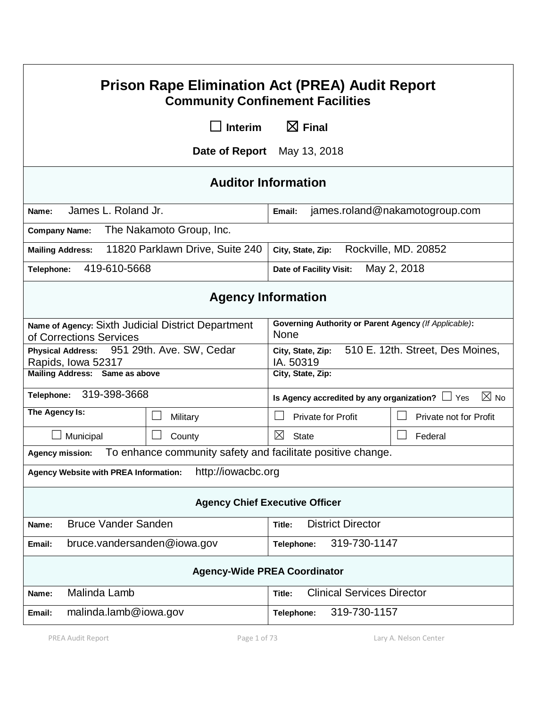| <b>Prison Rape Elimination Act (PREA) Audit Report</b><br><b>Community Confinement Facilities</b> |                             |                                                                        |                        |  |  |  |
|---------------------------------------------------------------------------------------------------|-----------------------------|------------------------------------------------------------------------|------------------------|--|--|--|
|                                                                                                   | <b>Interim</b>              | $\boxtimes$ Final                                                      |                        |  |  |  |
|                                                                                                   | Date of Report May 13, 2018 |                                                                        |                        |  |  |  |
|                                                                                                   | <b>Auditor Information</b>  |                                                                        |                        |  |  |  |
| James L. Roland Jr.<br>Name:                                                                      |                             | james.roland@nakamotogroup.com<br>Email:                               |                        |  |  |  |
| The Nakamoto Group, Inc.<br><b>Company Name:</b>                                                  |                             |                                                                        |                        |  |  |  |
| 11820 Parklawn Drive, Suite 240<br><b>Mailing Address:</b>                                        |                             | Rockville, MD. 20852<br>City, State, Zip:                              |                        |  |  |  |
| 419-610-5668<br>Telephone:                                                                        |                             | May 2, 2018<br>Date of Facility Visit:                                 |                        |  |  |  |
| <b>Agency Information</b>                                                                         |                             |                                                                        |                        |  |  |  |
| Name of Agency: Sixth Judicial District Department<br>of Corrections Services                     |                             | Governing Authority or Parent Agency (If Applicable):<br>None          |                        |  |  |  |
| 951 29th. Ave. SW, Cedar<br><b>Physical Address:</b><br>Rapids, Iowa 52317                        |                             | 510 E. 12th. Street, Des Moines,<br>City, State, Zip:<br>IA. 50319     |                        |  |  |  |
| Mailing Address: Same as above                                                                    |                             | City, State, Zip:                                                      |                        |  |  |  |
| 319-398-3668<br>Telephone:                                                                        |                             | $\boxtimes$ No<br>Is Agency accredited by any organization? $\Box$ Yes |                        |  |  |  |
| The Agency Is:                                                                                    | Military                    | <b>Private for Profit</b>                                              | Private not for Profit |  |  |  |
| Municipal                                                                                         | County                      | ⊠<br><b>State</b>                                                      | Federal                |  |  |  |
| To enhance community safety and facilitate positive change.<br><b>Agency mission:</b>             |                             |                                                                        |                        |  |  |  |
| http://iowacbc.org<br><b>Agency Website with PREA Information:</b>                                |                             |                                                                        |                        |  |  |  |
| <b>Agency Chief Executive Officer</b>                                                             |                             |                                                                        |                        |  |  |  |
| <b>Bruce Vander Sanden</b><br>Name:                                                               |                             | <b>District Director</b><br>Title:                                     |                        |  |  |  |
| bruce.vandersanden@iowa.gov<br>Email:                                                             |                             | 319-730-1147<br>Telephone:                                             |                        |  |  |  |
| <b>Agency-Wide PREA Coordinator</b>                                                               |                             |                                                                        |                        |  |  |  |
| Malinda Lamb<br>Name:                                                                             |                             | <b>Clinical Services Director</b><br>Title:                            |                        |  |  |  |
| malinda.lamb@iowa.gov<br>Email:                                                                   |                             | 319-730-1157<br>Telephone:                                             |                        |  |  |  |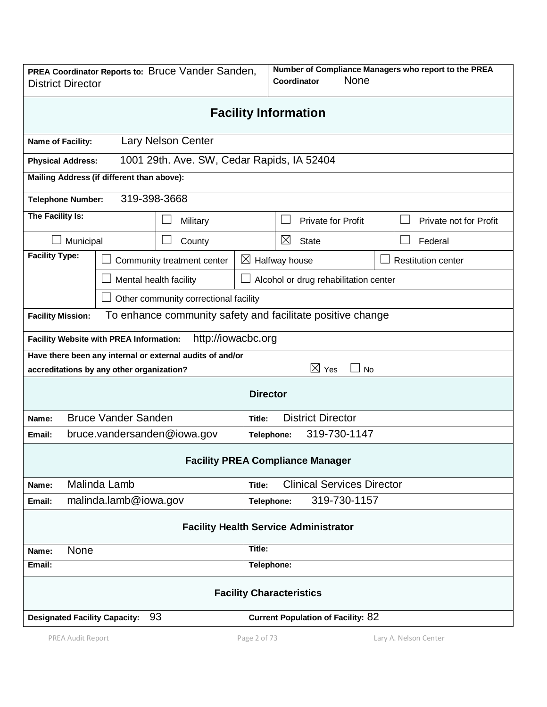| PREA Coordinator Reports to: Bruce Vander Sanden,<br><b>District Director</b> |                                                                 |                                            |                           | Number of Compliance Managers who report to the PREA<br>None<br>Coordinator |                                                            |                           |  |  |
|-------------------------------------------------------------------------------|-----------------------------------------------------------------|--------------------------------------------|---------------------------|-----------------------------------------------------------------------------|------------------------------------------------------------|---------------------------|--|--|
| <b>Facility Information</b>                                                   |                                                                 |                                            |                           |                                                                             |                                                            |                           |  |  |
| Name of Facility:                                                             |                                                                 | <b>Lary Nelson Center</b>                  |                           |                                                                             |                                                            |                           |  |  |
| <b>Physical Address:</b>                                                      |                                                                 | 1001 29th. Ave. SW, Cedar Rapids, IA 52404 |                           |                                                                             |                                                            |                           |  |  |
| Mailing Address (if different than above):                                    |                                                                 |                                            |                           |                                                                             |                                                            |                           |  |  |
| 319-398-3668<br><b>Telephone Number:</b>                                      |                                                                 |                                            |                           |                                                                             |                                                            |                           |  |  |
|                                                                               | The Facility Is:<br>Military                                    |                                            |                           |                                                                             | <b>Private for Profit</b>                                  | Private not for Profit    |  |  |
|                                                                               | Municipal<br>County                                             |                                            |                           | $\boxtimes$                                                                 | <b>State</b>                                               | Federal                   |  |  |
| <b>Facility Type:</b>                                                         |                                                                 | Community treatment center                 | $\boxtimes$ Halfway house |                                                                             |                                                            | <b>Restitution center</b> |  |  |
|                                                                               | Mental health facility<br>Alcohol or drug rehabilitation center |                                            |                           |                                                                             |                                                            |                           |  |  |
|                                                                               |                                                                 | Other community correctional facility      |                           |                                                                             |                                                            |                           |  |  |
| <b>Facility Mission:</b>                                                      |                                                                 |                                            |                           |                                                                             | To enhance community safety and facilitate positive change |                           |  |  |
|                                                                               | <b>Facility Website with PREA Information:</b>                  | http://iowacbc.org                         |                           |                                                                             |                                                            |                           |  |  |
|                                                                               | Have there been any internal or external audits of and/or       |                                            |                           |                                                                             |                                                            |                           |  |  |
|                                                                               | accreditations by any other organization?                       |                                            |                           |                                                                             | $\boxtimes$ Yes<br><b>No</b>                               |                           |  |  |
|                                                                               |                                                                 |                                            | <b>Director</b>           |                                                                             |                                                            |                           |  |  |
| Name:                                                                         | <b>Bruce Vander Sanden</b>                                      |                                            | Title:                    | <b>District Director</b>                                                    |                                                            |                           |  |  |
| Email:                                                                        | bruce.vandersanden@iowa.gov                                     |                                            |                           | 319-730-1147<br>Telephone:                                                  |                                                            |                           |  |  |
| <b>Facility PREA Compliance Manager</b>                                       |                                                                 |                                            |                           |                                                                             |                                                            |                           |  |  |
| Name:                                                                         | Malinda Lamb                                                    |                                            | Title:                    | <b>Clinical Services Director</b>                                           |                                                            |                           |  |  |
| Email:                                                                        | malinda.lamb@iowa.gov                                           |                                            |                           | 319-730-1157<br>Telephone:                                                  |                                                            |                           |  |  |
| <b>Facility Health Service Administrator</b>                                  |                                                                 |                                            |                           |                                                                             |                                                            |                           |  |  |
| Title:<br>None<br>Name:                                                       |                                                                 |                                            |                           |                                                                             |                                                            |                           |  |  |
| Email:                                                                        | Telephone:                                                      |                                            |                           |                                                                             |                                                            |                           |  |  |
| <b>Facility Characteristics</b>                                               |                                                                 |                                            |                           |                                                                             |                                                            |                           |  |  |
| 93<br><b>Designated Facility Capacity:</b>                                    |                                                                 |                                            |                           | <b>Current Population of Facility: 82</b>                                   |                                                            |                           |  |  |
| PREA Audit Report                                                             |                                                                 | Page 2 of 73                               |                           |                                                                             | Lary A. Nelson Center                                      |                           |  |  |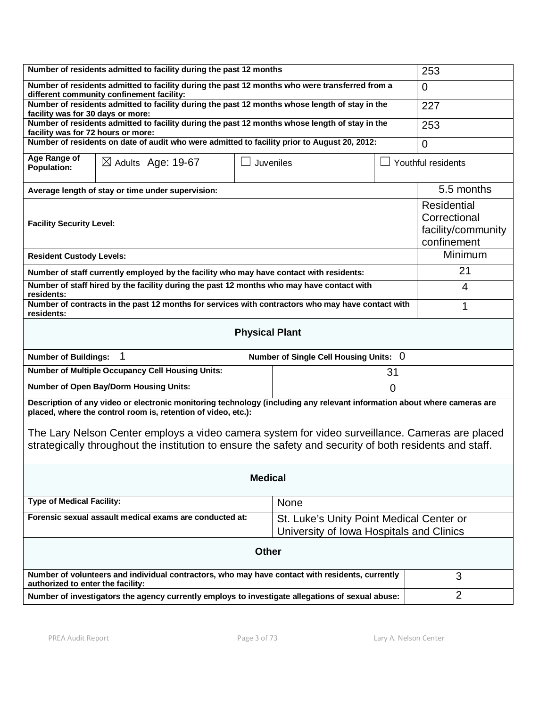| Number of residents admitted to facility during the past 12 months                                                                                                                                                                                                                                                                                                                                      |                                                                                              |  |                                                                                      |                | 253        |  |  |
|---------------------------------------------------------------------------------------------------------------------------------------------------------------------------------------------------------------------------------------------------------------------------------------------------------------------------------------------------------------------------------------------------------|----------------------------------------------------------------------------------------------|--|--------------------------------------------------------------------------------------|----------------|------------|--|--|
| Number of residents admitted to facility during the past 12 months who were transferred from a<br>different community confinement facility:                                                                                                                                                                                                                                                             |                                                                                              |  |                                                                                      |                | $\Omega$   |  |  |
| Number of residents admitted to facility during the past 12 months whose length of stay in the                                                                                                                                                                                                                                                                                                          | 227                                                                                          |  |                                                                                      |                |            |  |  |
| facility was for 30 days or more:<br>Number of residents admitted to facility during the past 12 months whose length of stay in the                                                                                                                                                                                                                                                                     | 253                                                                                          |  |                                                                                      |                |            |  |  |
| facility was for 72 hours or more:                                                                                                                                                                                                                                                                                                                                                                      | Number of residents on date of audit who were admitted to facility prior to August 20, 2012: |  |                                                                                      |                |            |  |  |
|                                                                                                                                                                                                                                                                                                                                                                                                         | $\Omega$                                                                                     |  |                                                                                      |                |            |  |  |
| <b>Population:</b>                                                                                                                                                                                                                                                                                                                                                                                      | Age Range of<br>$\boxtimes$ Adults Age: 19-67<br>Juveniles<br>Youthful residents             |  |                                                                                      |                |            |  |  |
|                                                                                                                                                                                                                                                                                                                                                                                                         | Average length of stay or time under supervision:                                            |  |                                                                                      |                | 5.5 months |  |  |
| <b>Facility Security Level:</b>                                                                                                                                                                                                                                                                                                                                                                         | Residential<br>Correctional<br>facility/community<br>confinement                             |  |                                                                                      |                |            |  |  |
| <b>Resident Custody Levels:</b>                                                                                                                                                                                                                                                                                                                                                                         | <b>Minimum</b>                                                                               |  |                                                                                      |                |            |  |  |
| Number of staff currently employed by the facility who may have contact with residents:                                                                                                                                                                                                                                                                                                                 |                                                                                              |  |                                                                                      |                | 21         |  |  |
| Number of staff hired by the facility during the past 12 months who may have contact with<br>residents:                                                                                                                                                                                                                                                                                                 |                                                                                              |  |                                                                                      |                | 4          |  |  |
| Number of contracts in the past 12 months for services with contractors who may have contact with<br>residents:                                                                                                                                                                                                                                                                                         |                                                                                              |  |                                                                                      |                | 1          |  |  |
| <b>Physical Plant</b>                                                                                                                                                                                                                                                                                                                                                                                   |                                                                                              |  |                                                                                      |                |            |  |  |
| $\mathbf 1$<br><b>Number of Buildings:</b><br>Number of Single Cell Housing Units: 0                                                                                                                                                                                                                                                                                                                    |                                                                                              |  |                                                                                      |                |            |  |  |
| Number of Multiple Occupancy Cell Housing Units:<br>31                                                                                                                                                                                                                                                                                                                                                  |                                                                                              |  |                                                                                      |                |            |  |  |
| <b>Number of Open Bay/Dorm Housing Units:</b><br>$\overline{0}$                                                                                                                                                                                                                                                                                                                                         |                                                                                              |  |                                                                                      |                |            |  |  |
| Description of any video or electronic monitoring technology (including any relevant information about where cameras are<br>placed, where the control room is, retention of video, etc.):<br>The Lary Nelson Center employs a video camera system for video surveillance. Cameras are placed<br>strategically throughout the institution to ensure the safety and security of both residents and staff. |                                                                                              |  |                                                                                      |                |            |  |  |
| <b>Medical</b>                                                                                                                                                                                                                                                                                                                                                                                          |                                                                                              |  |                                                                                      |                |            |  |  |
| <b>Type of Medical Facility:</b>                                                                                                                                                                                                                                                                                                                                                                        |                                                                                              |  | <b>None</b>                                                                          |                |            |  |  |
| Forensic sexual assault medical exams are conducted at:                                                                                                                                                                                                                                                                                                                                                 |                                                                                              |  | St. Luke's Unity Point Medical Center or<br>University of Iowa Hospitals and Clinics |                |            |  |  |
| <b>Other</b>                                                                                                                                                                                                                                                                                                                                                                                            |                                                                                              |  |                                                                                      |                |            |  |  |
| Number of volunteers and individual contractors, who may have contact with residents, currently<br>authorized to enter the facility:                                                                                                                                                                                                                                                                    |                                                                                              |  |                                                                                      | 3              |            |  |  |
| Number of investigators the agency currently employs to investigate allegations of sexual abuse:                                                                                                                                                                                                                                                                                                        |                                                                                              |  |                                                                                      | $\overline{2}$ |            |  |  |
|                                                                                                                                                                                                                                                                                                                                                                                                         |                                                                                              |  |                                                                                      |                |            |  |  |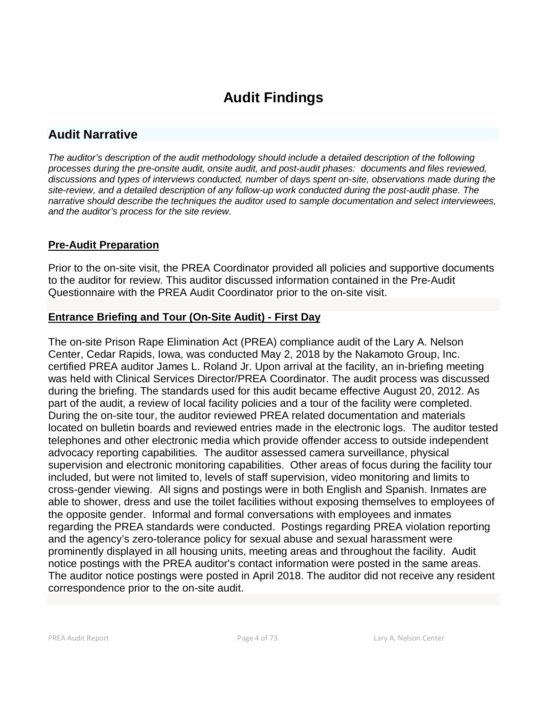# **Audit Findings**

# **Audit Narrative**

*The auditor's description of the audit methodology should include a detailed description of the following processes during the pre-onsite audit, onsite audit, and post-audit phases: documents and files reviewed, discussions and types of interviews conducted, number of days spent on-site, observations made during the site-review, and a detailed description of any follow-up work conducted during the post-audit phase. The narrative should describe the techniques the auditor used to sample documentation and select interviewees, and the auditor's process for the site review.*

# **Pre-Audit Preparation**

Prior to the on-site visit, the PREA Coordinator provided all policies and supportive documents to the auditor for review. This auditor discussed information contained in the Pre-Audit Questionnaire with the PREA Audit Coordinator prior to the on-site visit.

# **Entrance Briefing and Tour (On-Site Audit) - First Day**

The on-site Prison Rape Elimination Act (PREA) compliance audit of the Lary A. Nelson Center, Cedar Rapids, Iowa, was conducted May 2, 2018 by the Nakamoto Group, Inc. certified PREA auditor James L. Roland Jr. Upon arrival at the facility, an in-briefing meeting was held with Clinical Services Director/PREA Coordinator. The audit process was discussed during the briefing. The standards used for this audit became effective August 20, 2012. As part of the audit, a review of local facility policies and a tour of the facility were completed. During the on-site tour, the auditor reviewed PREA related documentation and materials located on bulletin boards and reviewed entries made in the electronic logs. The auditor tested telephones and other electronic media which provide offender access to outside independent advocacy reporting capabilities. The auditor assessed camera surveillance, physical supervision and electronic monitoring capabilities. Other areas of focus during the facility tour included, but were not limited to, levels of staff supervision, video monitoring and limits to cross-gender viewing. All signs and postings were in both English and Spanish. Inmates are able to shower, dress and use the toilet facilities without exposing themselves to employees of the opposite gender. Informal and formal conversations with employees and inmates regarding the PREA standards were conducted. Postings regarding PREA violation reporting and the agency's zero-tolerance policy for sexual abuse and sexual harassment were prominently displayed in all housing units, meeting areas and throughout the facility. Audit notice postings with the PREA auditor's contact information were posted in the same areas. The auditor notice postings were posted in April 2018. The auditor did not receive any resident correspondence prior to the on-site audit.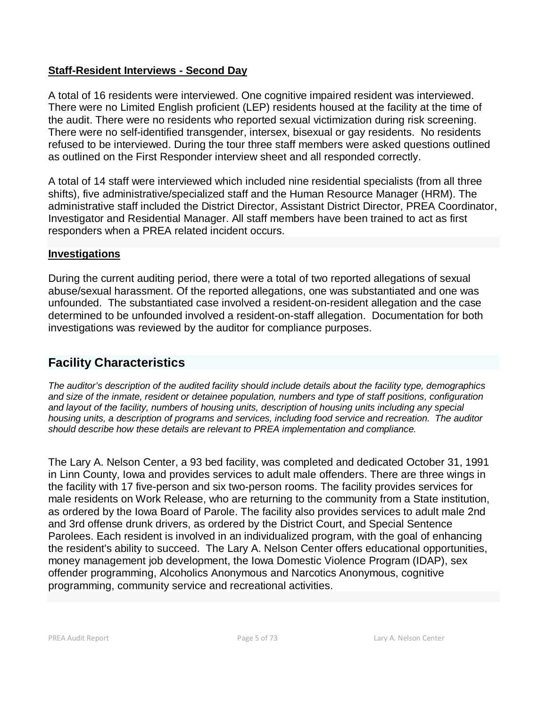# **Staff-Resident Interviews - Second Day**

A total of 16 residents were interviewed. One cognitive impaired resident was interviewed. There were no Limited English proficient (LEP) residents housed at the facility at the time of the audit. There were no residents who reported sexual victimization during risk screening. There were no self-identified transgender, intersex, bisexual or gay residents. No residents refused to be interviewed. During the tour three staff members were asked questions outlined as outlined on the First Responder interview sheet and all responded correctly.

A total of 14 staff were interviewed which included nine residential specialists (from all three shifts), five administrative/specialized staff and the Human Resource Manager (HRM). The administrative staff included the District Director, Assistant District Director, PREA Coordinator, Investigator and Residential Manager. All staff members have been trained to act as first responders when a PREA related incident occurs.

# **Investigations**

During the current auditing period, there were a total of two reported allegations of sexual abuse/sexual harassment. Of the reported allegations, one was substantiated and one was unfounded. The substantiated case involved a resident-on-resident allegation and the case determined to be unfounded involved a resident-on-staff allegation. Documentation for both investigations was reviewed by the auditor for compliance purposes.

# **Facility Characteristics**

*The auditor's description of the audited facility should include details about the facility type, demographics and size of the inmate, resident or detainee population, numbers and type of staff positions, configuration and layout of the facility, numbers of housing units, description of housing units including any special housing units, a description of programs and services, including food service and recreation. The auditor should describe how these details are relevant to PREA implementation and compliance.*

The Lary A. Nelson Center, a 93 bed facility, was completed and dedicated October 31, 1991 in Linn County, Iowa and provides services to adult male offenders. There are three wings in the facility with 17 five-person and six two-person rooms. The facility provides services for male residents on Work Release, who are returning to the community from a State institution, as ordered by the Iowa Board of Parole. The facility also provides services to adult male 2nd and 3rd offense drunk drivers, as ordered by the District Court, and Special Sentence Parolees. Each resident is involved in an individualized program, with the goal of enhancing the resident's ability to succeed. The Lary A. Nelson Center offers educational opportunities, money management job development, the Iowa Domestic Violence Program (IDAP), sex offender programming, Alcoholics Anonymous and Narcotics Anonymous, cognitive programming, community service and recreational activities.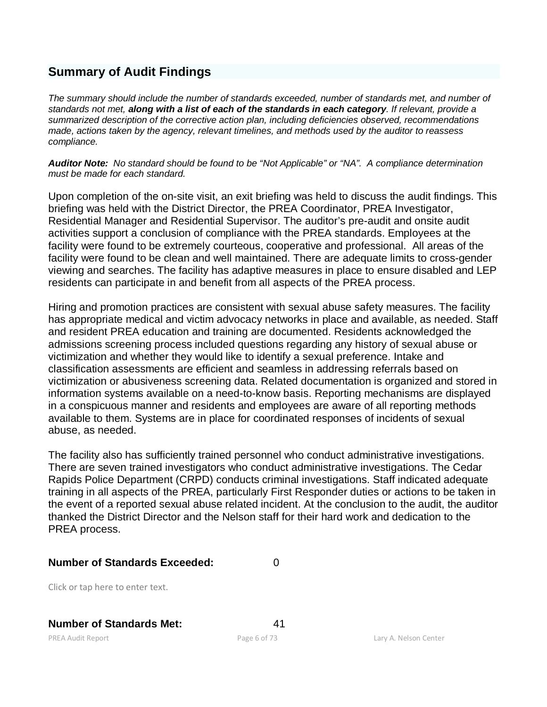# **Summary of Audit Findings**

*The summary should include the number of standards exceeded, number of standards met, and number of standards not met, along with a list of each of the standards in each category. If relevant, provide a summarized description of the corrective action plan, including deficiencies observed, recommendations made, actions taken by the agency, relevant timelines, and methods used by the auditor to reassess compliance.*

*Auditor Note: No standard should be found to be "Not Applicable" or "NA". A compliance determination must be made for each standard.*

Upon completion of the on-site visit, an exit briefing was held to discuss the audit findings. This briefing was held with the District Director, the PREA Coordinator, PREA Investigator, Residential Manager and Residential Supervisor. The auditor's pre-audit and onsite audit activities support a conclusion of compliance with the PREA standards. Employees at the facility were found to be extremely courteous, cooperative and professional. All areas of the facility were found to be clean and well maintained. There are adequate limits to cross-gender viewing and searches. The facility has adaptive measures in place to ensure disabled and LEP residents can participate in and benefit from all aspects of the PREA process.

Hiring and promotion practices are consistent with sexual abuse safety measures. The facility has appropriate medical and victim advocacy networks in place and available, as needed. Staff and resident PREA education and training are documented. Residents acknowledged the admissions screening process included questions regarding any history of sexual abuse or victimization and whether they would like to identify a sexual preference. Intake and classification assessments are efficient and seamless in addressing referrals based on victimization or abusiveness screening data. Related documentation is organized and stored in information systems available on a need-to-know basis. Reporting mechanisms are displayed in a conspicuous manner and residents and employees are aware of all reporting methods available to them. Systems are in place for coordinated responses of incidents of sexual abuse, as needed.

The facility also has sufficiently trained personnel who conduct administrative investigations. There are seven trained investigators who conduct administrative investigations. The Cedar Rapids Police Department (CRPD) conducts criminal investigations. Staff indicated adequate training in all aspects of the PREA, particularly First Responder duties or actions to be taken in the event of a reported sexual abuse related incident. At the conclusion to the audit, the auditor thanked the District Director and the Nelson staff for their hard work and dedication to the PREA process.

# **Number of Standards Exceeded:** 0

Click or tap here to enter text.

# **Number of Standards Met:** 41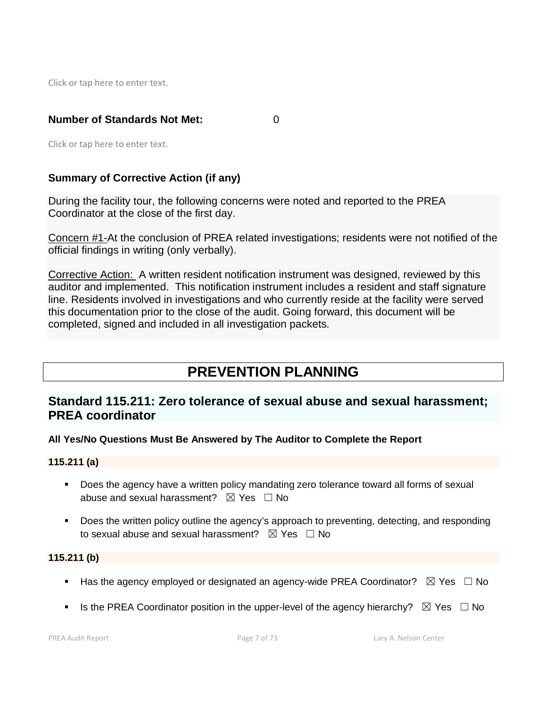Click or tap here to enter text.

# **Number of Standards Not Met:** 0

Click or tap here to enter text.

# **Summary of Corrective Action (if any)**

During the facility tour, the following concerns were noted and reported to the PREA Coordinator at the close of the first day.

Concern #1-At the conclusion of PREA related investigations; residents were not notified of the official findings in writing (only verbally).

Corrective Action: A written resident notification instrument was designed, reviewed by this auditor and implemented. This notification instrument includes a resident and staff signature line. Residents involved in investigations and who currently reside at the facility were served this documentation prior to the close of the audit. Going forward, this document will be completed, signed and included in all investigation packets.

# **PREVENTION PLANNING**

# **Standard 115.211: Zero tolerance of sexual abuse and sexual harassment; PREA coordinator**

**All Yes/No Questions Must Be Answered by The Auditor to Complete the Report**

# **115.211 (a)**

- **Does the agency have a written policy mandating zero tolerance toward all forms of sexual** abuse and sexual harassment?  $\boxtimes$  Yes  $\Box$  No
- Does the written policy outline the agency's approach to preventing, detecting, and responding to sexual abuse and sexual harassment?  $\boxtimes$  Yes  $\Box$  No

# **115.211 (b)**

- Has the agency employed or designated an agency-wide PREA Coordinator?  $\boxtimes$  Yes  $\Box$  No
- Is the PREA Coordinator position in the upper-level of the agency hierarchy?  $\boxtimes$  Yes  $\Box$  No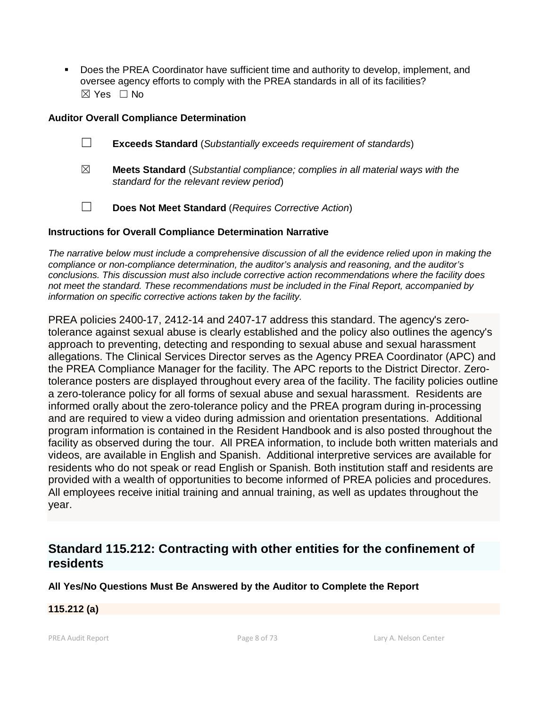Does the PREA Coordinator have sufficient time and authority to develop, implement, and oversee agency efforts to comply with the PREA standards in all of its facilities? ☒ Yes ☐ No

### **Auditor Overall Compliance Determination**

- ☐ **Exceeds Standard** (*Substantially exceeds requirement of standards*)
- ☒ **Meets Standard** (*Substantial compliance; complies in all material ways with the standard for the relevant review period*)
- ☐ **Does Not Meet Standard** (*Requires Corrective Action*)

#### **Instructions for Overall Compliance Determination Narrative**

*The narrative below must include a comprehensive discussion of all the evidence relied upon in making the compliance or non-compliance determination, the auditor's analysis and reasoning, and the auditor's conclusions. This discussion must also include corrective action recommendations where the facility does not meet the standard. These recommendations must be included in the Final Report, accompanied by information on specific corrective actions taken by the facility.*

PREA policies 2400-17, 2412-14 and 2407-17 address this standard. The agency's zerotolerance against sexual abuse is clearly established and the policy also outlines the agency's approach to preventing, detecting and responding to sexual abuse and sexual harassment allegations. The Clinical Services Director serves as the Agency PREA Coordinator (APC) and the PREA Compliance Manager for the facility. The APC reports to the District Director. Zerotolerance posters are displayed throughout every area of the facility. The facility policies outline a zero-tolerance policy for all forms of sexual abuse and sexual harassment. Residents are informed orally about the zero-tolerance policy and the PREA program during in-processing and are required to view a video during admission and orientation presentations. Additional program information is contained in the Resident Handbook and is also posted throughout the facility as observed during the tour. All PREA information, to include both written materials and videos, are available in English and Spanish. Additional interpretive services are available for residents who do not speak or read English or Spanish. Both institution staff and residents are provided with a wealth of opportunities to become informed of PREA policies and procedures. All employees receive initial training and annual training, as well as updates throughout the year.

# **Standard 115.212: Contracting with other entities for the confinement of residents**

**All Yes/No Questions Must Be Answered by the Auditor to Complete the Report**

# **115.212 (a)**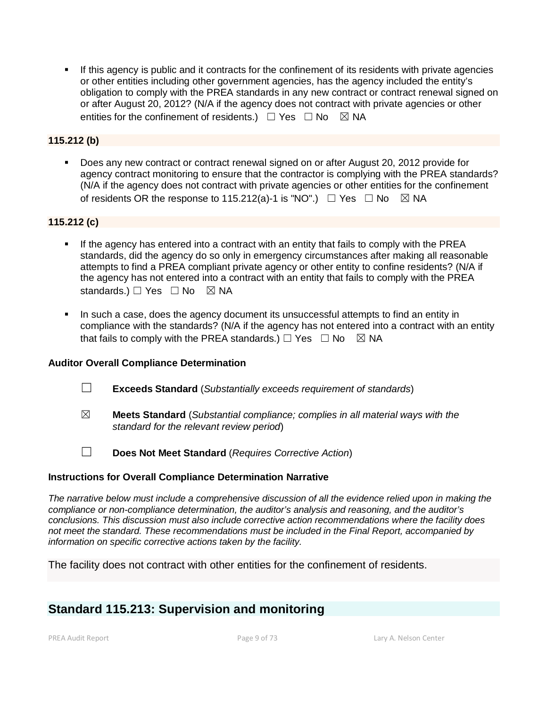If this agency is public and it contracts for the confinement of its residents with private agencies or other entities including other government agencies, has the agency included the entity's obligation to comply with the PREA standards in any new contract or contract renewal signed on or after August 20, 2012? (N/A if the agency does not contract with private agencies or other entities for the confinement of residents.)  $\Box$  Yes  $\Box$  No  $\boxtimes$  NA

# **115.212 (b)**

 Does any new contract or contract renewal signed on or after August 20, 2012 provide for agency contract monitoring to ensure that the contractor is complying with the PREA standards? (N/A if the agency does not contract with private agencies or other entities for the confinement of residents OR the response to 115.212(a)-1 is "NO".)  $\Box$  Yes  $\Box$  No  $\boxtimes$  NA

# **115.212 (c)**

- If the agency has entered into a contract with an entity that fails to comply with the PREA standards, did the agency do so only in emergency circumstances after making all reasonable attempts to find a PREA compliant private agency or other entity to confine residents? (N/A if the agency has not entered into a contract with an entity that fails to comply with the PREA standards.)  $\Box$  Yes  $\Box$  No  $\boxtimes$  NA
- In such a case, does the agency document its unsuccessful attempts to find an entity in compliance with the standards? (N/A if the agency has not entered into a contract with an entity that fails to comply with the PREA standards.)  $\Box$  Yes  $\Box$  No  $\boxtimes$  NA

# **Auditor Overall Compliance Determination**

- ☐ **Exceeds Standard** (*Substantially exceeds requirement of standards*)
- ☒ **Meets Standard** (*Substantial compliance; complies in all material ways with the standard for the relevant review period*)
- ☐ **Does Not Meet Standard** (*Requires Corrective Action*)

#### **Instructions for Overall Compliance Determination Narrative**

*The narrative below must include a comprehensive discussion of all the evidence relied upon in making the compliance or non-compliance determination, the auditor's analysis and reasoning, and the auditor's conclusions. This discussion must also include corrective action recommendations where the facility does not meet the standard. These recommendations must be included in the Final Report, accompanied by information on specific corrective actions taken by the facility.*

The facility does not contract with other entities for the confinement of residents.

# **Standard 115.213: Supervision and monitoring**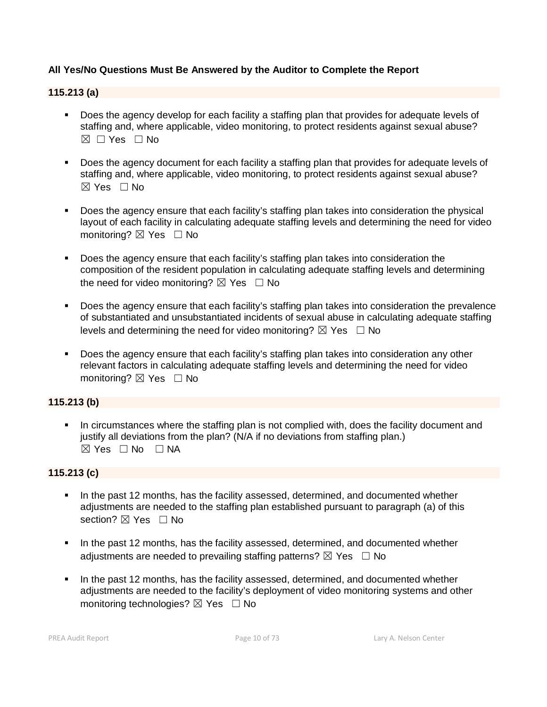# **All Yes/No Questions Must Be Answered by the Auditor to Complete the Report**

#### **115.213 (a)**

- Does the agency develop for each facility a staffing plan that provides for adequate levels of staffing and, where applicable, video monitoring, to protect residents against sexual abuse?  $\boxtimes \Box$  Yes  $\Box$  No
- Does the agency document for each facility a staffing plan that provides for adequate levels of staffing and, where applicable, video monitoring, to protect residents against sexual abuse?  $\boxtimes$  Yes  $\Box$  No
- Does the agency ensure that each facility's staffing plan takes into consideration the physical layout of each facility in calculating adequate staffing levels and determining the need for video monitoring?  $\boxtimes$  Yes  $\Box$  No
- Does the agency ensure that each facility's staffing plan takes into consideration the composition of the resident population in calculating adequate staffing levels and determining the need for video monitoring?  $\boxtimes$  Yes  $\Box$  No
- Does the agency ensure that each facility's staffing plan takes into consideration the prevalence of substantiated and unsubstantiated incidents of sexual abuse in calculating adequate staffing levels and determining the need for video monitoring?  $\boxtimes$  Yes  $\Box$  No
- Does the agency ensure that each facility's staffing plan takes into consideration any other relevant factors in calculating adequate staffing levels and determining the need for video monitoring? ⊠ Yes □ No

# **115.213 (b)**

 In circumstances where the staffing plan is not complied with, does the facility document and justify all deviations from the plan? (N/A if no deviations from staffing plan.)  $\boxtimes$  Yes  $\Box$  No  $\Box$  NA

# **115.213 (c)**

- In the past 12 months, has the facility assessed, determined, and documented whether adjustments are needed to the staffing plan established pursuant to paragraph (a) of this section? **⊠** Yes □ No
- In the past 12 months, has the facility assessed, determined, and documented whether adiustments are needed to prevailing staffing patterns?  $\boxtimes$  Yes  $\Box$  No
- In the past 12 months, has the facility assessed, determined, and documented whether adjustments are needed to the facility's deployment of video monitoring systems and other monitoring technologies?  $\boxtimes$  Yes  $\Box$  No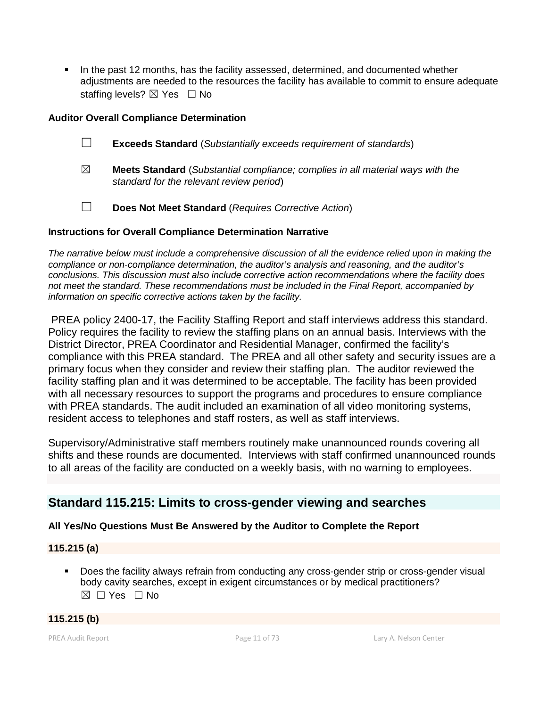In the past 12 months, has the facility assessed, determined, and documented whether adjustments are needed to the resources the facility has available to commit to ensure adequate staffing levels? ⊠ Yes □ No

# **Auditor Overall Compliance Determination**

- ☐ **Exceeds Standard** (*Substantially exceeds requirement of standards*)
- ☒ **Meets Standard** (*Substantial compliance; complies in all material ways with the standard for the relevant review period*)
- ☐ **Does Not Meet Standard** (*Requires Corrective Action*)

# **Instructions for Overall Compliance Determination Narrative**

*The narrative below must include a comprehensive discussion of all the evidence relied upon in making the compliance or non-compliance determination, the auditor's analysis and reasoning, and the auditor's conclusions. This discussion must also include corrective action recommendations where the facility does not meet the standard. These recommendations must be included in the Final Report, accompanied by information on specific corrective actions taken by the facility.*

PREA policy 2400-17, the Facility Staffing Report and staff interviews address this standard. Policy requires the facility to review the staffing plans on an annual basis. Interviews with the District Director, PREA Coordinator and Residential Manager, confirmed the facility's compliance with this PREA standard. The PREA and all other safety and security issues are a primary focus when they consider and review their staffing plan. The auditor reviewed the facility staffing plan and it was determined to be acceptable. The facility has been provided with all necessary resources to support the programs and procedures to ensure compliance with PREA standards. The audit included an examination of all video monitoring systems, resident access to telephones and staff rosters, as well as staff interviews.

Supervisory/Administrative staff members routinely make unannounced rounds covering all shifts and these rounds are documented. Interviews with staff confirmed unannounced rounds to all areas of the facility are conducted on a weekly basis, with no warning to employees.

# **Standard 115.215: Limits to cross-gender viewing and searches**

# **All Yes/No Questions Must Be Answered by the Auditor to Complete the Report**

# **115.215 (a)**

 Does the facility always refrain from conducting any cross-gender strip or cross-gender visual body cavity searches, except in exigent circumstances or by medical practitioners?  $\boxtimes$   $\Box$  Yes  $\Box$  No

# **115.215 (b)**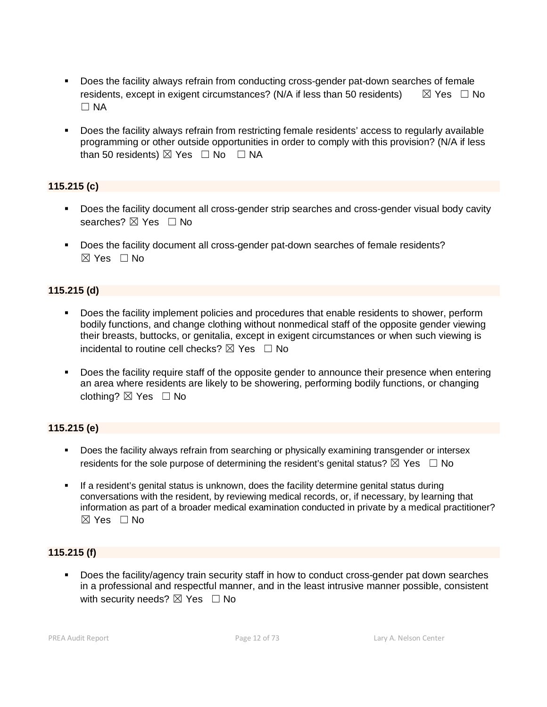- Does the facility always refrain from conducting cross-gender pat-down searches of female residents, except in exigent circumstances? (N/A if less than 50 residents)  $\boxtimes$  Yes  $\Box$  No  $\Box$  NA
- Does the facility always refrain from restricting female residents' access to regularly available programming or other outside opportunities in order to comply with this provision? (N/A if less than 50 residents)  $\boxtimes$  Yes  $\Box$  No  $\Box$  NA

# **115.215 (c)**

- Does the facility document all cross-gender strip searches and cross-gender visual body cavity searches? ⊠ Yes □ No
- Does the facility document all cross-gender pat-down searches of female residents?  $\boxtimes$  Yes  $\Box$  No

# **115.215 (d)**

- Does the facility implement policies and procedures that enable residents to shower, perform bodily functions, and change clothing without nonmedical staff of the opposite gender viewing their breasts, buttocks, or genitalia, except in exigent circumstances or when such viewing is incidental to routine cell checks?  $\boxtimes$  Yes  $\Box$  No
- Does the facility require staff of the opposite gender to announce their presence when entering an area where residents are likely to be showering, performing bodily functions, or changing clothing? ☒ Yes ☐ No

# **115.215 (e)**

- **Does the facility always refrain from searching or physically examining transgender or intersex** residents for the sole purpose of determining the resident's genital status?  $\boxtimes$  Yes  $\Box$  No
- If a resident's genital status is unknown, does the facility determine genital status during conversations with the resident, by reviewing medical records, or, if necessary, by learning that information as part of a broader medical examination conducted in private by a medical practitioner?  $\boxtimes$  Yes  $\Box$  No

# **115.215 (f)**

 Does the facility/agency train security staff in how to conduct cross-gender pat down searches in a professional and respectful manner, and in the least intrusive manner possible, consistent with security needs?  $\boxtimes$  Yes  $\Box$  No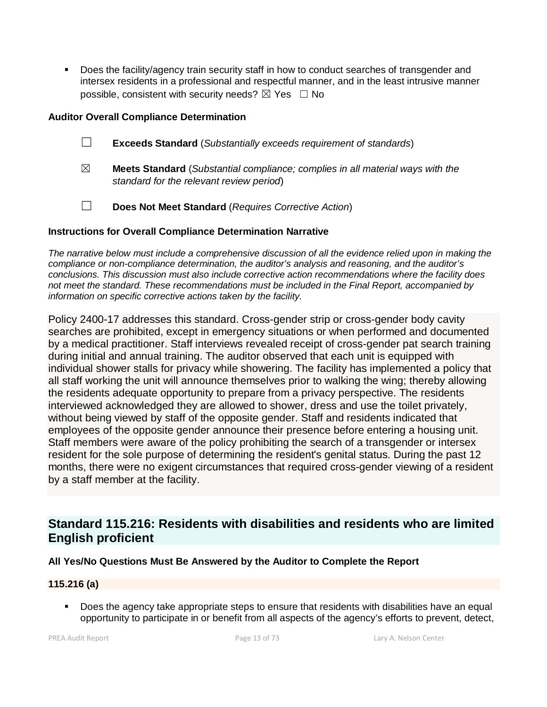Does the facility/agency train security staff in how to conduct searches of transgender and intersex residents in a professional and respectful manner, and in the least intrusive manner possible, consistent with security needs?  $\boxtimes$  Yes  $\Box$  No

# **Auditor Overall Compliance Determination**

- ☐ **Exceeds Standard** (*Substantially exceeds requirement of standards*)
- ☒ **Meets Standard** (*Substantial compliance; complies in all material ways with the standard for the relevant review period*)
- ☐ **Does Not Meet Standard** (*Requires Corrective Action*)

# **Instructions for Overall Compliance Determination Narrative**

*The narrative below must include a comprehensive discussion of all the evidence relied upon in making the compliance or non-compliance determination, the auditor's analysis and reasoning, and the auditor's conclusions. This discussion must also include corrective action recommendations where the facility does not meet the standard. These recommendations must be included in the Final Report, accompanied by information on specific corrective actions taken by the facility.*

Policy 2400-17 addresses this standard. Cross-gender strip or cross-gender body cavity searches are prohibited, except in emergency situations or when performed and documented by a medical practitioner. Staff interviews revealed receipt of cross-gender pat search training during initial and annual training. The auditor observed that each unit is equipped with individual shower stalls for privacy while showering. The facility has implemented a policy that all staff working the unit will announce themselves prior to walking the wing; thereby allowing the residents adequate opportunity to prepare from a privacy perspective. The residents interviewed acknowledged they are allowed to shower, dress and use the toilet privately, without being viewed by staff of the opposite gender. Staff and residents indicated that employees of the opposite gender announce their presence before entering a housing unit. Staff members were aware of the policy prohibiting the search of a transgender or intersex resident for the sole purpose of determining the resident's genital status. During the past 12 months, there were no exigent circumstances that required cross-gender viewing of a resident by a staff member at the facility.

# **Standard 115.216: Residents with disabilities and residents who are limited English proficient**

# **All Yes/No Questions Must Be Answered by the Auditor to Complete the Report**

# **115.216 (a)**

**Does the agency take appropriate steps to ensure that residents with disabilities have an equal** opportunity to participate in or benefit from all aspects of the agency's efforts to prevent, detect,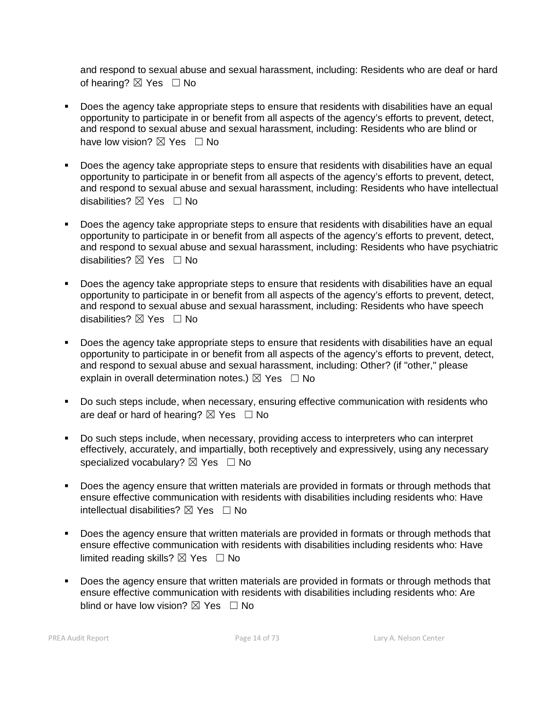and respond to sexual abuse and sexual harassment, including: Residents who are deaf or hard of hearing?  $\boxtimes$  Yes  $\Box$  No

- Does the agency take appropriate steps to ensure that residents with disabilities have an equal opportunity to participate in or benefit from all aspects of the agency's efforts to prevent, detect, and respond to sexual abuse and sexual harassment, including: Residents who are blind or have low vision?  $\boxtimes$  Yes  $\Box$  No
- Does the agency take appropriate steps to ensure that residents with disabilities have an equal opportunity to participate in or benefit from all aspects of the agency's efforts to prevent, detect, and respond to sexual abuse and sexual harassment, including: Residents who have intellectual disabilities? ⊠ Yes □ No
- Does the agency take appropriate steps to ensure that residents with disabilities have an equal opportunity to participate in or benefit from all aspects of the agency's efforts to prevent, detect, and respond to sexual abuse and sexual harassment, including: Residents who have psychiatric disabilities?  $\boxtimes$  Yes  $\Box$  No
- Does the agency take appropriate steps to ensure that residents with disabilities have an equal opportunity to participate in or benefit from all aspects of the agency's efforts to prevent, detect, and respond to sexual abuse and sexual harassment, including: Residents who have speech disabilities?  $\boxtimes$  Yes  $\Box$  No
- Does the agency take appropriate steps to ensure that residents with disabilities have an equal opportunity to participate in or benefit from all aspects of the agency's efforts to prevent, detect, and respond to sexual abuse and sexual harassment, including: Other? (if "other," please explain in overall determination notes.)  $\boxtimes$  Yes  $\Box$  No
- Do such steps include, when necessary, ensuring effective communication with residents who are deaf or hard of hearing?  $\boxtimes$  Yes  $\Box$  No
- Do such steps include, when necessary, providing access to interpreters who can interpret effectively, accurately, and impartially, both receptively and expressively, using any necessary specialized vocabulary?  $\boxtimes$  Yes  $\Box$  No
- Does the agency ensure that written materials are provided in formats or through methods that ensure effective communication with residents with disabilities including residents who: Have intellectual disabilities?  $\boxtimes$  Yes  $\Box$  No
- Does the agency ensure that written materials are provided in formats or through methods that ensure effective communication with residents with disabilities including residents who: Have limited reading skills?  $\boxtimes$  Yes  $\Box$  No
- Does the agency ensure that written materials are provided in formats or through methods that ensure effective communication with residents with disabilities including residents who: Are blind or have low vision?  $\boxtimes$  Yes  $\Box$  No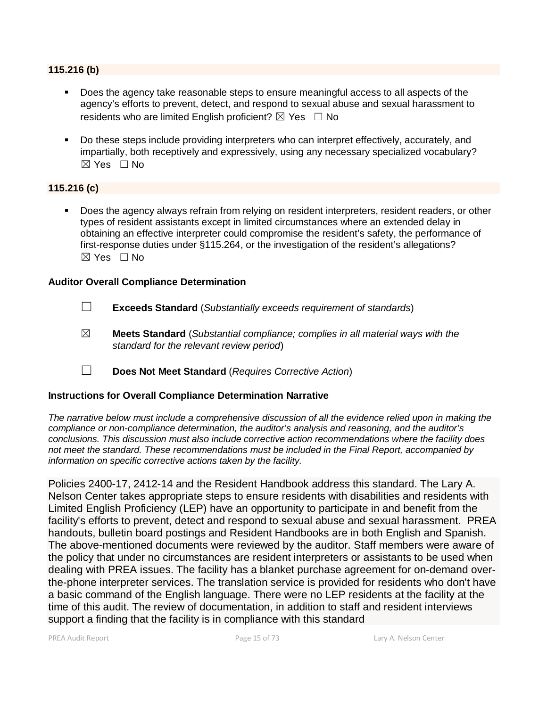# **115.216 (b)**

- Does the agency take reasonable steps to ensure meaningful access to all aspects of the agency's efforts to prevent, detect, and respond to sexual abuse and sexual harassment to residents who are limited English proficient?  $\boxtimes$  Yes  $\Box$  No
- Do these steps include providing interpreters who can interpret effectively, accurately, and impartially, both receptively and expressively, using any necessary specialized vocabulary?  $\boxtimes$  Yes  $\Box$  No

# **115.216 (c)**

 Does the agency always refrain from relying on resident interpreters, resident readers, or other types of resident assistants except in limited circumstances where an extended delay in obtaining an effective interpreter could compromise the resident's safety, the performance of first-response duties under §115.264, or the investigation of the resident's allegations?  $\boxtimes$  Yes  $\Box$  No.

#### **Auditor Overall Compliance Determination**

- ☐ **Exceeds Standard** (*Substantially exceeds requirement of standards*)
- ☒ **Meets Standard** (*Substantial compliance; complies in all material ways with the standard for the relevant review period*)
- ☐ **Does Not Meet Standard** (*Requires Corrective Action*)

# **Instructions for Overall Compliance Determination Narrative**

*The narrative below must include a comprehensive discussion of all the evidence relied upon in making the compliance or non-compliance determination, the auditor's analysis and reasoning, and the auditor's conclusions. This discussion must also include corrective action recommendations where the facility does not meet the standard. These recommendations must be included in the Final Report, accompanied by information on specific corrective actions taken by the facility.*

Policies 2400-17, 2412-14 and the Resident Handbook address this standard. The Lary A. Nelson Center takes appropriate steps to ensure residents with disabilities and residents with Limited English Proficiency (LEP) have an opportunity to participate in and benefit from the facility's efforts to prevent, detect and respond to sexual abuse and sexual harassment. PREA handouts, bulletin board postings and Resident Handbooks are in both English and Spanish. The above-mentioned documents were reviewed by the auditor. Staff members were aware of the policy that under no circumstances are resident interpreters or assistants to be used when dealing with PREA issues. The facility has a blanket purchase agreement for on-demand overthe-phone interpreter services. The translation service is provided for residents who don't have a basic command of the English language. There were no LEP residents at the facility at the time of this audit. The review of documentation, in addition to staff and resident interviews support a finding that the facility is in compliance with this standard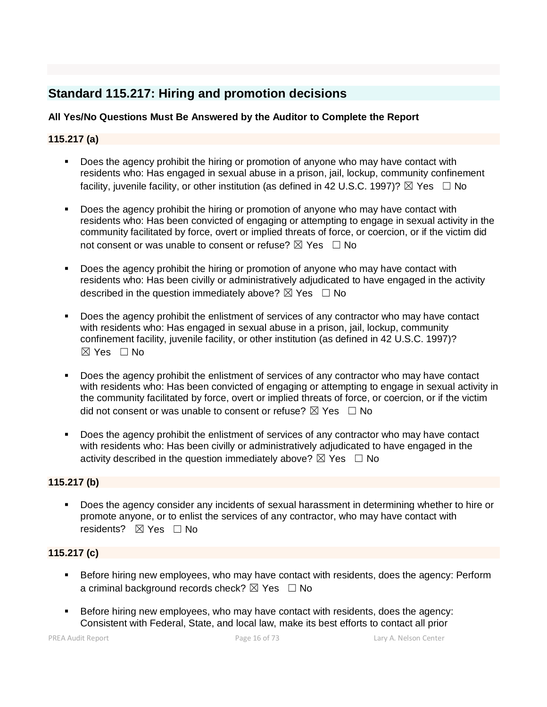# **Standard 115.217: Hiring and promotion decisions**

# **All Yes/No Questions Must Be Answered by the Auditor to Complete the Report**

# **115.217 (a)**

- Does the agency prohibit the hiring or promotion of anyone who may have contact with residents who: Has engaged in sexual abuse in a prison, jail, lockup, community confinement facility, juvenile facility, or other institution (as defined in 42 U.S.C. 1997)?  $\boxtimes$  Yes  $\Box$  No
- Does the agency prohibit the hiring or promotion of anyone who may have contact with residents who: Has been convicted of engaging or attempting to engage in sexual activity in the community facilitated by force, overt or implied threats of force, or coercion, or if the victim did not consent or was unable to consent or refuse?  $\boxtimes$  Yes  $\Box$  No
- Does the agency prohibit the hiring or promotion of anyone who may have contact with residents who: Has been civilly or administratively adjudicated to have engaged in the activity described in the question immediately above?  $\boxtimes$  Yes  $\Box$  No
- Does the agency prohibit the enlistment of services of any contractor who may have contact with residents who: Has engaged in sexual abuse in a prison, jail, lockup, community confinement facility, juvenile facility, or other institution (as defined in 42 U.S.C. 1997)?  $\boxtimes$  Yes  $\Box$  No.
- Does the agency prohibit the enlistment of services of any contractor who may have contact with residents who: Has been convicted of engaging or attempting to engage in sexual activity in the community facilitated by force, overt or implied threats of force, or coercion, or if the victim did not consent or was unable to consent or refuse?  $\boxtimes$  Yes  $\Box$  No
- Does the agency prohibit the enlistment of services of any contractor who may have contact with residents who: Has been civilly or administratively adjudicated to have engaged in the activity described in the question immediately above?  $\boxtimes$  Yes  $\Box$  No

# **115.217 (b)**

 Does the agency consider any incidents of sexual harassment in determining whether to hire or promote anyone, or to enlist the services of any contractor, who may have contact with residents? **⊠** Yes □ No

# **115.217 (c)**

- Before hiring new employees, who may have contact with residents, does the agency: Perform a criminal background records check?  $\boxtimes$  Yes  $\Box$  No
- Before hiring new employees, who may have contact with residents, does the agency: Consistent with Federal, State, and local law, make its best efforts to contact all prior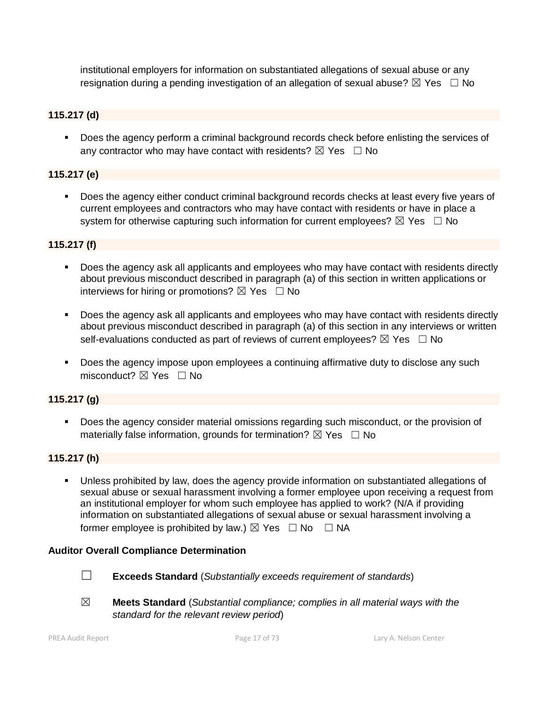institutional employers for information on substantiated allegations of sexual abuse or any resignation during a pending investigation of an allegation of sexual abuse?  $\boxtimes$  Yes  $\Box$  No

# **115.217 (d)**

 Does the agency perform a criminal background records check before enlisting the services of any contractor who may have contact with residents?  $\boxtimes$  Yes  $\Box$  No

# **115.217 (e)**

 Does the agency either conduct criminal background records checks at least every five years of current employees and contractors who may have contact with residents or have in place a system for otherwise capturing such information for current employees?  $\boxtimes$  Yes  $\Box$  No

# **115.217 (f)**

- Does the agency ask all applicants and employees who may have contact with residents directly about previous misconduct described in paragraph (a) of this section in written applications or interviews for hiring or promotions?  $\boxtimes$  Yes  $\Box$  No
- Does the agency ask all applicants and employees who may have contact with residents directly about previous misconduct described in paragraph (a) of this section in any interviews or written self-evaluations conducted as part of reviews of current employees?  $\boxtimes$  Yes  $\Box$  No
- Does the agency impose upon employees a continuing affirmative duty to disclose any such  $m$ isconduct?  $\nabla$  Yes  $\Box$  No

# **115.217 (g)**

 Does the agency consider material omissions regarding such misconduct, or the provision of materially false information, grounds for termination?  $\boxtimes$  Yes  $\Box$  No

# **115.217 (h)**

 Unless prohibited by law, does the agency provide information on substantiated allegations of sexual abuse or sexual harassment involving a former employee upon receiving a request from an institutional employer for whom such employee has applied to work? (N/A if providing information on substantiated allegations of sexual abuse or sexual harassment involving a former employee is prohibited by law.)  $\boxtimes$  Yes  $\Box$  No  $\Box$  NA

# **Auditor Overall Compliance Determination**

- 
- ☐ **Exceeds Standard** (*Substantially exceeds requirement of standards*)
- ☒ **Meets Standard** (*Substantial compliance; complies in all material ways with the standard for the relevant review period*)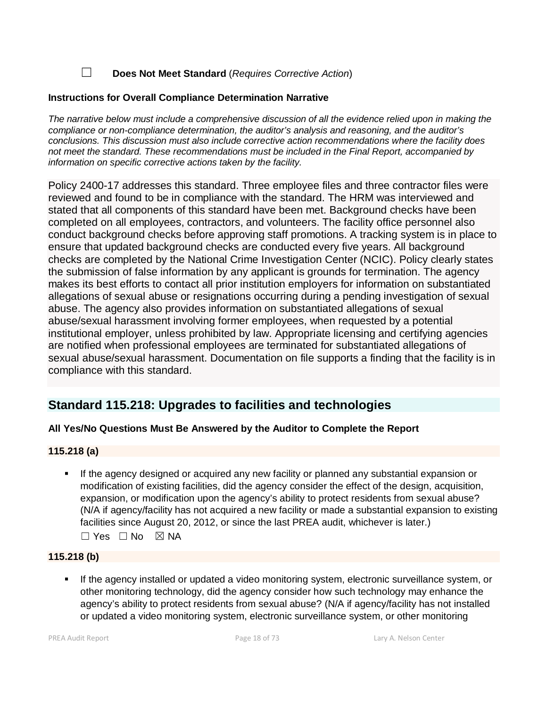☐ **Does Not Meet Standard** (*Requires Corrective Action*)

# **Instructions for Overall Compliance Determination Narrative**

*The narrative below must include a comprehensive discussion of all the evidence relied upon in making the compliance or non-compliance determination, the auditor's analysis and reasoning, and the auditor's conclusions. This discussion must also include corrective action recommendations where the facility does not meet the standard. These recommendations must be included in the Final Report, accompanied by information on specific corrective actions taken by the facility.*

Policy 2400-17 addresses this standard. Three employee files and three contractor files were reviewed and found to be in compliance with the standard. The HRM was interviewed and stated that all components of this standard have been met. Background checks have been completed on all employees, contractors, and volunteers. The facility office personnel also conduct background checks before approving staff promotions. A tracking system is in place to ensure that updated background checks are conducted every five years. All background checks are completed by the National Crime Investigation Center (NCIC). Policy clearly states the submission of false information by any applicant is grounds for termination. The agency makes its best efforts to contact all prior institution employers for information on substantiated allegations of sexual abuse or resignations occurring during a pending investigation of sexual abuse. The agency also provides information on substantiated allegations of sexual abuse/sexual harassment involving former employees, when requested by a potential institutional employer, unless prohibited by law. Appropriate licensing and certifying agencies are notified when professional employees are terminated for substantiated allegations of sexual abuse/sexual harassment. Documentation on file supports a finding that the facility is in compliance with this standard.

# **Standard 115.218: Upgrades to facilities and technologies**

# **All Yes/No Questions Must Be Answered by the Auditor to Complete the Report**

# **115.218 (a)**

 If the agency designed or acquired any new facility or planned any substantial expansion or modification of existing facilities, did the agency consider the effect of the design, acquisition, expansion, or modification upon the agency's ability to protect residents from sexual abuse? (N/A if agency/facility has not acquired a new facility or made a substantial expansion to existing facilities since August 20, 2012, or since the last PREA audit, whichever is later.) ☐ Yes ☐ No ☒ NA

# **115.218 (b)**

 If the agency installed or updated a video monitoring system, electronic surveillance system, or other monitoring technology, did the agency consider how such technology may enhance the agency's ability to protect residents from sexual abuse? (N/A if agency/facility has not installed or updated a video monitoring system, electronic surveillance system, or other monitoring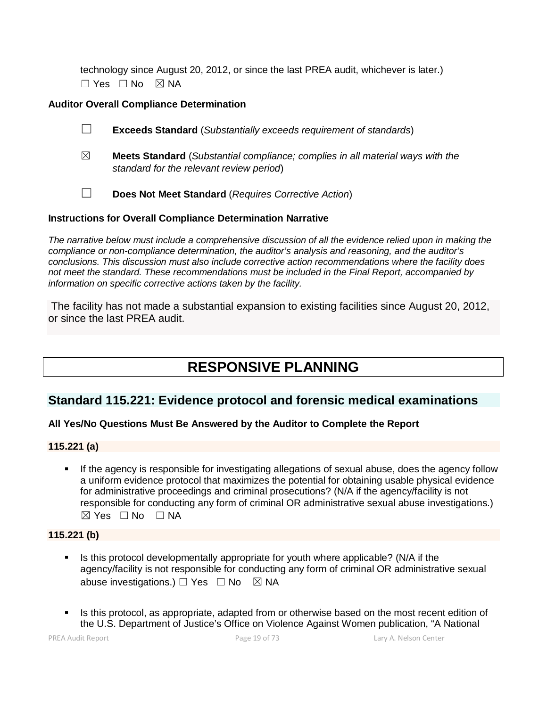technology since August 20, 2012, or since the last PREA audit, whichever is later.) ☐ Yes ☐ No ☒ NA

# **Auditor Overall Compliance Determination**

- ☐ **Exceeds Standard** (*Substantially exceeds requirement of standards*)
- ☒ **Meets Standard** (*Substantial compliance; complies in all material ways with the standard for the relevant review period*)
- ☐ **Does Not Meet Standard** (*Requires Corrective Action*)

# **Instructions for Overall Compliance Determination Narrative**

*The narrative below must include a comprehensive discussion of all the evidence relied upon in making the compliance or non-compliance determination, the auditor's analysis and reasoning, and the auditor's conclusions. This discussion must also include corrective action recommendations where the facility does not meet the standard. These recommendations must be included in the Final Report, accompanied by information on specific corrective actions taken by the facility.*

The facility has not made a substantial expansion to existing facilities since August 20, 2012, or since the last PREA audit.

# **RESPONSIVE PLANNING**

# **Standard 115.221: Evidence protocol and forensic medical examinations**

# **All Yes/No Questions Must Be Answered by the Auditor to Complete the Report**

# **115.221 (a)**

 If the agency is responsible for investigating allegations of sexual abuse, does the agency follow a uniform evidence protocol that maximizes the potential for obtaining usable physical evidence for administrative proceedings and criminal prosecutions? (N/A if the agency/facility is not responsible for conducting any form of criminal OR administrative sexual abuse investigations.) ☒ Yes ☐ No ☐ NA

# **115.221 (b)**

- Is this protocol developmentally appropriate for youth where applicable? (N/A if the agency/facility is not responsible for conducting any form of criminal OR administrative sexual abuse investigations.)  $\Box$  Yes  $\Box$  No  $\boxtimes$  NA
- Is this protocol, as appropriate, adapted from or otherwise based on the most recent edition of the U.S. Department of Justice's Office on Violence Against Women publication, "A National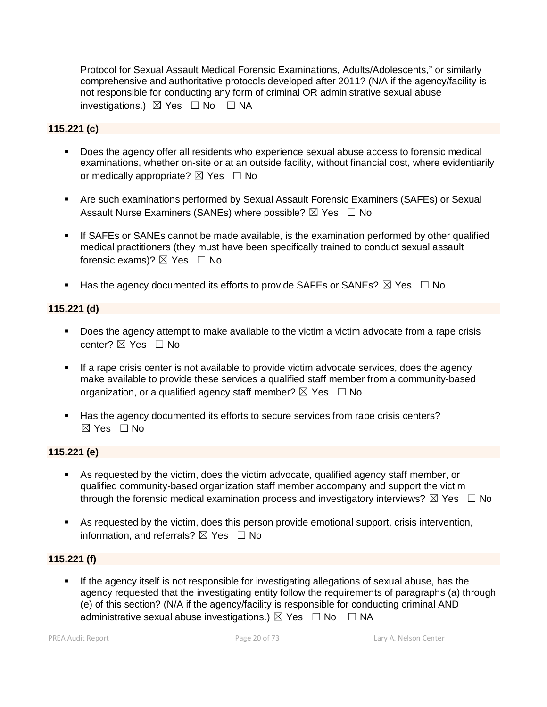Protocol for Sexual Assault Medical Forensic Examinations, Adults/Adolescents," or similarly comprehensive and authoritative protocols developed after 2011? (N/A if the agency/facility is not responsible for conducting any form of criminal OR administrative sexual abuse investigations.)  $\boxtimes$  Yes  $\Box$  No  $\Box$  NA

# **115.221 (c)**

- Does the agency offer all residents who experience sexual abuse access to forensic medical examinations, whether on-site or at an outside facility, without financial cost, where evidentiarily or medically appropriate?  $\boxtimes$  Yes  $\Box$  No
- Are such examinations performed by Sexual Assault Forensic Examiners (SAFEs) or Sexual Assault Nurse Examiners (SANEs) where possible?  $\boxtimes$  Yes  $\Box$  No
- If SAFEs or SANEs cannot be made available, is the examination performed by other qualified medical practitioners (they must have been specifically trained to conduct sexual assault forensic exams)?  $\boxtimes$  Yes  $\Box$  No
- Has the agency documented its efforts to provide SAFEs or SANEs?  $\boxtimes$  Yes  $\Box$  No

# **115.221 (d)**

- Does the agency attempt to make available to the victim a victim advocate from a rape crisis center? ⊠ Yes □ No
- **If a rape crisis center is not available to provide victim advocate services, does the agency** make available to provide these services a qualified staff member from a community-based organization, or a qualified agency staff member?  $\boxtimes$  Yes  $\Box$  No
- Has the agency documented its efforts to secure services from rape crisis centers? ☒ Yes ☐ No

# **115.221 (e)**

- As requested by the victim, does the victim advocate, qualified agency staff member, or qualified community-based organization staff member accompany and support the victim through the forensic medical examination process and investigatory interviews?  $\boxtimes$  Yes  $\Box$  No
- As requested by the victim, does this person provide emotional support, crisis intervention, information, and referrals?  $\boxtimes$  Yes  $\Box$  No

# **115.221 (f)**

 If the agency itself is not responsible for investigating allegations of sexual abuse, has the agency requested that the investigating entity follow the requirements of paragraphs (a) through (e) of this section? (N/A if the agency/facility is responsible for conducting criminal AND administrative sexual abuse investigations.)  $\boxtimes$  Yes  $\Box$  No  $\Box$  NA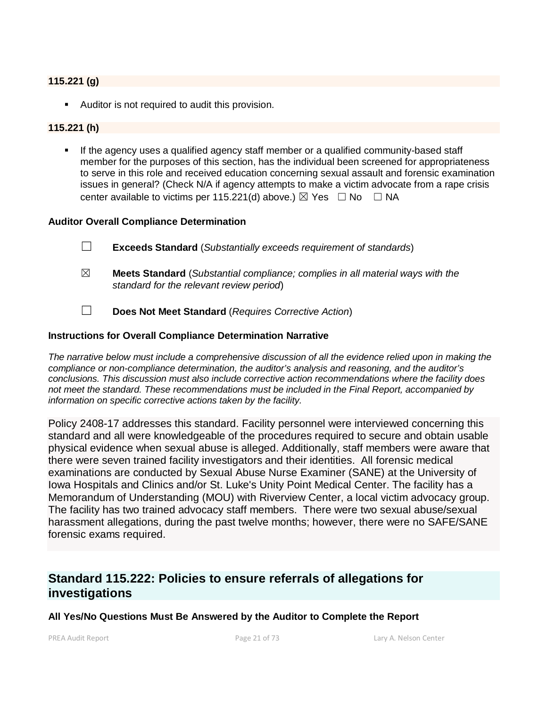# **115.221 (g)**

Auditor is not required to audit this provision.

### **115.221 (h)**

 If the agency uses a qualified agency staff member or a qualified community-based staff member for the purposes of this section, has the individual been screened for appropriateness to serve in this role and received education concerning sexual assault and forensic examination issues in general? (Check N/A if agency attempts to make a victim advocate from a rape crisis center available to victims per 115.221(d) above.)  $\boxtimes$  Yes  $\Box$  No  $\Box$  NA

#### **Auditor Overall Compliance Determination**

- ☐ **Exceeds Standard** (*Substantially exceeds requirement of standards*)
- ☒ **Meets Standard** (*Substantial compliance; complies in all material ways with the standard for the relevant review period*)
- ☐ **Does Not Meet Standard** (*Requires Corrective Action*)

#### **Instructions for Overall Compliance Determination Narrative**

*The narrative below must include a comprehensive discussion of all the evidence relied upon in making the compliance or non-compliance determination, the auditor's analysis and reasoning, and the auditor's conclusions. This discussion must also include corrective action recommendations where the facility does not meet the standard. These recommendations must be included in the Final Report, accompanied by information on specific corrective actions taken by the facility.*

Policy 2408-17 addresses this standard. Facility personnel were interviewed concerning this standard and all were knowledgeable of the procedures required to secure and obtain usable physical evidence when sexual abuse is alleged. Additionally, staff members were aware that there were seven trained facility investigators and their identities. All forensic medical examinations are conducted by Sexual Abuse Nurse Examiner (SANE) at the University of Iowa Hospitals and Clinics and/or St. Luke's Unity Point Medical Center. The facility has a Memorandum of Understanding (MOU) with Riverview Center, a local victim advocacy group. The facility has two trained advocacy staff members. There were two sexual abuse/sexual harassment allegations, during the past twelve months; however, there were no SAFE/SANE forensic exams required.

# **Standard 115.222: Policies to ensure referrals of allegations for investigations**

**All Yes/No Questions Must Be Answered by the Auditor to Complete the Report**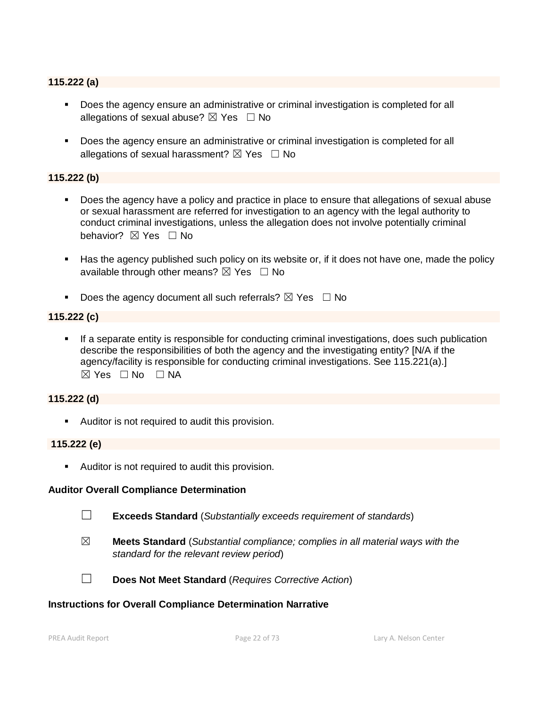#### **115.222 (a)**

- Does the agency ensure an administrative or criminal investigation is completed for all allegations of sexual abuse?  $\boxtimes$  Yes  $\Box$  No
- **Does the agency ensure an administrative or criminal investigation is completed for all** allegations of sexual harassment?  $\boxtimes$  Yes  $\Box$  No

# **115.222 (b)**

- Does the agency have a policy and practice in place to ensure that allegations of sexual abuse or sexual harassment are referred for investigation to an agency with the legal authority to conduct criminal investigations, unless the allegation does not involve potentially criminal behavior? **⊠** Yes □ No
- Has the agency published such policy on its website or, if it does not have one, made the policy available through other means?  $\boxtimes$  Yes  $\Box$  No
- Does the agency document all such referrals?  $\boxtimes$  Yes  $\Box$  No

#### **115.222 (c)**

 If a separate entity is responsible for conducting criminal investigations, does such publication describe the responsibilities of both the agency and the investigating entity? [N/A if the agency/facility is responsible for conducting criminal investigations. See 115.221(a).]  $\boxtimes$  Yes  $\Box$  No  $\Box$  NA

### **115.222 (d)**

Auditor is not required to audit this provision.

#### **115.222 (e)**

**Auditor is not required to audit this provision.** 

#### **Auditor Overall Compliance Determination**

- ☐ **Exceeds Standard** (*Substantially exceeds requirement of standards*)
- ☒ **Meets Standard** (*Substantial compliance; complies in all material ways with the standard for the relevant review period*)
- 
- ☐ **Does Not Meet Standard** (*Requires Corrective Action*)

#### **Instructions for Overall Compliance Determination Narrative**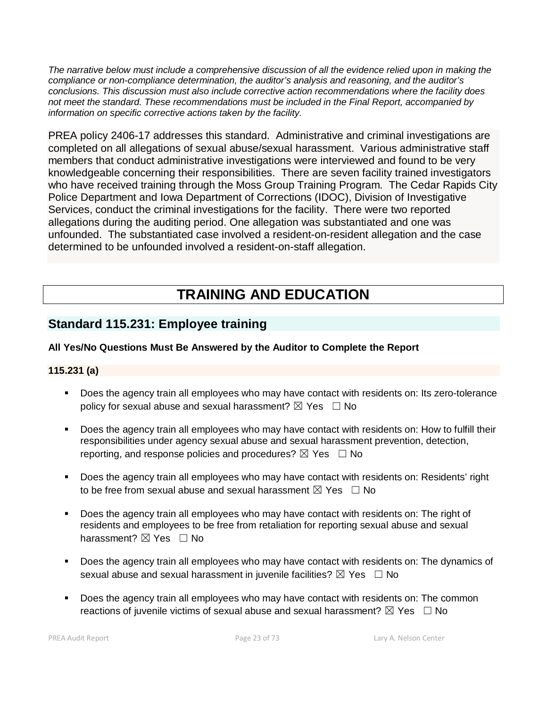*The narrative below must include a comprehensive discussion of all the evidence relied upon in making the compliance or non-compliance determination, the auditor's analysis and reasoning, and the auditor's conclusions. This discussion must also include corrective action recommendations where the facility does not meet the standard. These recommendations must be included in the Final Report, accompanied by information on specific corrective actions taken by the facility.*

PREA policy 2406-17 addresses this standard. Administrative and criminal investigations are completed on all allegations of sexual abuse/sexual harassment. Various administrative staff members that conduct administrative investigations were interviewed and found to be very knowledgeable concerning their responsibilities. There are seven facility trained investigators who have received training through the Moss Group Training Program. The Cedar Rapids City Police Department and Iowa Department of Corrections (IDOC), Division of Investigative Services, conduct the criminal investigations for the facility. There were two reported allegations during the auditing period. One allegation was substantiated and one was unfounded. The substantiated case involved a resident-on-resident allegation and the case determined to be unfounded involved a resident-on-staff allegation.

# **TRAINING AND EDUCATION**

# **Standard 115.231: Employee training**

# **All Yes/No Questions Must Be Answered by the Auditor to Complete the Report**

# **115.231 (a)**

- Does the agency train all employees who may have contact with residents on: Its zero-tolerance policy for sexual abuse and sexual harassment?  $\boxtimes$  Yes  $\Box$  No
- Does the agency train all employees who may have contact with residents on: How to fulfill their responsibilities under agency sexual abuse and sexual harassment prevention, detection, reporting, and response policies and procedures?  $\boxtimes$  Yes  $\Box$  No
- Does the agency train all employees who may have contact with residents on: Residents' right to be free from sexual abuse and sexual harassment  $\boxtimes$  Yes  $\Box$  No
- Does the agency train all employees who may have contact with residents on: The right of residents and employees to be free from retaliation for reporting sexual abuse and sexual harassment?  $\boxtimes$  Yes  $\Box$  No
- Does the agency train all employees who may have contact with residents on: The dynamics of sexual abuse and sexual harassment in juvenile facilities?  $\boxtimes$  Yes  $\Box$  No
- Does the agency train all employees who may have contact with residents on: The common reactions of juvenile victims of sexual abuse and sexual harassment?  $\boxtimes$  Yes  $\Box$  No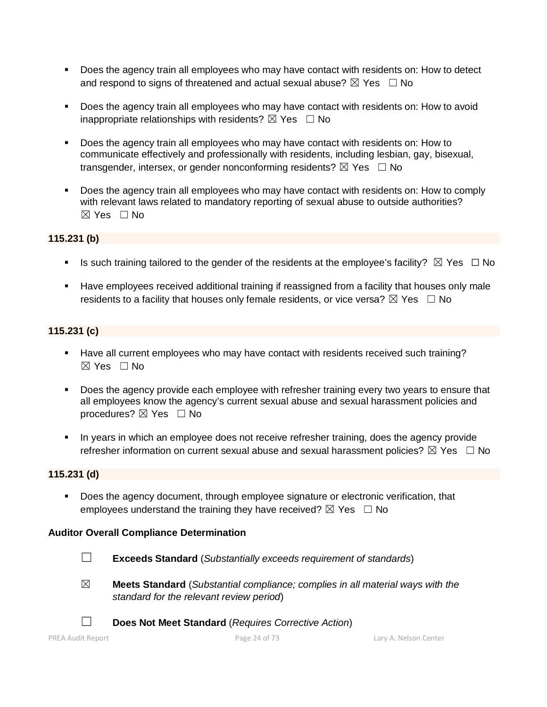- Does the agency train all employees who may have contact with residents on: How to detect and respond to signs of threatened and actual sexual abuse?  $\boxtimes$  Yes  $\Box$  No
- Does the agency train all employees who may have contact with residents on: How to avoid inappropriate relationships with residents?  $\boxtimes$  Yes  $\Box$  No
- Does the agency train all employees who may have contact with residents on: How to communicate effectively and professionally with residents, including lesbian, gay, bisexual, transgender, intersex, or gender nonconforming residents?  $\boxtimes$  Yes  $\Box$  No
- Does the agency train all employees who may have contact with residents on: How to comply with relevant laws related to mandatory reporting of sexual abuse to outside authorities?  $\boxtimes$  Yes  $\Box$  No

# **115.231 (b)**

- Is such training tailored to the gender of the residents at the employee's facility?  $\boxtimes$  Yes  $\Box$  No
- Have employees received additional training if reassigned from a facility that houses only male residents to a facility that houses only female residents, or vice versa?  $\boxtimes$  Yes  $\Box$  No

# **115.231 (c)**

- Have all current employees who may have contact with residents received such training?  $\boxtimes$  Yes  $\Box$  No
- Does the agency provide each employee with refresher training every two years to ensure that all employees know the agency's current sexual abuse and sexual harassment policies and procedures?  $\boxtimes$  Yes  $\Box$  No
- In years in which an employee does not receive refresher training, does the agency provide refresher information on current sexual abuse and sexual harassment policies?  $\boxtimes$  Yes  $\Box$  No

# **115.231 (d)**

Does the agency document, through employee signature or electronic verification, that employees understand the training they have received?  $\boxtimes$  Yes  $\Box$  No

# **Auditor Overall Compliance Determination**

- ☐ **Exceeds Standard** (*Substantially exceeds requirement of standards*)
- ☒ **Meets Standard** (*Substantial compliance; complies in all material ways with the standard for the relevant review period*)
- ☐ **Does Not Meet Standard** (*Requires Corrective Action*)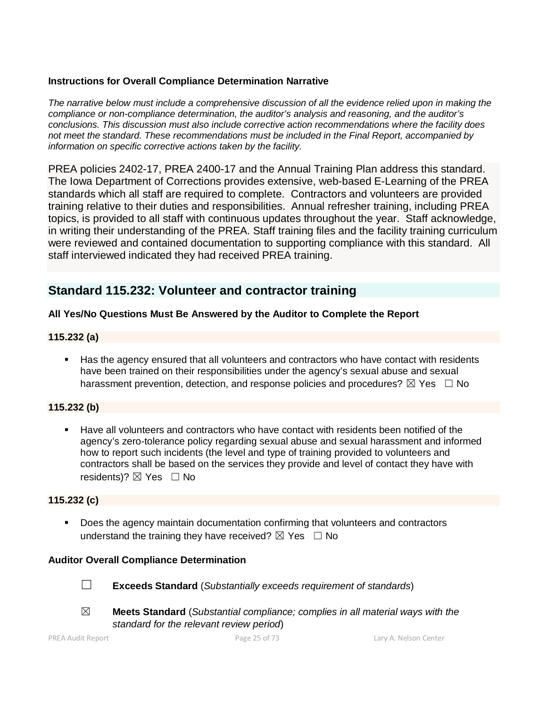# **Instructions for Overall Compliance Determination Narrative**

*The narrative below must include a comprehensive discussion of all the evidence relied upon in making the compliance or non-compliance determination, the auditor's analysis and reasoning, and the auditor's conclusions. This discussion must also include corrective action recommendations where the facility does not meet the standard. These recommendations must be included in the Final Report, accompanied by information on specific corrective actions taken by the facility.*

PREA policies 2402-17, PREA 2400-17 and the Annual Training Plan address this standard. The Iowa Department of Corrections provides extensive, web-based E-Learning of the PREA standards which all staff are required to complete. Contractors and volunteers are provided training relative to their duties and responsibilities. Annual refresher training, including PREA topics, is provided to all staff with continuous updates throughout the year. Staff acknowledge, in writing their understanding of the PREA. Staff training files and the facility training curriculum were reviewed and contained documentation to supporting compliance with this standard. All staff interviewed indicated they had received PREA training.

# **Standard 115.232: Volunteer and contractor training**

# **All Yes/No Questions Must Be Answered by the Auditor to Complete the Report**

# **115.232 (a)**

 Has the agency ensured that all volunteers and contractors who have contact with residents have been trained on their responsibilities under the agency's sexual abuse and sexual harassment prevention, detection, and response policies and procedures?  $\boxtimes$  Yes  $\Box$  No

# **115.232 (b)**

 Have all volunteers and contractors who have contact with residents been notified of the agency's zero-tolerance policy regarding sexual abuse and sexual harassment and informed how to report such incidents (the level and type of training provided to volunteers and contractors shall be based on the services they provide and level of contact they have with residents)? **⊠** Yes □ No

# **115.232 (c)**

 Does the agency maintain documentation confirming that volunteers and contractors understand the training they have received?  $\boxtimes$  Yes  $\Box$  No

# **Auditor Overall Compliance Determination**

- ☐ **Exceeds Standard** (*Substantially exceeds requirement of standards*)
- ☒ **Meets Standard** (*Substantial compliance; complies in all material ways with the standard for the relevant review period*)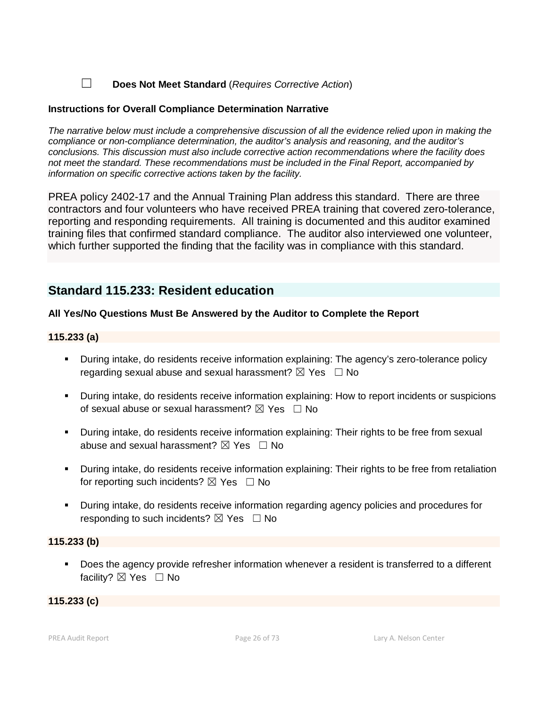☐ **Does Not Meet Standard** (*Requires Corrective Action*)

# **Instructions for Overall Compliance Determination Narrative**

*The narrative below must include a comprehensive discussion of all the evidence relied upon in making the compliance or non-compliance determination, the auditor's analysis and reasoning, and the auditor's conclusions. This discussion must also include corrective action recommendations where the facility does not meet the standard. These recommendations must be included in the Final Report, accompanied by information on specific corrective actions taken by the facility.*

PREA policy 2402-17 and the Annual Training Plan address this standard. There are three contractors and four volunteers who have received PREA training that covered zero-tolerance, reporting and responding requirements. All training is documented and this auditor examined training files that confirmed standard compliance. The auditor also interviewed one volunteer, which further supported the finding that the facility was in compliance with this standard.

# **Standard 115.233: Resident education**

# **All Yes/No Questions Must Be Answered by the Auditor to Complete the Report**

# **115.233 (a)**

- During intake, do residents receive information explaining: The agency's zero-tolerance policy regarding sexual abuse and sexual harassment?  $\boxtimes$  Yes  $\Box$  No
- During intake, do residents receive information explaining: How to report incidents or suspicions of sexual abuse or sexual harassment?  $\boxtimes$  Yes  $\Box$  No
- During intake, do residents receive information explaining: Their rights to be free from sexual abuse and sexual harassment?  $\boxtimes$  Yes  $\Box$  No
- During intake, do residents receive information explaining: Their rights to be free from retaliation for reporting such incidents?  $\boxtimes$  Yes  $\Box$  No
- During intake, do residents receive information regarding agency policies and procedures for responding to such incidents?  $\boxtimes$  Yes  $\Box$  No

# **115.233 (b)**

**Does the agency provide refresher information whenever a resident is transferred to a different** facility?  $\boxtimes$  Yes  $\Box$  No

# **115.233 (c)**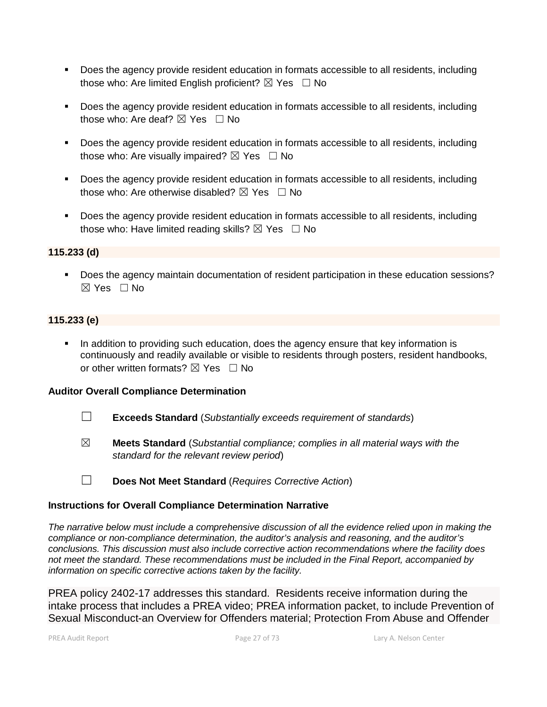- Does the agency provide resident education in formats accessible to all residents, including those who: Are limited English proficient?  $\boxtimes$  Yes  $\Box$  No
- Does the agency provide resident education in formats accessible to all residents, including those who: Are deaf?  $\boxtimes$  Yes  $\Box$  No
- Does the agency provide resident education in formats accessible to all residents, including those who: Are visually impaired?  $\boxtimes$  Yes  $\Box$  No
- Does the agency provide resident education in formats accessible to all residents, including those who: Are otherwise disabled?  $\boxtimes$  Yes  $\Box$  No
- Does the agency provide resident education in formats accessible to all residents, including those who: Have limited reading skills?  $\boxtimes$  Yes  $\Box$  No

# **115.233 (d)**

**Does the agency maintain documentation of resident participation in these education sessions?**  $\boxtimes$  Yes  $\Box$  No

# **115.233 (e)**

 In addition to providing such education, does the agency ensure that key information is continuously and readily available or visible to residents through posters, resident handbooks, or other written formats?  $\boxtimes$  Yes  $\Box$  No

#### **Auditor Overall Compliance Determination**

- ☐ **Exceeds Standard** (*Substantially exceeds requirement of standards*)
- ☒ **Meets Standard** (*Substantial compliance; complies in all material ways with the standard for the relevant review period*)
- ☐ **Does Not Meet Standard** (*Requires Corrective Action*)

#### **Instructions for Overall Compliance Determination Narrative**

*The narrative below must include a comprehensive discussion of all the evidence relied upon in making the compliance or non-compliance determination, the auditor's analysis and reasoning, and the auditor's conclusions. This discussion must also include corrective action recommendations where the facility does not meet the standard. These recommendations must be included in the Final Report, accompanied by information on specific corrective actions taken by the facility.*

PREA policy 2402-17 addresses this standard. Residents receive information during the intake process that includes a PREA video; PREA information packet, to include Prevention of Sexual Misconduct-an Overview for Offenders material; Protection From Abuse and Offender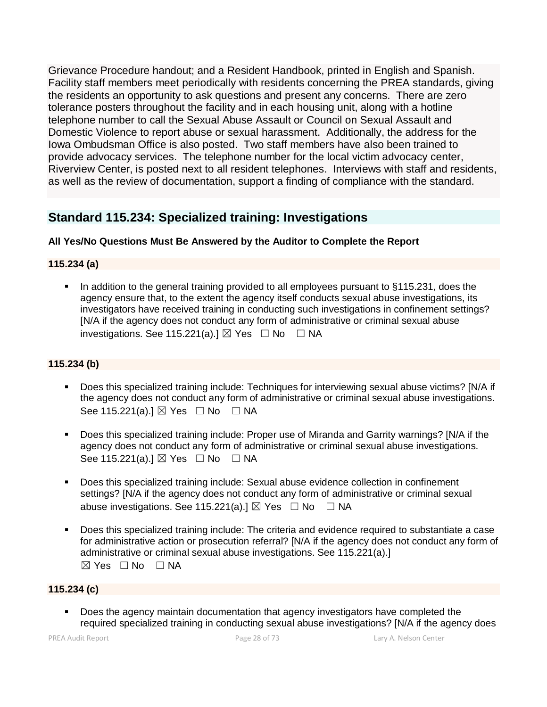Grievance Procedure handout; and a Resident Handbook, printed in English and Spanish. Facility staff members meet periodically with residents concerning the PREA standards, giving the residents an opportunity to ask questions and present any concerns. There are zero tolerance posters throughout the facility and in each housing unit, along with a hotline telephone number to call the Sexual Abuse Assault or Council on Sexual Assault and Domestic Violence to report abuse or sexual harassment. Additionally, the address for the Iowa Ombudsman Office is also posted. Two staff members have also been trained to provide advocacy services. The telephone number for the local victim advocacy center, Riverview Center, is posted next to all resident telephones. Interviews with staff and residents, as well as the review of documentation, support a finding of compliance with the standard.

# **Standard 115.234: Specialized training: Investigations**

# **All Yes/No Questions Must Be Answered by the Auditor to Complete the Report**

# **115.234 (a)**

 In addition to the general training provided to all employees pursuant to §115.231, does the agency ensure that, to the extent the agency itself conducts sexual abuse investigations, its investigators have received training in conducting such investigations in confinement settings? [N/A if the agency does not conduct any form of administrative or criminal sexual abuse investigations. See 115.221(a).]  $\boxtimes$  Yes  $\Box$  No  $\Box$  NA

# **115.234 (b)**

- Does this specialized training include: Techniques for interviewing sexual abuse victims? [N/A if the agency does not conduct any form of administrative or criminal sexual abuse investigations. See 115.221(a).]  $\boxtimes$  Yes  $\Box$  No  $\Box$  NA
- Does this specialized training include: Proper use of Miranda and Garrity warnings? [N/A if the agency does not conduct any form of administrative or criminal sexual abuse investigations. See 115.221(a).] ⊠ Yes □ No □ NA
- Does this specialized training include: Sexual abuse evidence collection in confinement settings? [N/A if the agency does not conduct any form of administrative or criminal sexual abuse investigations. See 115.221(a).]  $\boxtimes$  Yes  $\Box$  No  $\Box$  NA
- Does this specialized training include: The criteria and evidence required to substantiate a case for administrative action or prosecution referral? [N/A if the agency does not conduct any form of administrative or criminal sexual abuse investigations. See 115.221(a).]  $\boxtimes$  Yes  $\square$  No  $\square$  NA

# **115.234 (c)**

 Does the agency maintain documentation that agency investigators have completed the required specialized training in conducting sexual abuse investigations? [N/A if the agency does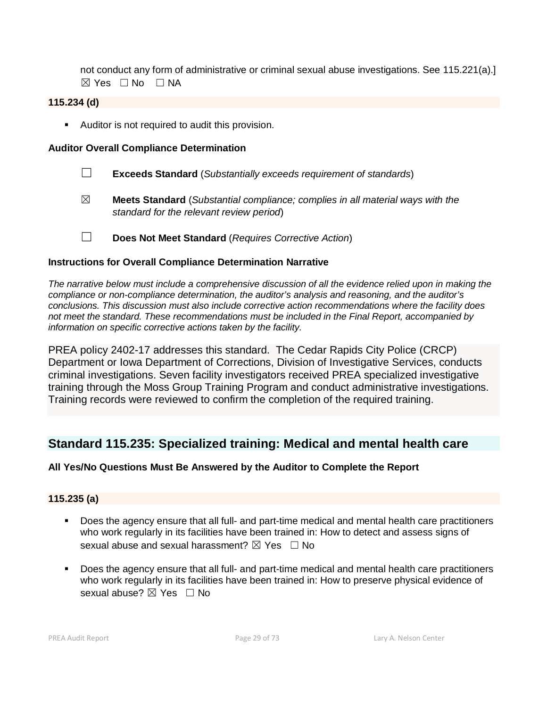not conduct any form of administrative or criminal sexual abuse investigations. See 115.221(a).] ☒ Yes ☐ No ☐ NA

### **115.234 (d)**

**Auditor is not required to audit this provision.** 

#### **Auditor Overall Compliance Determination**

- ☐ **Exceeds Standard** (*Substantially exceeds requirement of standards*)
- ☒ **Meets Standard** (*Substantial compliance; complies in all material ways with the standard for the relevant review period*)
- ☐ **Does Not Meet Standard** (*Requires Corrective Action*)

#### **Instructions for Overall Compliance Determination Narrative**

*The narrative below must include a comprehensive discussion of all the evidence relied upon in making the compliance or non-compliance determination, the auditor's analysis and reasoning, and the auditor's conclusions. This discussion must also include corrective action recommendations where the facility does not meet the standard. These recommendations must be included in the Final Report, accompanied by information on specific corrective actions taken by the facility.*

PREA policy 2402-17 addresses this standard. The Cedar Rapids City Police (CRCP) Department or Iowa Department of Corrections, Division of Investigative Services, conducts criminal investigations. Seven facility investigators received PREA specialized investigative training through the Moss Group Training Program and conduct administrative investigations. Training records were reviewed to confirm the completion of the required training.

# **Standard 115.235: Specialized training: Medical and mental health care**

# **All Yes/No Questions Must Be Answered by the Auditor to Complete the Report**

#### **115.235 (a)**

- Does the agency ensure that all full- and part-time medical and mental health care practitioners who work regularly in its facilities have been trained in: How to detect and assess signs of sexual abuse and sexual harassment?  $\boxtimes$  Yes  $\Box$  No
- Does the agency ensure that all full- and part-time medical and mental health care practitioners who work regularly in its facilities have been trained in: How to preserve physical evidence of sexual abuse?  $\boxtimes$  Yes  $\Box$  No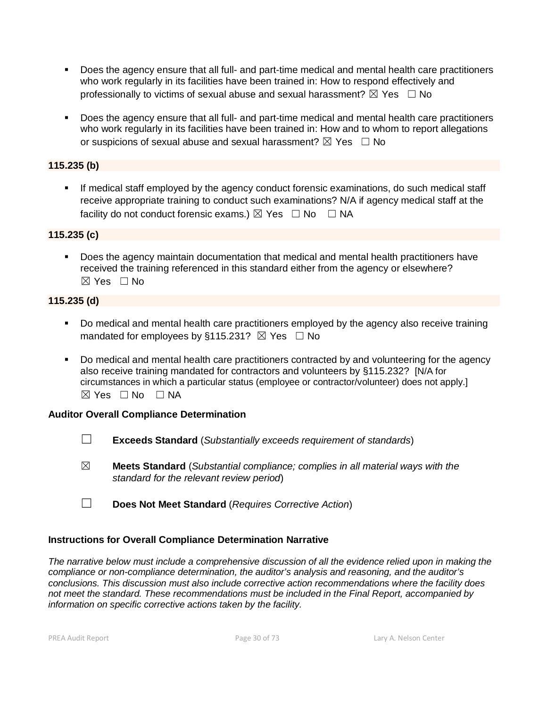- Does the agency ensure that all full- and part-time medical and mental health care practitioners who work regularly in its facilities have been trained in: How to respond effectively and professionally to victims of sexual abuse and sexual harassment?  $\boxtimes$  Yes  $\Box$  No
- Does the agency ensure that all full- and part-time medical and mental health care practitioners who work regularly in its facilities have been trained in: How and to whom to report allegations or suspicions of sexual abuse and sexual harassment?  $\boxtimes$  Yes  $\Box$  No

# **115.235 (b)**

 If medical staff employed by the agency conduct forensic examinations, do such medical staff receive appropriate training to conduct such examinations? N/A if agency medical staff at the facility do not conduct forensic exams.)  $\boxtimes$  Yes  $\Box$  No  $\Box$  NA

# **115.235 (c)**

 Does the agency maintain documentation that medical and mental health practitioners have received the training referenced in this standard either from the agency or elsewhere?  $\boxtimes$  Yes  $\Box$  No

# **115.235 (d)**

- Do medical and mental health care practitioners employed by the agency also receive training mandated for employees by §115.231?  $\boxtimes$  Yes  $\Box$  No
- Do medical and mental health care practitioners contracted by and volunteering for the agency also receive training mandated for contractors and volunteers by §115.232? [N/A for circumstances in which a particular status (employee or contractor/volunteer) does not apply.]  $\boxtimes$  Yes  $\Box$  No  $\Box$  NA

# **Auditor Overall Compliance Determination**

- ☐ **Exceeds Standard** (*Substantially exceeds requirement of standards*)
- ☒ **Meets Standard** (*Substantial compliance; complies in all material ways with the standard for the relevant review period*)
- ☐ **Does Not Meet Standard** (*Requires Corrective Action*)

# **Instructions for Overall Compliance Determination Narrative**

*The narrative below must include a comprehensive discussion of all the evidence relied upon in making the compliance or non-compliance determination, the auditor's analysis and reasoning, and the auditor's conclusions. This discussion must also include corrective action recommendations where the facility does not meet the standard. These recommendations must be included in the Final Report, accompanied by information on specific corrective actions taken by the facility.*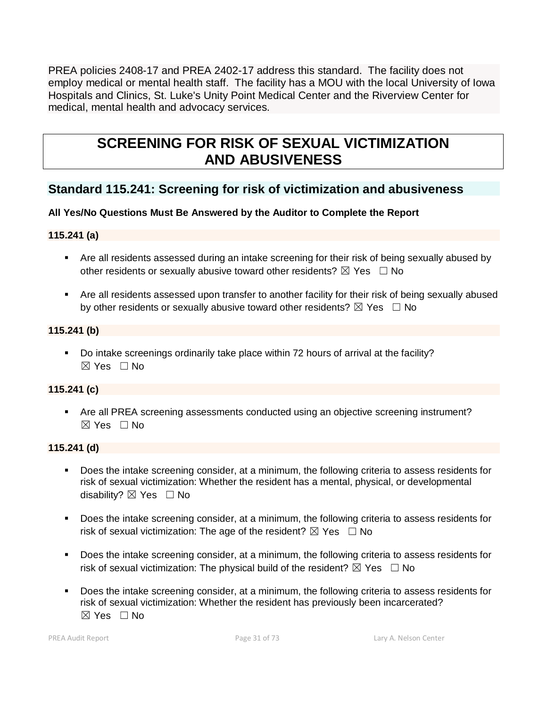PREA policies 2408-17 and PREA 2402-17 address this standard. The facility does not employ medical or mental health staff. The facility has a MOU with the local University of Iowa Hospitals and Clinics, St. Luke's Unity Point Medical Center and the Riverview Center for medical, mental health and advocacy services.

# **SCREENING FOR RISK OF SEXUAL VICTIMIZATION AND ABUSIVENESS**

# **Standard 115.241: Screening for risk of victimization and abusiveness**

# **All Yes/No Questions Must Be Answered by the Auditor to Complete the Report**

# **115.241 (a)**

- Are all residents assessed during an intake screening for their risk of being sexually abused by other residents or sexually abusive toward other residents?  $\boxtimes$  Yes  $\Box$  No
- Are all residents assessed upon transfer to another facility for their risk of being sexually abused by other residents or sexually abusive toward other residents?  $\boxtimes$  Yes  $\Box$  No

# **115.241 (b)**

 Do intake screenings ordinarily take place within 72 hours of arrival at the facility?  $\boxtimes$  Yes  $\Box$  No

# **115.241 (c)**

 Are all PREA screening assessments conducted using an objective screening instrument?  $\boxtimes$  Yes  $\Box$  No

# **115.241 (d)**

- Does the intake screening consider, at a minimum, the following criteria to assess residents for risk of sexual victimization: Whether the resident has a mental, physical, or developmental disability? ⊠ Yes □ No
- **Does the intake screening consider, at a minimum, the following criteria to assess residents for** risk of sexual victimization: The age of the resident?  $\boxtimes$  Yes  $\Box$  No
- Does the intake screening consider, at a minimum, the following criteria to assess residents for risk of sexual victimization: The physical build of the resident?  $\boxtimes$  Yes  $\Box$  No
- Does the intake screening consider, at a minimum, the following criteria to assess residents for risk of sexual victimization: Whether the resident has previously been incarcerated?  $\boxtimes$  Yes  $\Box$  No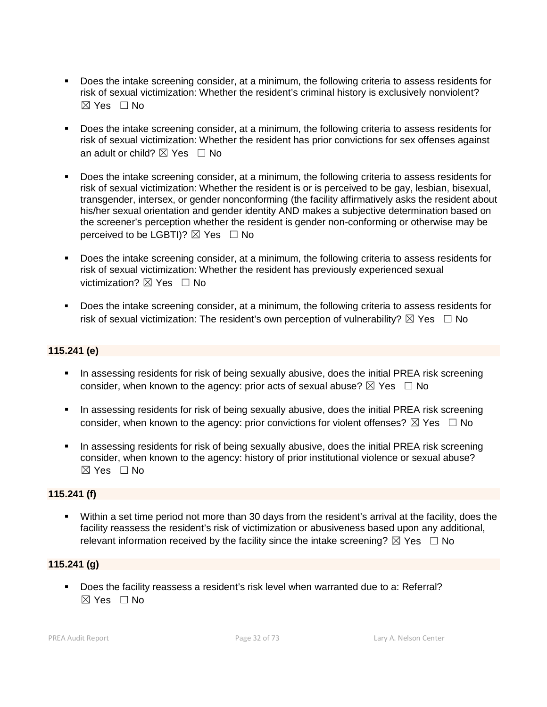- Does the intake screening consider, at a minimum, the following criteria to assess residents for risk of sexual victimization: Whether the resident's criminal history is exclusively nonviolent?  $\boxtimes$  Yes  $\Box$  No
- **Does the intake screening consider, at a minimum, the following criteria to assess residents for** risk of sexual victimization: Whether the resident has prior convictions for sex offenses against an adult or child?  $\boxtimes$  Yes  $\Box$  No
- Does the intake screening consider, at a minimum, the following criteria to assess residents for risk of sexual victimization: Whether the resident is or is perceived to be gay, lesbian, bisexual, transgender, intersex, or gender nonconforming (the facility affirmatively asks the resident about his/her sexual orientation and gender identity AND makes a subjective determination based on the screener's perception whether the resident is gender non-conforming or otherwise may be perceived to be LGBTI)?  $\boxtimes$  Yes  $\Box$  No
- Does the intake screening consider, at a minimum, the following criteria to assess residents for risk of sexual victimization: Whether the resident has previously experienced sexual victimization?  $\boxtimes$  Yes  $\Box$  No
- Does the intake screening consider, at a minimum, the following criteria to assess residents for risk of sexual victimization: The resident's own perception of vulnerability?  $\boxtimes$  Yes  $\Box$  No

# **115.241 (e)**

- In assessing residents for risk of being sexually abusive, does the initial PREA risk screening consider, when known to the agency: prior acts of sexual abuse?  $\boxtimes$  Yes  $\Box$  No
- In assessing residents for risk of being sexually abusive, does the initial PREA risk screening consider, when known to the agency: prior convictions for violent offenses?  $\boxtimes$  Yes  $\Box$  No
- In assessing residents for risk of being sexually abusive, does the initial PREA risk screening consider, when known to the agency: history of prior institutional violence or sexual abuse?  $\boxtimes$  Yes  $\Box$  No

# **115.241 (f)**

 Within a set time period not more than 30 days from the resident's arrival at the facility, does the facility reassess the resident's risk of victimization or abusiveness based upon any additional, relevant information received by the facility since the intake screening?  $\boxtimes$  Yes  $\Box$  No

# **115.241 (g)**

 Does the facility reassess a resident's risk level when warranted due to a: Referral?  $\boxtimes$  Yes  $\Box$  No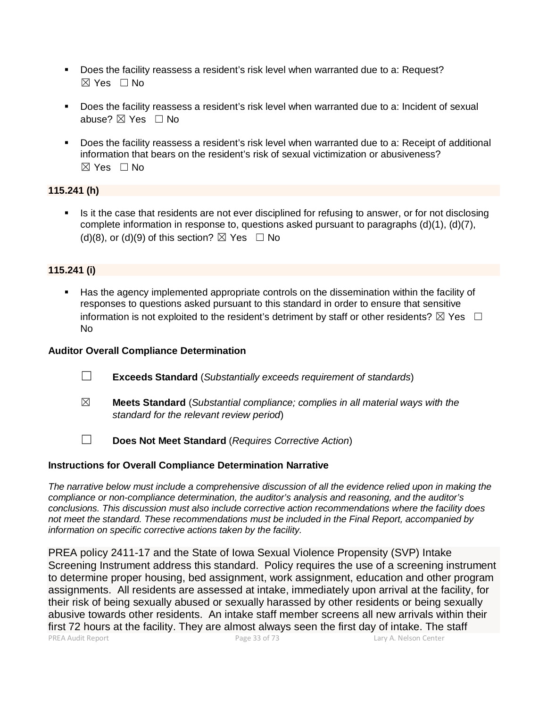- Does the facility reassess a resident's risk level when warranted due to a: Request?  $\boxtimes$  Yes  $\Box$  No
- Does the facility reassess a resident's risk level when warranted due to a: Incident of sexual abuse? ⊠ Yes □ No
- Does the facility reassess a resident's risk level when warranted due to a: Receipt of additional information that bears on the resident's risk of sexual victimization or abusiveness?  $\boxtimes$  Yes  $\Box$  No

# **115.241 (h)**

Is it the case that residents are not ever disciplined for refusing to answer, or for not disclosing complete information in response to, questions asked pursuant to paragraphs (d)(1), (d)(7), (d)(8), or (d)(9) of this section?  $\boxtimes$  Yes  $\Box$  No

# **115.241 (i)**

 Has the agency implemented appropriate controls on the dissemination within the facility of responses to questions asked pursuant to this standard in order to ensure that sensitive information is not exploited to the resident's detriment by staff or other residents?  $\boxtimes$  Yes  $\Box$ No

### **Auditor Overall Compliance Determination**

- ☐ **Exceeds Standard** (*Substantially exceeds requirement of standards*)
- ☒ **Meets Standard** (*Substantial compliance; complies in all material ways with the standard for the relevant review period*)
- ☐ **Does Not Meet Standard** (*Requires Corrective Action*)

#### **Instructions for Overall Compliance Determination Narrative**

*The narrative below must include a comprehensive discussion of all the evidence relied upon in making the compliance or non-compliance determination, the auditor's analysis and reasoning, and the auditor's conclusions. This discussion must also include corrective action recommendations where the facility does not meet the standard. These recommendations must be included in the Final Report, accompanied by information on specific corrective actions taken by the facility.*

PREA Audit Report Page 33 of 73 Lary A. Nelson Center PREA policy 2411-17 and the State of Iowa Sexual Violence Propensity (SVP) Intake Screening Instrument address this standard. Policy requires the use of a screening instrument to determine proper housing, bed assignment, work assignment, education and other program assignments. All residents are assessed at intake, immediately upon arrival at the facility, for their risk of being sexually abused or sexually harassed by other residents or being sexually abusive towards other residents. An intake staff member screens all new arrivals within their first 72 hours at the facility. They are almost always seen the first day of intake. The staff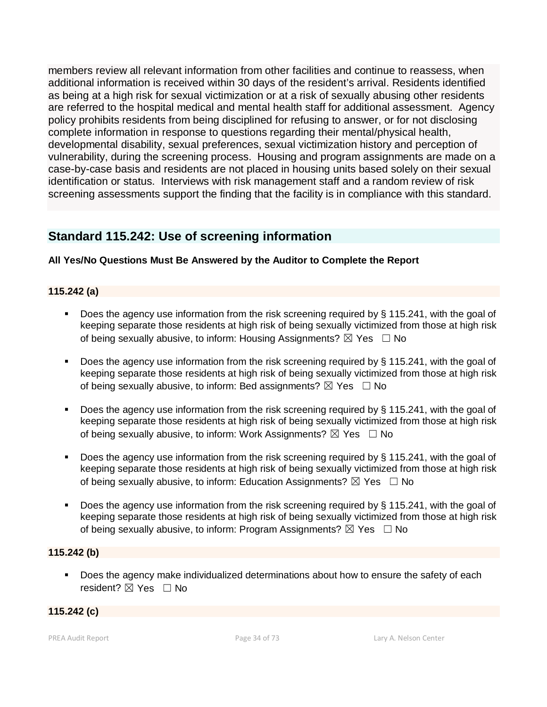members review all relevant information from other facilities and continue to reassess, when additional information is received within 30 days of the resident's arrival. Residents identified as being at a high risk for sexual victimization or at a risk of sexually abusing other residents are referred to the hospital medical and mental health staff for additional assessment. Agency policy prohibits residents from being disciplined for refusing to answer, or for not disclosing complete information in response to questions regarding their mental/physical health, developmental disability, sexual preferences, sexual victimization history and perception of vulnerability, during the screening process. Housing and program assignments are made on a case-by-case basis and residents are not placed in housing units based solely on their sexual identification or status. Interviews with risk management staff and a random review of risk screening assessments support the finding that the facility is in compliance with this standard.

# **Standard 115.242: Use of screening information**

# **All Yes/No Questions Must Be Answered by the Auditor to Complete the Report**

# **115.242 (a)**

- Does the agency use information from the risk screening required by § 115.241, with the goal of keeping separate those residents at high risk of being sexually victimized from those at high risk of being sexually abusive, to inform: Housing Assignments?  $\boxtimes$  Yes  $\Box$  No
- Does the agency use information from the risk screening required by § 115.241, with the goal of keeping separate those residents at high risk of being sexually victimized from those at high risk of being sexually abusive, to inform: Bed assignments?  $\boxtimes$  Yes  $\Box$  No
- Does the agency use information from the risk screening required by  $\S$  115.241, with the goal of keeping separate those residents at high risk of being sexually victimized from those at high risk of being sexually abusive, to inform: Work Assignments?  $\boxtimes$  Yes  $\Box$  No
- Does the agency use information from the risk screening required by § 115.241, with the goal of keeping separate those residents at high risk of being sexually victimized from those at high risk of being sexually abusive, to inform: Education Assignments?  $\boxtimes$  Yes  $\Box$  No
- Does the agency use information from the risk screening required by § 115.241, with the goal of keeping separate those residents at high risk of being sexually victimized from those at high risk of being sexually abusive, to inform: Program Assignments?  $\boxtimes$  Yes  $\Box$  No

# **115.242 (b)**

**Does the agency make individualized determinations about how to ensure the safety of each** resident? ⊠ Yes □ No

# **115.242 (c)**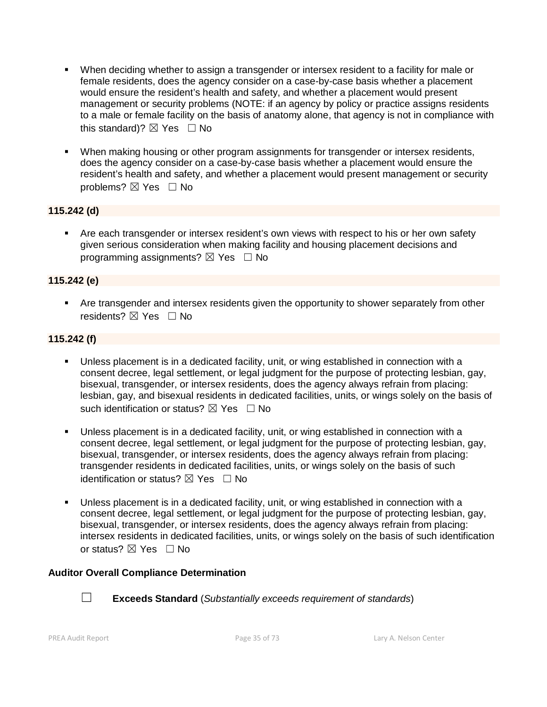- When deciding whether to assign a transgender or intersex resident to a facility for male or female residents, does the agency consider on a case-by-case basis whether a placement would ensure the resident's health and safety, and whether a placement would present management or security problems (NOTE: if an agency by policy or practice assigns residents to a male or female facility on the basis of anatomy alone, that agency is not in compliance with this standard)?  $\boxtimes$  Yes  $\Box$  No
- When making housing or other program assignments for transgender or intersex residents, does the agency consider on a case-by-case basis whether a placement would ensure the resident's health and safety, and whether a placement would present management or security problems? ⊠ Yes □ No

# **115.242 (d)**

 Are each transgender or intersex resident's own views with respect to his or her own safety given serious consideration when making facility and housing placement decisions and programming assignments?  $\boxtimes$  Yes  $\Box$  No

# **115.242 (e)**

 Are transgender and intersex residents given the opportunity to shower separately from other residents? **⊠** Yes □ No

# **115.242 (f)**

- Unless placement is in a dedicated facility, unit, or wing established in connection with a consent decree, legal settlement, or legal judgment for the purpose of protecting lesbian, gay, bisexual, transgender, or intersex residents, does the agency always refrain from placing: lesbian, gay, and bisexual residents in dedicated facilities, units, or wings solely on the basis of such identification or status?  $\nabla$  Yes  $\Box$  No
- Unless placement is in a dedicated facility, unit, or wing established in connection with a consent decree, legal settlement, or legal judgment for the purpose of protecting lesbian, gay, bisexual, transgender, or intersex residents, does the agency always refrain from placing: transgender residents in dedicated facilities, units, or wings solely on the basis of such identification or status?  $\nabla$  Yes  $\Box$  No
- Unless placement is in a dedicated facility, unit, or wing established in connection with a consent decree, legal settlement, or legal judgment for the purpose of protecting lesbian, gay, bisexual, transgender, or intersex residents, does the agency always refrain from placing: intersex residents in dedicated facilities, units, or wings solely on the basis of such identification or status?  $\boxtimes$  Yes  $\Box$  No

# **Auditor Overall Compliance Determination**



☐ **Exceeds Standard** (*Substantially exceeds requirement of standards*)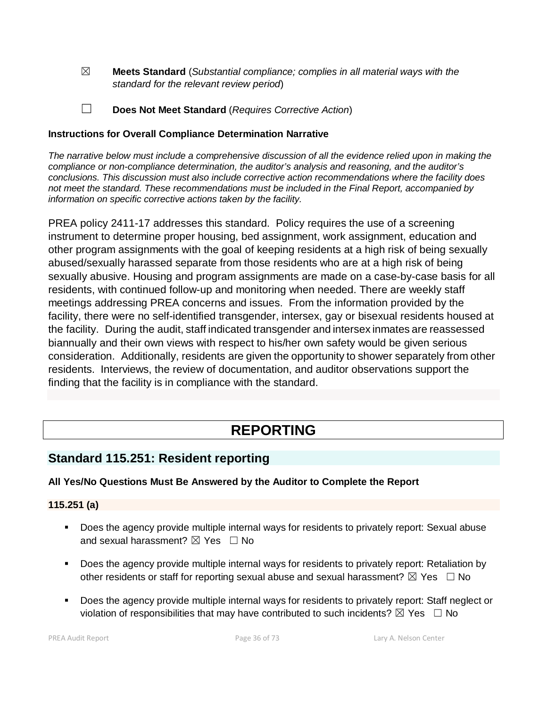- ☒ **Meets Standard** (*Substantial compliance; complies in all material ways with the standard for the relevant review period*)
- ☐ **Does Not Meet Standard** (*Requires Corrective Action*)

# **Instructions for Overall Compliance Determination Narrative**

*The narrative below must include a comprehensive discussion of all the evidence relied upon in making the compliance or non-compliance determination, the auditor's analysis and reasoning, and the auditor's conclusions. This discussion must also include corrective action recommendations where the facility does not meet the standard. These recommendations must be included in the Final Report, accompanied by information on specific corrective actions taken by the facility.*

PREA policy 2411-17 addresses this standard. Policy requires the use of a screening instrument to determine proper housing, bed assignment, work assignment, education and other program assignments with the goal of keeping residents at a high risk of being sexually abused/sexually harassed separate from those residents who are at a high risk of being sexually abusive. Housing and program assignments are made on a case-by-case basis for all residents, with continued follow-up and monitoring when needed. There are weekly staff meetings addressing PREA concerns and issues. From the information provided by the facility, there were no self-identified transgender, intersex, gay or bisexual residents housed at the facility. During the audit, staff indicated transgender and intersex inmates are reassessed biannually and their own views with respect to his/her own safety would be given serious consideration. Additionally, residents are given the opportunity to shower separately from other residents. Interviews, the review of documentation, and auditor observations support the finding that the facility is in compliance with the standard.

# **REPORTING**

# **Standard 115.251: Resident reporting**

# **All Yes/No Questions Must Be Answered by the Auditor to Complete the Report**

# **115.251 (a)**

- Does the agency provide multiple internal ways for residents to privately report: Sexual abuse and sexual harassment?  $\boxtimes$  Yes  $\Box$  No
- **Does the agency provide multiple internal ways for residents to privately report: Retaliation by** other residents or staff for reporting sexual abuse and sexual harassment?  $\boxtimes$  Yes  $\Box$  No
- Does the agency provide multiple internal ways for residents to privately report: Staff neglect or violation of responsibilities that may have contributed to such incidents?  $\boxtimes$  Yes  $\Box$  No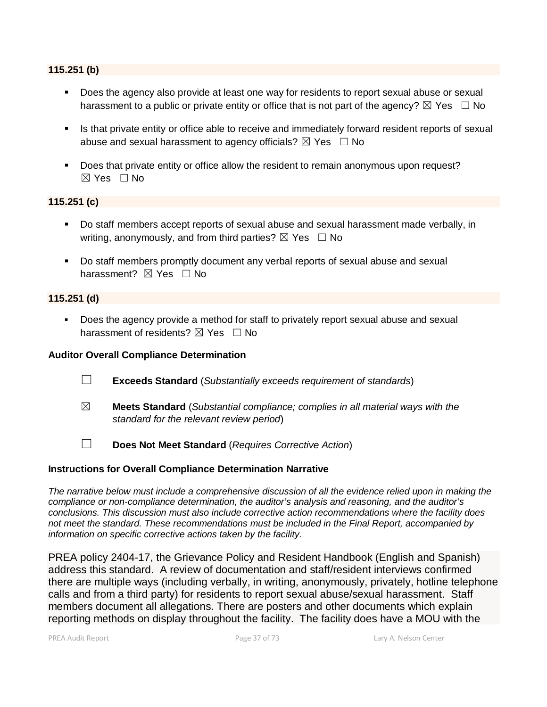#### **115.251 (b)**

- Does the agency also provide at least one way for residents to report sexual abuse or sexual harassment to a public or private entity or office that is not part of the agency?  $\boxtimes$  Yes  $\Box$  No
- Is that private entity or office able to receive and immediately forward resident reports of sexual abuse and sexual harassment to agency officials?  $\boxtimes$  Yes  $\Box$  No
- Does that private entity or office allow the resident to remain anonymous upon request?  $\boxtimes$  Yes  $\Box$  No

#### **115.251 (c)**

- Do staff members accept reports of sexual abuse and sexual harassment made verbally, in writing, anonymously, and from third parties?  $\boxtimes$  Yes  $\Box$  No
- Do staff members promptly document any verbal reports of sexual abuse and sexual harassment? **⊠** Yes □ No

#### **115.251 (d)**

 Does the agency provide a method for staff to privately report sexual abuse and sexual harassment of residents?  $\boxtimes$  Yes  $\Box$  No

#### **Auditor Overall Compliance Determination**

- ☐ **Exceeds Standard** (*Substantially exceeds requirement of standards*)
- ☒ **Meets Standard** (*Substantial compliance; complies in all material ways with the standard for the relevant review period*)
- ☐ **Does Not Meet Standard** (*Requires Corrective Action*)

### **Instructions for Overall Compliance Determination Narrative**

*The narrative below must include a comprehensive discussion of all the evidence relied upon in making the compliance or non-compliance determination, the auditor's analysis and reasoning, and the auditor's conclusions. This discussion must also include corrective action recommendations where the facility does not meet the standard. These recommendations must be included in the Final Report, accompanied by information on specific corrective actions taken by the facility.*

PREA policy 2404-17, the Grievance Policy and Resident Handbook (English and Spanish) address this standard. A review of documentation and staff/resident interviews confirmed there are multiple ways (including verbally, in writing, anonymously, privately, hotline telephone calls and from a third party) for residents to report sexual abuse/sexual harassment. Staff members document all allegations. There are posters and other documents which explain reporting methods on display throughout the facility. The facility does have a MOU with the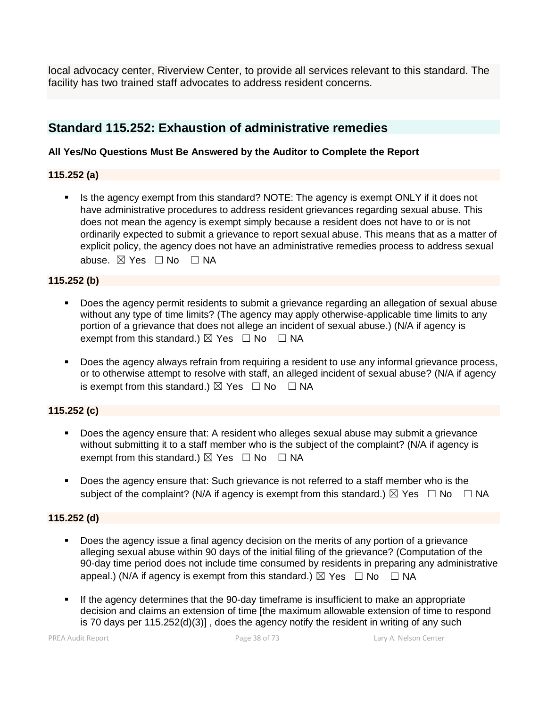local advocacy center, Riverview Center, to provide all services relevant to this standard. The facility has two trained staff advocates to address resident concerns.

# **Standard 115.252: Exhaustion of administrative remedies**

## **All Yes/No Questions Must Be Answered by the Auditor to Complete the Report**

## **115.252 (a)**

 Is the agency exempt from this standard? NOTE: The agency is exempt ONLY if it does not have administrative procedures to address resident grievances regarding sexual abuse. This does not mean the agency is exempt simply because a resident does not have to or is not ordinarily expected to submit a grievance to report sexual abuse. This means that as a matter of explicit policy, the agency does not have an administrative remedies process to address sexual abuse. ⊠ Yes □ No □ NA

## **115.252 (b)**

- Does the agency permit residents to submit a grievance regarding an allegation of sexual abuse without any type of time limits? (The agency may apply otherwise-applicable time limits to any portion of a grievance that does not allege an incident of sexual abuse.) (N/A if agency is exempt from this standard.)  $\boxtimes$  Yes  $\Box$  No  $\Box$  NA
- Does the agency always refrain from requiring a resident to use any informal grievance process, or to otherwise attempt to resolve with staff, an alleged incident of sexual abuse? (N/A if agency is exempt from this standard.)  $\boxtimes$  Yes  $\Box$  No  $\Box$  NA

# **115.252 (c)**

- Does the agency ensure that: A resident who alleges sexual abuse may submit a grievance without submitting it to a staff member who is the subject of the complaint? (N/A if agency is exempt from this standard.)  $\boxtimes$  Yes  $\Box$  No  $\Box$  NA
- Does the agency ensure that: Such grievance is not referred to a staff member who is the subject of the complaint? (N/A if agency is exempt from this standard.)  $\boxtimes$  Yes  $\Box$  No  $\Box$  NA

### **115.252 (d)**

- Does the agency issue a final agency decision on the merits of any portion of a grievance alleging sexual abuse within 90 days of the initial filing of the grievance? (Computation of the 90-day time period does not include time consumed by residents in preparing any administrative appeal.) (N/A if agency is exempt from this standard.)  $\boxtimes$  Yes  $\Box$  No  $\Box$  NA
- If the agency determines that the 90-day timeframe is insufficient to make an appropriate decision and claims an extension of time [the maximum allowable extension of time to respond is 70 days per 115.252(d)(3)] , does the agency notify the resident in writing of any such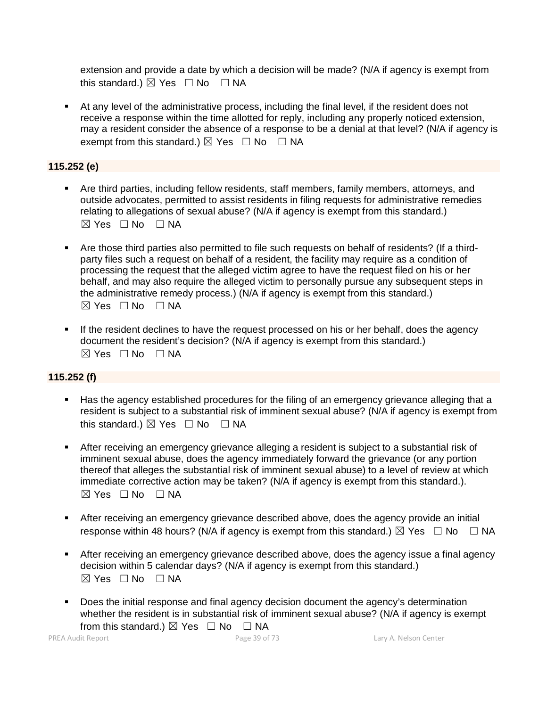extension and provide a date by which a decision will be made? (N/A if agency is exempt from this standard.)  $\boxtimes$  Yes  $\Box$  No  $\Box$  NA

 At any level of the administrative process, including the final level, if the resident does not receive a response within the time allotted for reply, including any properly noticed extension, may a resident consider the absence of a response to be a denial at that level? (N/A if agency is exempt from this standard.)  $\boxtimes$  Yes  $\Box$  No  $\Box$  NA

## **115.252 (e)**

- Are third parties, including fellow residents, staff members, family members, attorneys, and outside advocates, permitted to assist residents in filing requests for administrative remedies relating to allegations of sexual abuse? (N/A if agency is exempt from this standard.)  $\boxtimes$  Yes  $\Box$  No  $\Box$  NA
- Are those third parties also permitted to file such requests on behalf of residents? (If a thirdparty files such a request on behalf of a resident, the facility may require as a condition of processing the request that the alleged victim agree to have the request filed on his or her behalf, and may also require the alleged victim to personally pursue any subsequent steps in the administrative remedy process.) (N/A if agency is exempt from this standard.)  $\boxtimes$  Yes  $\Box$  No  $\Box$  NA
- If the resident declines to have the request processed on his or her behalf, does the agency document the resident's decision? (N/A if agency is exempt from this standard.)  $\boxtimes$  Yes  $\Box$  No  $\Box$  NA

# **115.252 (f)**

- Has the agency established procedures for the filing of an emergency grievance alleging that a resident is subject to a substantial risk of imminent sexual abuse? (N/A if agency is exempt from this standard.)  $\boxtimes$  Yes  $\Box$  No  $\Box$  NA
- After receiving an emergency grievance alleging a resident is subject to a substantial risk of imminent sexual abuse, does the agency immediately forward the grievance (or any portion thereof that alleges the substantial risk of imminent sexual abuse) to a level of review at which immediate corrective action may be taken? (N/A if agency is exempt from this standard.).  $⊠ Yes ⊡ No ⊡ NA$
- After receiving an emergency grievance described above, does the agency provide an initial response within 48 hours? (N/A if agency is exempt from this standard.)  $\boxtimes$  Yes  $\Box$  No  $\Box$  NA
- After receiving an emergency grievance described above, does the agency issue a final agency decision within 5 calendar days? (N/A if agency is exempt from this standard.)  $\boxtimes$  Yes  $\Box$  No  $\Box$  NA
- **Does the initial response and final agency decision document the agency's determination** whether the resident is in substantial risk of imminent sexual abuse? (N/A if agency is exempt

from this standard.)  $\boxtimes$  Yes  $\Box$  No  $\Box$  NA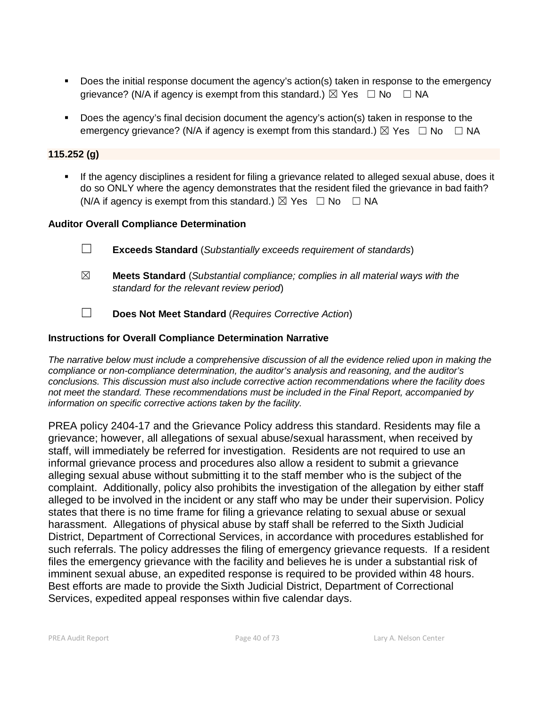- Does the initial response document the agency's action(s) taken in response to the emergency grievance? (N/A if agency is exempt from this standard.)  $\boxtimes$  Yes  $\Box$  No  $\Box$  NA
- Does the agency's final decision document the agency's action(s) taken in response to the emergency grievance? (N/A if agency is exempt from this standard.)  $\boxtimes$  Yes  $\Box$  No  $\Box$  NA

## **115.252 (g)**

 If the agency disciplines a resident for filing a grievance related to alleged sexual abuse, does it do so ONLY where the agency demonstrates that the resident filed the grievance in bad faith? (N/A if agency is exempt from this standard.)  $\boxtimes$  Yes  $\Box$  No  $\Box$  NA

## **Auditor Overall Compliance Determination**

- ☐ **Exceeds Standard** (*Substantially exceeds requirement of standards*)
- ☒ **Meets Standard** (*Substantial compliance; complies in all material ways with the standard for the relevant review period*)
- ☐ **Does Not Meet Standard** (*Requires Corrective Action*)

## **Instructions for Overall Compliance Determination Narrative**

*The narrative below must include a comprehensive discussion of all the evidence relied upon in making the compliance or non-compliance determination, the auditor's analysis and reasoning, and the auditor's conclusions. This discussion must also include corrective action recommendations where the facility does not meet the standard. These recommendations must be included in the Final Report, accompanied by information on specific corrective actions taken by the facility.*

PREA policy 2404-17 and the Grievance Policy address this standard. Residents may file a grievance; however, all allegations of sexual abuse/sexual harassment, when received by staff, will immediately be referred for investigation. Residents are not required to use an informal grievance process and procedures also allow a resident to submit a grievance alleging sexual abuse without submitting it to the staff member who is the subject of the complaint. Additionally, policy also prohibits the investigation of the allegation by either staff alleged to be involved in the incident or any staff who may be under their supervision. Policy states that there is no time frame for filing a grievance relating to sexual abuse or sexual harassment. Allegations of physical abuse by staff shall be referred to the Sixth Judicial District, Department of Correctional Services, in accordance with procedures established for such referrals. The policy addresses the filing of emergency grievance requests. If a resident files the emergency grievance with the facility and believes he is under a substantial risk of imminent sexual abuse, an expedited response is required to be provided within 48 hours. Best efforts are made to provide the Sixth Judicial District, Department of Correctional Services, expedited appeal responses within five calendar days.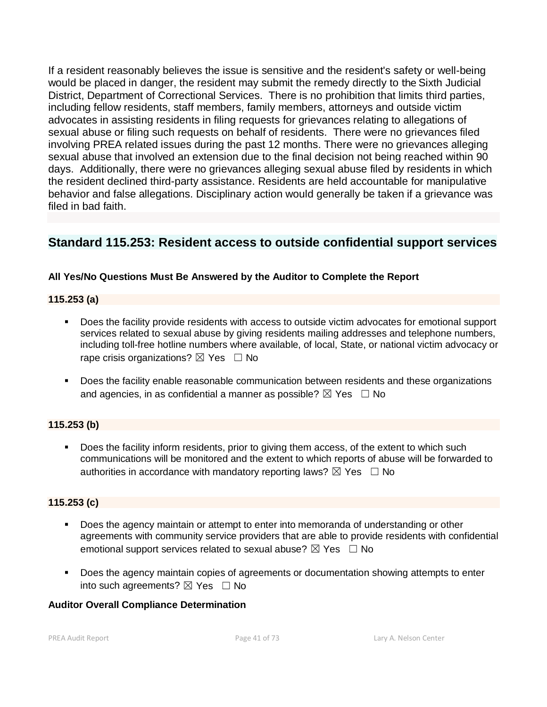If a resident reasonably believes the issue is sensitive and the resident's safety or well-being would be placed in danger, the resident may submit the remedy directly to the Sixth Judicial District, Department of Correctional Services. There is no prohibition that limits third parties, including fellow residents, staff members, family members, attorneys and outside victim advocates in assisting residents in filing requests for grievances relating to allegations of sexual abuse or filing such requests on behalf of residents. There were no grievances filed involving PREA related issues during the past 12 months. There were no grievances alleging sexual abuse that involved an extension due to the final decision not being reached within 90 days. Additionally, there were no grievances alleging sexual abuse filed by residents in which the resident declined third-party assistance. Residents are held accountable for manipulative behavior and false allegations. Disciplinary action would generally be taken if a grievance was filed in bad faith.

# **Standard 115.253: Resident access to outside confidential support services**

# **All Yes/No Questions Must Be Answered by the Auditor to Complete the Report**

# **115.253 (a)**

- Does the facility provide residents with access to outside victim advocates for emotional support services related to sexual abuse by giving residents mailing addresses and telephone numbers, including toll-free hotline numbers where available, of local, State, or national victim advocacy or rape crisis organizations?  $\boxtimes$  Yes  $\Box$  No
- **Does the facility enable reasonable communication between residents and these organizations** and agencies, in as confidential a manner as possible?  $\boxtimes$  Yes  $\Box$  No

# **115.253 (b)**

Does the facility inform residents, prior to giving them access, of the extent to which such communications will be monitored and the extent to which reports of abuse will be forwarded to authorities in accordance with mandatory reporting laws?  $\boxtimes$  Yes  $\Box$  No

# **115.253 (c)**

- Does the agency maintain or attempt to enter into memoranda of understanding or other agreements with community service providers that are able to provide residents with confidential emotional support services related to sexual abuse?  $\boxtimes$  Yes  $\Box$  No
- **Does the agency maintain copies of agreements or documentation showing attempts to enter** into such agreements?  $\boxtimes$  Yes  $\Box$  No

# **Auditor Overall Compliance Determination**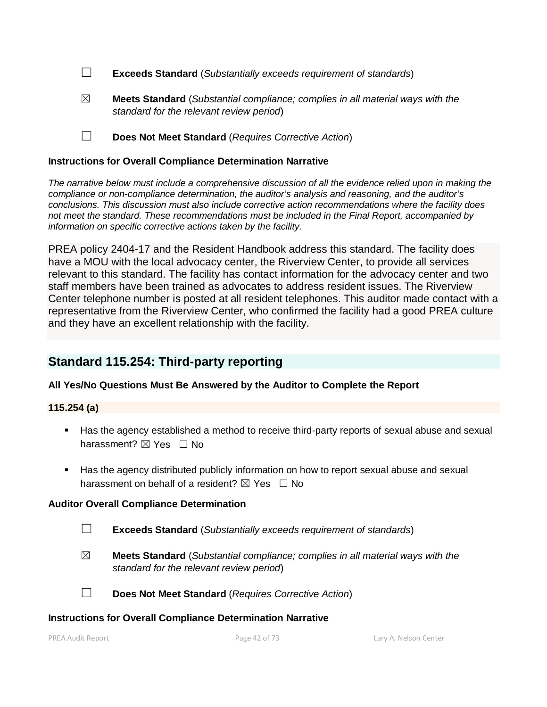- ☐ **Exceeds Standard** (*Substantially exceeds requirement of standards*)
- ☒ **Meets Standard** (*Substantial compliance; complies in all material ways with the standard for the relevant review period*)
- ☐ **Does Not Meet Standard** (*Requires Corrective Action*)

#### **Instructions for Overall Compliance Determination Narrative**

*The narrative below must include a comprehensive discussion of all the evidence relied upon in making the compliance or non-compliance determination, the auditor's analysis and reasoning, and the auditor's conclusions. This discussion must also include corrective action recommendations where the facility does not meet the standard. These recommendations must be included in the Final Report, accompanied by information on specific corrective actions taken by the facility.*

PREA policy 2404-17 and the Resident Handbook address this standard. The facility does have a MOU with the local advocacy center, the Riverview Center, to provide all services relevant to this standard. The facility has contact information for the advocacy center and two staff members have been trained as advocates to address resident issues. The Riverview Center telephone number is posted at all resident telephones. This auditor made contact with a representative from the Riverview Center, who confirmed the facility had a good PREA culture and they have an excellent relationship with the facility.

# **Standard 115.254: Third-party reporting**

### **All Yes/No Questions Must Be Answered by the Auditor to Complete the Report**

### **115.254 (a)**

- Has the agency established a method to receive third-party reports of sexual abuse and sexual harassment? **⊠** Yes □ No
- Has the agency distributed publicly information on how to report sexual abuse and sexual harassment on behalf of a resident?  $\boxtimes$  Yes  $\Box$  No

### **Auditor Overall Compliance Determination**

- ☐ **Exceeds Standard** (*Substantially exceeds requirement of standards*)
- ☒ **Meets Standard** (*Substantial compliance; complies in all material ways with the standard for the relevant review period*)

☐ **Does Not Meet Standard** (*Requires Corrective Action*)

#### **Instructions for Overall Compliance Determination Narrative**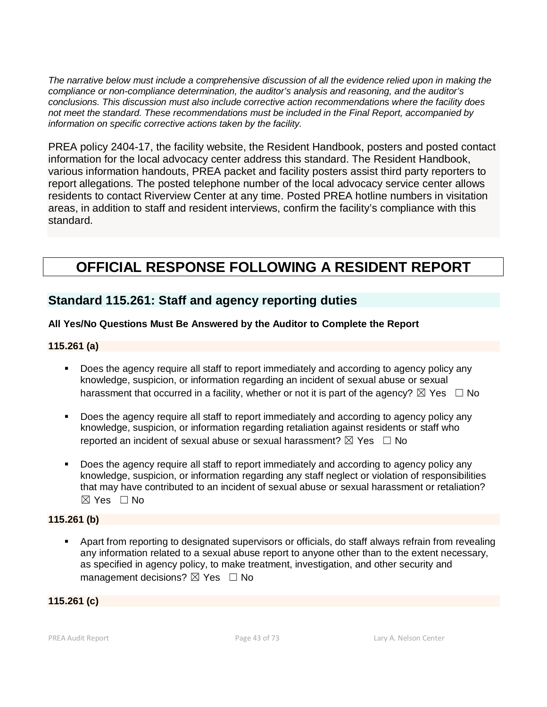*The narrative below must include a comprehensive discussion of all the evidence relied upon in making the compliance or non-compliance determination, the auditor's analysis and reasoning, and the auditor's conclusions. This discussion must also include corrective action recommendations where the facility does not meet the standard. These recommendations must be included in the Final Report, accompanied by information on specific corrective actions taken by the facility.*

PREA policy 2404-17, the facility website, the Resident Handbook, posters and posted contact information for the local advocacy center address this standard. The Resident Handbook, various information handouts, PREA packet and facility posters assist third party reporters to report allegations. The posted telephone number of the local advocacy service center allows residents to contact Riverview Center at any time. Posted PREA hotline numbers in visitation areas, in addition to staff and resident interviews, confirm the facility's compliance with this standard.

# **OFFICIAL RESPONSE FOLLOWING A RESIDENT REPORT**

# **Standard 115.261: Staff and agency reporting duties**

# **All Yes/No Questions Must Be Answered by the Auditor to Complete the Report**

### **115.261 (a)**

- Does the agency require all staff to report immediately and according to agency policy any knowledge, suspicion, or information regarding an incident of sexual abuse or sexual harassment that occurred in a facility, whether or not it is part of the agency?  $\boxtimes$  Yes  $\Box$  No
- Does the agency require all staff to report immediately and according to agency policy any knowledge, suspicion, or information regarding retaliation against residents or staff who reported an incident of sexual abuse or sexual harassment?  $\boxtimes$  Yes  $\Box$  No
- Does the agency require all staff to report immediately and according to agency policy any knowledge, suspicion, or information regarding any staff neglect or violation of responsibilities that may have contributed to an incident of sexual abuse or sexual harassment or retaliation? ☒ Yes ☐ No

#### **115.261 (b)**

 Apart from reporting to designated supervisors or officials, do staff always refrain from revealing any information related to a sexual abuse report to anyone other than to the extent necessary, as specified in agency policy, to make treatment, investigation, and other security and management decisions?  $\boxtimes$  Yes  $\Box$  No

### **115.261 (c)**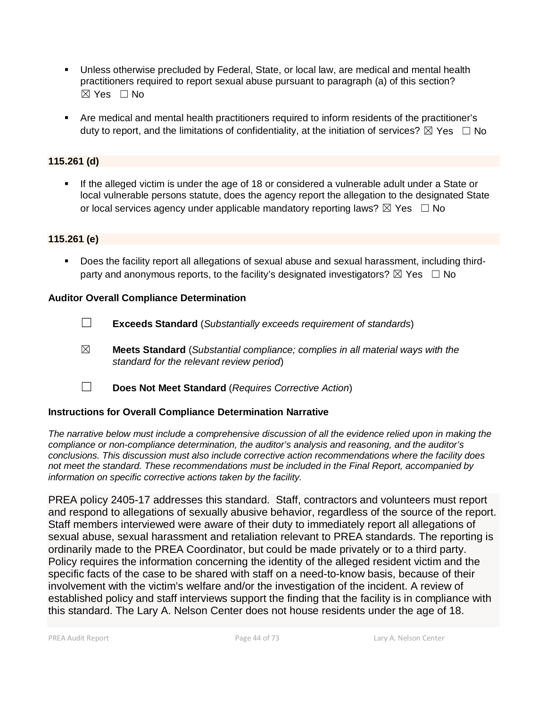- Unless otherwise precluded by Federal, State, or local law, are medical and mental health practitioners required to report sexual abuse pursuant to paragraph (a) of this section? ☒ Yes ☐ No
- Are medical and mental health practitioners required to inform residents of the practitioner's duty to report, and the limitations of confidentiality, at the initiation of services?  $\boxtimes$  Yes  $\Box$  No

# **115.261 (d)**

 If the alleged victim is under the age of 18 or considered a vulnerable adult under a State or local vulnerable persons statute, does the agency report the allegation to the designated State or local services agency under applicable mandatory reporting laws?  $\boxtimes$  Yes  $\Box$  No

#### **115.261 (e)**

 Does the facility report all allegations of sexual abuse and sexual harassment, including thirdparty and anonymous reports, to the facility's designated investigators?  $\boxtimes$  Yes  $\Box$  No

#### **Auditor Overall Compliance Determination**

- ☐ **Exceeds Standard** (*Substantially exceeds requirement of standards*)
- ☒ **Meets Standard** (*Substantial compliance; complies in all material ways with the standard for the relevant review period*)
- ☐ **Does Not Meet Standard** (*Requires Corrective Action*)

### **Instructions for Overall Compliance Determination Narrative**

*The narrative below must include a comprehensive discussion of all the evidence relied upon in making the compliance or non-compliance determination, the auditor's analysis and reasoning, and the auditor's conclusions. This discussion must also include corrective action recommendations where the facility does not meet the standard. These recommendations must be included in the Final Report, accompanied by information on specific corrective actions taken by the facility.*

PREA policy 2405-17 addresses this standard. Staff, contractors and volunteers must report and respond to allegations of sexually abusive behavior, regardless of the source of the report. Staff members interviewed were aware of their duty to immediately report all allegations of sexual abuse, sexual harassment and retaliation relevant to PREA standards. The reporting is ordinarily made to the PREA Coordinator, but could be made privately or to a third party. Policy requires the information concerning the identity of the alleged resident victim and the specific facts of the case to be shared with staff on a need-to-know basis, because of their involvement with the victim's welfare and/or the investigation of the incident. A review of established policy and staff interviews support the finding that the facility is in compliance with this standard. The Lary A. Nelson Center does not house residents under the age of 18.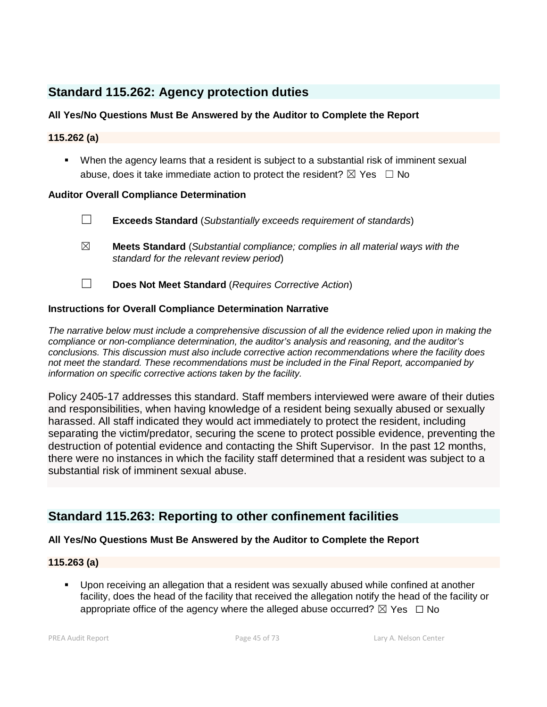# **Standard 115.262: Agency protection duties**

# **All Yes/No Questions Must Be Answered by the Auditor to Complete the Report**

## **115.262 (a)**

 When the agency learns that a resident is subject to a substantial risk of imminent sexual abuse, does it take immediate action to protect the resident?  $\boxtimes$  Yes  $\Box$  No

### **Auditor Overall Compliance Determination**

- ☐ **Exceeds Standard** (*Substantially exceeds requirement of standards*)
- ☒ **Meets Standard** (*Substantial compliance; complies in all material ways with the standard for the relevant review period*)
- ☐ **Does Not Meet Standard** (*Requires Corrective Action*)

## **Instructions for Overall Compliance Determination Narrative**

*The narrative below must include a comprehensive discussion of all the evidence relied upon in making the compliance or non-compliance determination, the auditor's analysis and reasoning, and the auditor's conclusions. This discussion must also include corrective action recommendations where the facility does not meet the standard. These recommendations must be included in the Final Report, accompanied by information on specific corrective actions taken by the facility.*

Policy 2405-17 addresses this standard. Staff members interviewed were aware of their duties and responsibilities, when having knowledge of a resident being sexually abused or sexually harassed. All staff indicated they would act immediately to protect the resident, including separating the victim/predator, securing the scene to protect possible evidence, preventing the destruction of potential evidence and contacting the Shift Supervisor. In the past 12 months, there were no instances in which the facility staff determined that a resident was subject to a substantial risk of imminent sexual abuse.

# **Standard 115.263: Reporting to other confinement facilities**

### **All Yes/No Questions Must Be Answered by the Auditor to Complete the Report**

### **115.263 (a)**

 Upon receiving an allegation that a resident was sexually abused while confined at another facility, does the head of the facility that received the allegation notify the head of the facility or appropriate office of the agency where the alleged abuse occurred?  $\boxtimes$  Yes  $\Box$  No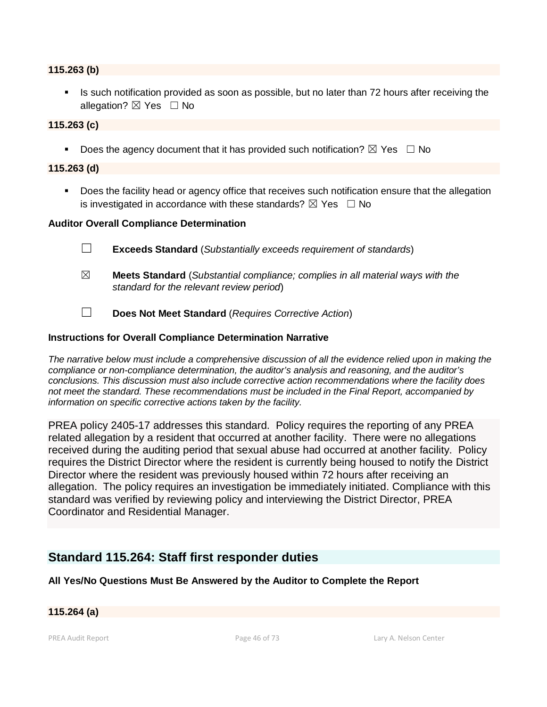#### **115.263 (b)**

If Is such notification provided as soon as possible, but no later than 72 hours after receiving the allegation?  $\boxtimes$  Yes  $\Box$  No

#### **115.263 (c)**

Does the agency document that it has provided such notification?  $\boxtimes$  Yes  $\Box$  No

#### **115.263 (d)**

**Does the facility head or agency office that receives such notification ensure that the allegation** is investigated in accordance with these standards?  $\boxtimes$  Yes  $\Box$  No

#### **Auditor Overall Compliance Determination**

- ☐ **Exceeds Standard** (*Substantially exceeds requirement of standards*)
- ☒ **Meets Standard** (*Substantial compliance; complies in all material ways with the standard for the relevant review period*)
- ☐ **Does Not Meet Standard** (*Requires Corrective Action*)

#### **Instructions for Overall Compliance Determination Narrative**

*The narrative below must include a comprehensive discussion of all the evidence relied upon in making the compliance or non-compliance determination, the auditor's analysis and reasoning, and the auditor's conclusions. This discussion must also include corrective action recommendations where the facility does not meet the standard. These recommendations must be included in the Final Report, accompanied by information on specific corrective actions taken by the facility.*

PREA policy 2405-17 addresses this standard. Policy requires the reporting of any PREA related allegation by a resident that occurred at another facility. There were no allegations received during the auditing period that sexual abuse had occurred at another facility. Policy requires the District Director where the resident is currently being housed to notify the District Director where the resident was previously housed within 72 hours after receiving an allegation. The policy requires an investigation be immediately initiated. Compliance with this standard was verified by reviewing policy and interviewing the District Director, PREA Coordinator and Residential Manager.

# **Standard 115.264: Staff first responder duties**

#### **All Yes/No Questions Must Be Answered by the Auditor to Complete the Report**

#### **115.264 (a)**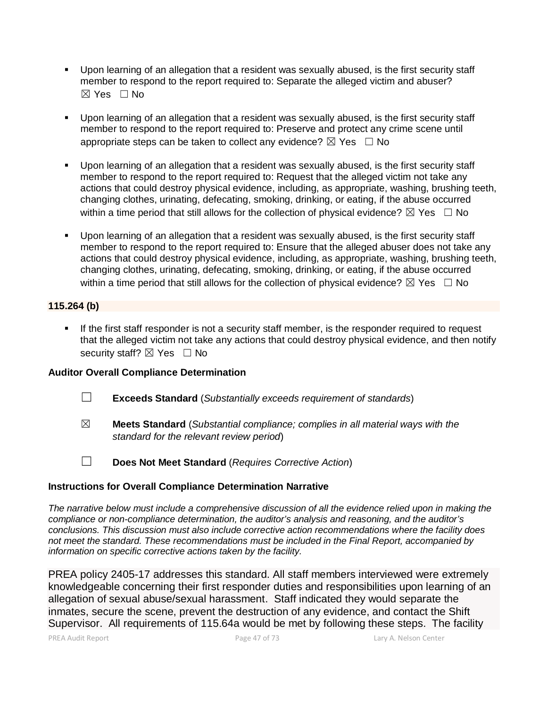- Upon learning of an allegation that a resident was sexually abused, is the first security staff member to respond to the report required to: Separate the alleged victim and abuser? ☒ Yes ☐ No
- Upon learning of an allegation that a resident was sexually abused, is the first security staff member to respond to the report required to: Preserve and protect any crime scene until appropriate steps can be taken to collect any evidence?  $\boxtimes$  Yes  $\Box$  No
- Upon learning of an allegation that a resident was sexually abused, is the first security staff member to respond to the report required to: Request that the alleged victim not take any actions that could destroy physical evidence, including, as appropriate, washing, brushing teeth, changing clothes, urinating, defecating, smoking, drinking, or eating, if the abuse occurred within a time period that still allows for the collection of physical evidence?  $\boxtimes$  Yes  $\Box$  No
- Upon learning of an allegation that a resident was sexually abused, is the first security staff member to respond to the report required to: Ensure that the alleged abuser does not take any actions that could destroy physical evidence, including, as appropriate, washing, brushing teeth, changing clothes, urinating, defecating, smoking, drinking, or eating, if the abuse occurred within a time period that still allows for the collection of physical evidence?  $\boxtimes$  Yes  $\Box$  No

### **115.264 (b)**

 If the first staff responder is not a security staff member, is the responder required to request that the alleged victim not take any actions that could destroy physical evidence, and then notify security staff?  $\boxtimes$  Yes  $\Box$  No

### **Auditor Overall Compliance Determination**

- ☐ **Exceeds Standard** (*Substantially exceeds requirement of standards*)
- ☒ **Meets Standard** (*Substantial compliance; complies in all material ways with the standard for the relevant review period*)
- 
- ☐ **Does Not Meet Standard** (*Requires Corrective Action*)

### **Instructions for Overall Compliance Determination Narrative**

*The narrative below must include a comprehensive discussion of all the evidence relied upon in making the compliance or non-compliance determination, the auditor's analysis and reasoning, and the auditor's conclusions. This discussion must also include corrective action recommendations where the facility does not meet the standard. These recommendations must be included in the Final Report, accompanied by information on specific corrective actions taken by the facility.*

PREA policy 2405-17 addresses this standard. All staff members interviewed were extremely knowledgeable concerning their first responder duties and responsibilities upon learning of an allegation of sexual abuse/sexual harassment. Staff indicated they would separate the inmates, secure the scene, prevent the destruction of any evidence, and contact the Shift Supervisor. All requirements of 115.64a would be met by following these steps. The facility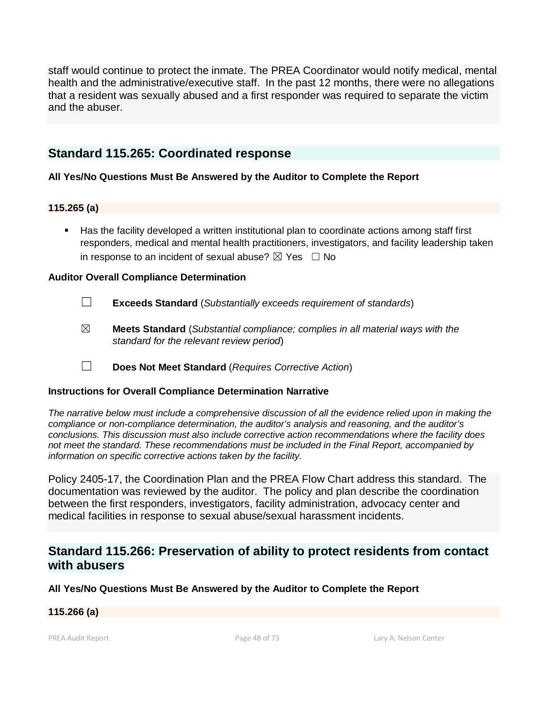staff would continue to protect the inmate. The PREA Coordinator would notify medical, mental health and the administrative/executive staff. In the past 12 months, there were no allegations that a resident was sexually abused and a first responder was required to separate the victim and the abuser.

# **Standard 115.265: Coordinated response**

## **All Yes/No Questions Must Be Answered by the Auditor to Complete the Report**

## **115.265 (a)**

 Has the facility developed a written institutional plan to coordinate actions among staff first responders, medical and mental health practitioners, investigators, and facility leadership taken in response to an incident of sexual abuse?  $\boxtimes$  Yes  $\Box$  No

## **Auditor Overall Compliance Determination**

- ☐ **Exceeds Standard** (*Substantially exceeds requirement of standards*)
- ☒ **Meets Standard** (*Substantial compliance; complies in all material ways with the standard for the relevant review period*)
- ☐ **Does Not Meet Standard** (*Requires Corrective Action*)

### **Instructions for Overall Compliance Determination Narrative**

*The narrative below must include a comprehensive discussion of all the evidence relied upon in making the compliance or non-compliance determination, the auditor's analysis and reasoning, and the auditor's conclusions. This discussion must also include corrective action recommendations where the facility does not meet the standard. These recommendations must be included in the Final Report, accompanied by information on specific corrective actions taken by the facility.*

Policy 2405-17, the Coordination Plan and the PREA Flow Chart address this standard. The documentation was reviewed by the auditor. The policy and plan describe the coordination between the first responders, investigators, facility administration, advocacy center and medical facilities in response to sexual abuse/sexual harassment incidents.

# **Standard 115.266: Preservation of ability to protect residents from contact with abusers**

### **All Yes/No Questions Must Be Answered by the Auditor to Complete the Report**

# **115.266 (a)**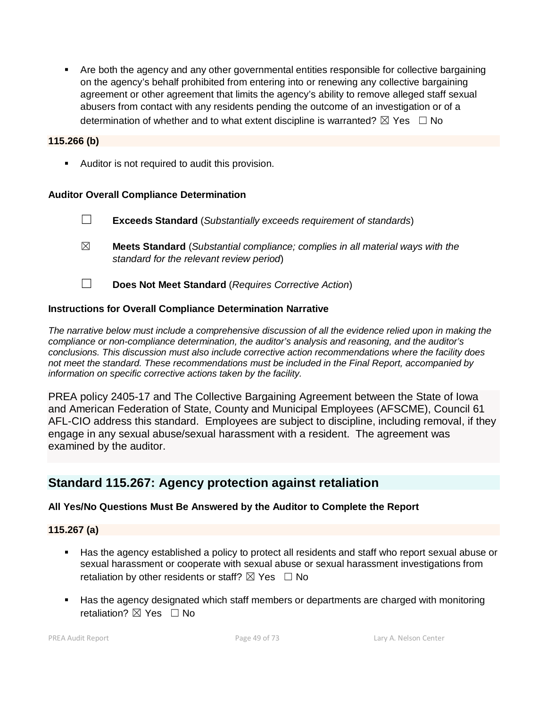Are both the agency and any other governmental entities responsible for collective bargaining on the agency's behalf prohibited from entering into or renewing any collective bargaining agreement or other agreement that limits the agency's ability to remove alleged staff sexual abusers from contact with any residents pending the outcome of an investigation or of a determination of whether and to what extent discipline is warranted?  $\boxtimes$  Yes  $\Box$  No

#### **115.266 (b)**

**Auditor is not required to audit this provision.** 

### **Auditor Overall Compliance Determination**

- ☐ **Exceeds Standard** (*Substantially exceeds requirement of standards*)
- ☒ **Meets Standard** (*Substantial compliance; complies in all material ways with the standard for the relevant review period*)
- ☐ **Does Not Meet Standard** (*Requires Corrective Action*)

#### **Instructions for Overall Compliance Determination Narrative**

*The narrative below must include a comprehensive discussion of all the evidence relied upon in making the compliance or non-compliance determination, the auditor's analysis and reasoning, and the auditor's conclusions. This discussion must also include corrective action recommendations where the facility does not meet the standard. These recommendations must be included in the Final Report, accompanied by information on specific corrective actions taken by the facility.*

PREA policy 2405-17 and The Collective Bargaining Agreement between the State of Iowa and American Federation of State, County and Municipal Employees (AFSCME), Council 61 AFL-CIO address this standard. Employees are subject to discipline, including removal, if they engage in any sexual abuse/sexual harassment with a resident. The agreement was examined by the auditor.

# **Standard 115.267: Agency protection against retaliation**

### **All Yes/No Questions Must Be Answered by the Auditor to Complete the Report**

### **115.267 (a)**

- Has the agency established a policy to protect all residents and staff who report sexual abuse or sexual harassment or cooperate with sexual abuse or sexual harassment investigations from retaliation by other residents or staff?  $\boxtimes$  Yes  $\Box$  No
- Has the agency designated which staff members or departments are charged with monitoring retaliation?  $\nabla$  Yes  $\Box$  No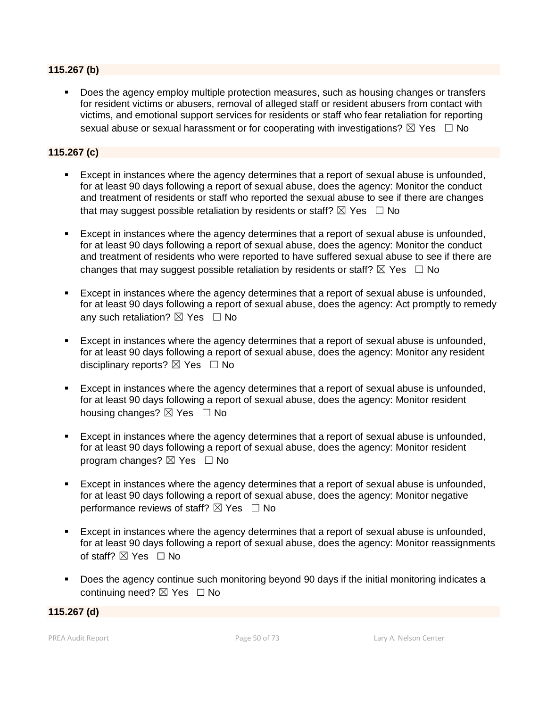#### **115.267 (b)**

 Does the agency employ multiple protection measures, such as housing changes or transfers for resident victims or abusers, removal of alleged staff or resident abusers from contact with victims, and emotional support services for residents or staff who fear retaliation for reporting sexual abuse or sexual harassment or for cooperating with investigations?  $\boxtimes$  Yes  $\Box$  No

## **115.267 (c)**

- Except in instances where the agency determines that a report of sexual abuse is unfounded, for at least 90 days following a report of sexual abuse, does the agency: Monitor the conduct and treatment of residents or staff who reported the sexual abuse to see if there are changes that may suggest possible retaliation by residents or staff?  $\boxtimes$  Yes  $\Box$  No
- Except in instances where the agency determines that a report of sexual abuse is unfounded, for at least 90 days following a report of sexual abuse, does the agency: Monitor the conduct and treatment of residents who were reported to have suffered sexual abuse to see if there are changes that may suggest possible retaliation by residents or staff?  $\boxtimes$  Yes  $\Box$  No
- Except in instances where the agency determines that a report of sexual abuse is unfounded, for at least 90 days following a report of sexual abuse, does the agency: Act promptly to remedy any such retaliation?  $\boxtimes$  Yes  $\Box$  No
- Except in instances where the agency determines that a report of sexual abuse is unfounded, for at least 90 days following a report of sexual abuse, does the agency: Monitor any resident disciplinary reports?  $\boxtimes$  Yes  $\Box$  No
- Except in instances where the agency determines that a report of sexual abuse is unfounded, for at least 90 days following a report of sexual abuse, does the agency: Monitor resident housing changes?  $\boxtimes$  Yes  $\Box$  No
- Except in instances where the agency determines that a report of sexual abuse is unfounded, for at least 90 days following a report of sexual abuse, does the agency: Monitor resident program changes?  $\boxtimes$  Yes  $\Box$  No
- Except in instances where the agency determines that a report of sexual abuse is unfounded, for at least 90 days following a report of sexual abuse, does the agency: Monitor negative performance reviews of staff?  $\boxtimes$  Yes  $\Box$  No
- Except in instances where the agency determines that a report of sexual abuse is unfounded, for at least 90 days following a report of sexual abuse, does the agency: Monitor reassignments of staff? ⊠ Yes □ No
- Does the agency continue such monitoring beyond 90 days if the initial monitoring indicates a continuing need?  $\boxtimes$  Yes  $\Box$  No

**115.267 (d)**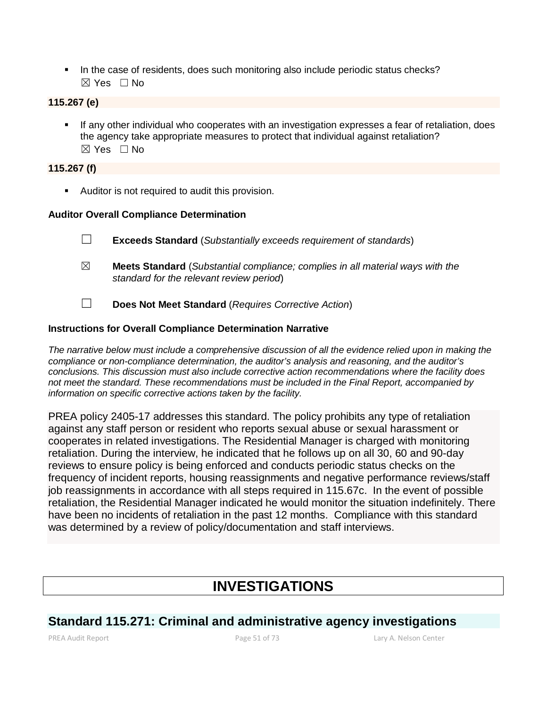In the case of residents, does such monitoring also include periodic status checks?  $\boxtimes$  Yes  $\Box$  No

## **115.267 (e)**

 If any other individual who cooperates with an investigation expresses a fear of retaliation, does the agency take appropriate measures to protect that individual against retaliation?  $\boxtimes$  Yes  $\Box$  No

## **115.267 (f)**

**Auditor is not required to audit this provision.** 

### **Auditor Overall Compliance Determination**

- ☐ **Exceeds Standard** (*Substantially exceeds requirement of standards*)
- ☒ **Meets Standard** (*Substantial compliance; complies in all material ways with the standard for the relevant review period*)
- ☐ **Does Not Meet Standard** (*Requires Corrective Action*)

### **Instructions for Overall Compliance Determination Narrative**

*The narrative below must include a comprehensive discussion of all the evidence relied upon in making the compliance or non-compliance determination, the auditor's analysis and reasoning, and the auditor's conclusions. This discussion must also include corrective action recommendations where the facility does not meet the standard. These recommendations must be included in the Final Report, accompanied by information on specific corrective actions taken by the facility.*

PREA policy 2405-17 addresses this standard. The policy prohibits any type of retaliation against any staff person or resident who reports sexual abuse or sexual harassment or cooperates in related investigations. The Residential Manager is charged with monitoring retaliation. During the interview, he indicated that he follows up on all 30, 60 and 90-day reviews to ensure policy is being enforced and conducts periodic status checks on the frequency of incident reports, housing reassignments and negative performance reviews/staff job reassignments in accordance with all steps required in 115.67c. In the event of possible retaliation, the Residential Manager indicated he would monitor the situation indefinitely. There have been no incidents of retaliation in the past 12 months. Compliance with this standard was determined by a review of policy/documentation and staff interviews.

# **INVESTIGATIONS**

# **Standard 115.271: Criminal and administrative agency investigations**

PREA Audit Report Page 51 of 73 Lary A. Nelson Center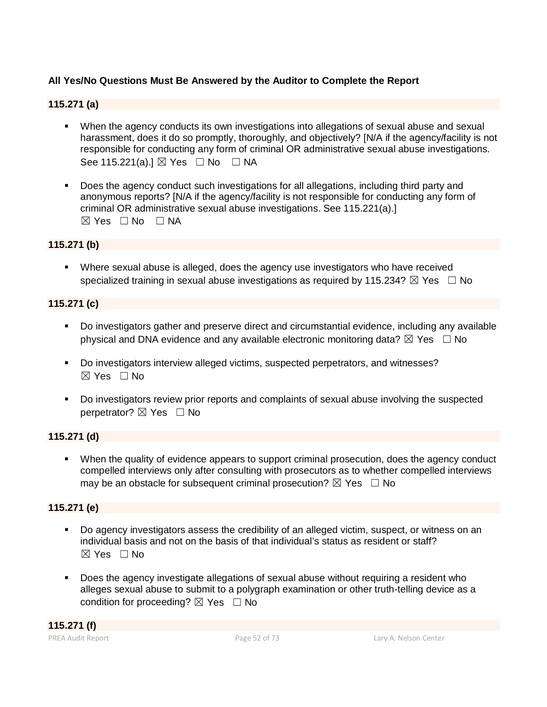# **All Yes/No Questions Must Be Answered by the Auditor to Complete the Report**

# **115.271 (a)**

- When the agency conducts its own investigations into allegations of sexual abuse and sexual harassment, does it do so promptly, thoroughly, and objectively? [N/A if the agency/facility is not responsible for conducting any form of criminal OR administrative sexual abuse investigations. See 115.221(a).] ⊠ Yes □ No □ NA
- Does the agency conduct such investigations for all allegations, including third party and anonymous reports? [N/A if the agency/facility is not responsible for conducting any form of criminal OR administrative sexual abuse investigations. See 115.221(a).] ☒ Yes ☐ No ☐ NA

### **115.271 (b)**

 Where sexual abuse is alleged, does the agency use investigators who have received specialized training in sexual abuse investigations as required by 115.234?  $\boxtimes$  Yes  $\Box$  No

### **115.271 (c)**

- Do investigators gather and preserve direct and circumstantial evidence, including any available physical and DNA evidence and any available electronic monitoring data?  $\boxtimes$  Yes  $\Box$  No
- Do investigators interview alleged victims, suspected perpetrators, and witnesses?  $\boxtimes$  Yes  $\Box$  No
- Do investigators review prior reports and complaints of sexual abuse involving the suspected perpetrator? ⊠ Yes □ No

## **115.271 (d)**

 When the quality of evidence appears to support criminal prosecution, does the agency conduct compelled interviews only after consulting with prosecutors as to whether compelled interviews may be an obstacle for subsequent criminal prosecution?  $\boxtimes$  Yes  $\Box$  No

### **115.271 (e)**

- Do agency investigators assess the credibility of an alleged victim, suspect, or witness on an individual basis and not on the basis of that individual's status as resident or staff?  $\boxtimes$  Yes  $\Box$  No
- Does the agency investigate allegations of sexual abuse without requiring a resident who alleges sexual abuse to submit to a polygraph examination or other truth-telling device as a condition for proceeding?  $\boxtimes$  Yes  $\Box$  No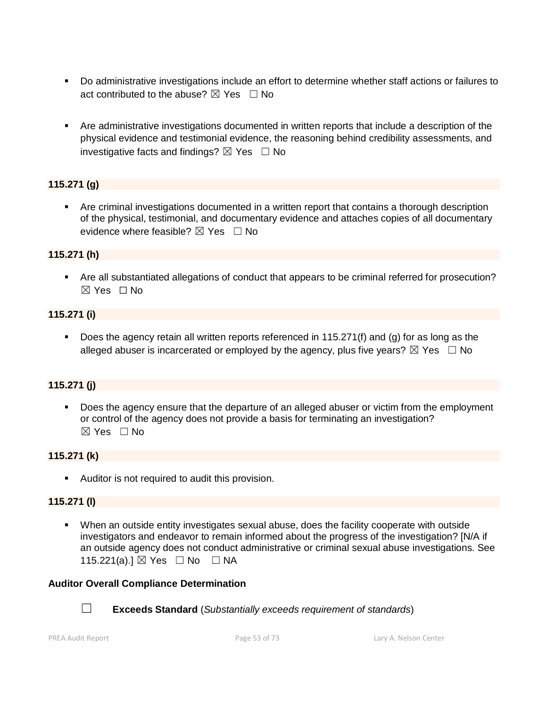- Do administrative investigations include an effort to determine whether staff actions or failures to act contributed to the abuse?  $\boxtimes$  Yes  $\Box$  No
- Are administrative investigations documented in written reports that include a description of the physical evidence and testimonial evidence, the reasoning behind credibility assessments, and investigative facts and findings?  $\boxtimes$  Yes  $\Box$  No

# **115.271 (g)**

 Are criminal investigations documented in a written report that contains a thorough description of the physical, testimonial, and documentary evidence and attaches copies of all documentary evidence where feasible?  $\boxtimes$  Yes  $\Box$  No

### **115.271 (h)**

 Are all substantiated allegations of conduct that appears to be criminal referred for prosecution?  $\boxtimes$  Yes  $\Box$  No

#### **115.271 (i)**

 Does the agency retain all written reports referenced in 115.271(f) and (g) for as long as the alleged abuser is incarcerated or employed by the agency, plus five years?  $\boxtimes$  Yes  $\Box$  No

## **115.271 (j)**

 Does the agency ensure that the departure of an alleged abuser or victim from the employment or control of the agency does not provide a basis for terminating an investigation?  $\boxtimes$  Yes  $\Box$  No

### **115.271 (k)**

**Auditor is not required to audit this provision.** 

#### **115.271 (l)**

 When an outside entity investigates sexual abuse, does the facility cooperate with outside investigators and endeavor to remain informed about the progress of the investigation? [N/A if an outside agency does not conduct administrative or criminal sexual abuse investigations. See 115.221(a).] ⊠ Yes □ No □ NA

#### **Auditor Overall Compliance Determination**



☐ **Exceeds Standard** (*Substantially exceeds requirement of standards*)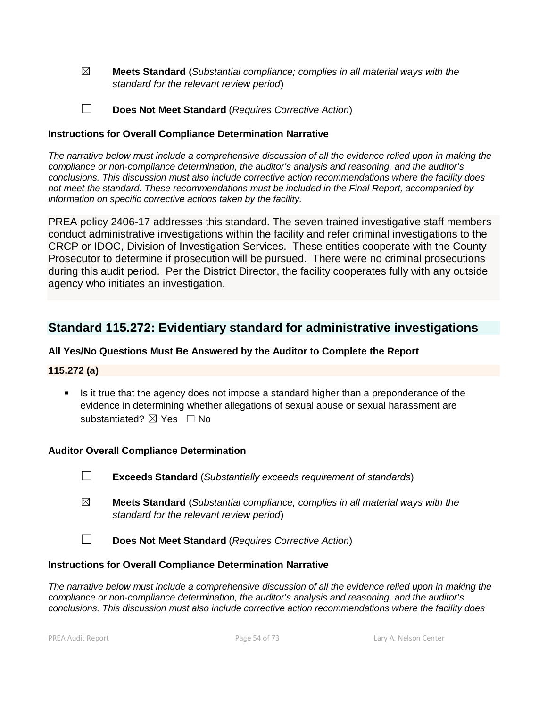- ☒ **Meets Standard** (*Substantial compliance; complies in all material ways with the standard for the relevant review period*)
- ☐ **Does Not Meet Standard** (*Requires Corrective Action*)

#### **Instructions for Overall Compliance Determination Narrative**

*The narrative below must include a comprehensive discussion of all the evidence relied upon in making the compliance or non-compliance determination, the auditor's analysis and reasoning, and the auditor's conclusions. This discussion must also include corrective action recommendations where the facility does not meet the standard. These recommendations must be included in the Final Report, accompanied by information on specific corrective actions taken by the facility.*

PREA policy 2406-17 addresses this standard. The seven trained investigative staff members conduct administrative investigations within the facility and refer criminal investigations to the CRCP or IDOC, Division of Investigation Services. These entities cooperate with the County Prosecutor to determine if prosecution will be pursued. There were no criminal prosecutions during this audit period. Per the District Director, the facility cooperates fully with any outside agency who initiates an investigation.

# **Standard 115.272: Evidentiary standard for administrative investigations**

## **All Yes/No Questions Must Be Answered by the Auditor to Complete the Report**

### **115.272 (a)**

 Is it true that the agency does not impose a standard higher than a preponderance of the evidence in determining whether allegations of sexual abuse or sexual harassment are substantiated? **⊠** Yes □ No

#### **Auditor Overall Compliance Determination**

- ☐ **Exceeds Standard** (*Substantially exceeds requirement of standards*)
- ☒ **Meets Standard** (*Substantial compliance; complies in all material ways with the standard for the relevant review period*)
- ☐ **Does Not Meet Standard** (*Requires Corrective Action*)

#### **Instructions for Overall Compliance Determination Narrative**

*The narrative below must include a comprehensive discussion of all the evidence relied upon in making the compliance or non-compliance determination, the auditor's analysis and reasoning, and the auditor's conclusions. This discussion must also include corrective action recommendations where the facility does*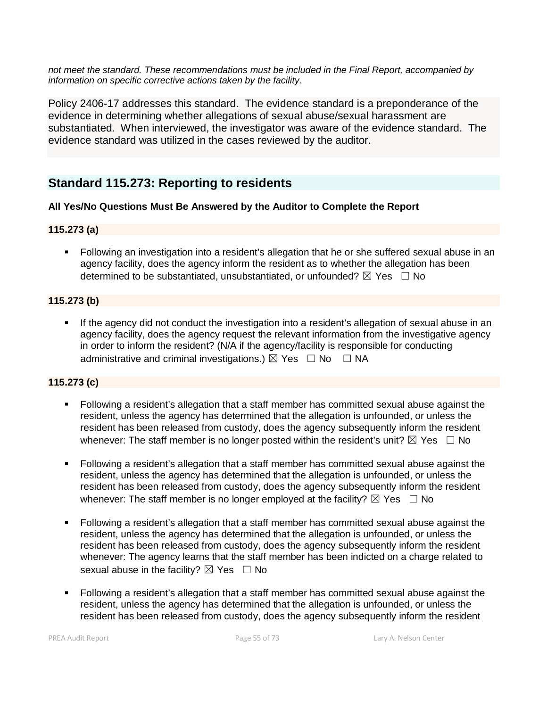*not meet the standard. These recommendations must be included in the Final Report, accompanied by information on specific corrective actions taken by the facility.*

Policy 2406-17 addresses this standard. The evidence standard is a preponderance of the evidence in determining whether allegations of sexual abuse/sexual harassment are substantiated. When interviewed, the investigator was aware of the evidence standard. The evidence standard was utilized in the cases reviewed by the auditor.

# **Standard 115.273: Reporting to residents**

## **All Yes/No Questions Must Be Answered by the Auditor to Complete the Report**

### **115.273 (a)**

 Following an investigation into a resident's allegation that he or she suffered sexual abuse in an agency facility, does the agency inform the resident as to whether the allegation has been determined to be substantiated, unsubstantiated, or unfounded?  $\boxtimes$  Yes  $\Box$  No

## **115.273 (b)**

 If the agency did not conduct the investigation into a resident's allegation of sexual abuse in an agency facility, does the agency request the relevant information from the investigative agency in order to inform the resident? (N/A if the agency/facility is responsible for conducting administrative and criminal investigations.)  $\boxtimes$  Yes  $\Box$  No  $\Box$  NA

# **115.273 (c)**

- Following a resident's allegation that a staff member has committed sexual abuse against the resident, unless the agency has determined that the allegation is unfounded, or unless the resident has been released from custody, does the agency subsequently inform the resident whenever: The staff member is no longer posted within the resident's unit?  $\boxtimes$  Yes  $\Box$  No
- Following a resident's allegation that a staff member has committed sexual abuse against the resident, unless the agency has determined that the allegation is unfounded, or unless the resident has been released from custody, does the agency subsequently inform the resident whenever: The staff member is no longer employed at the facility?  $\boxtimes$  Yes  $\Box$  No
- Following a resident's allegation that a staff member has committed sexual abuse against the resident, unless the agency has determined that the allegation is unfounded, or unless the resident has been released from custody, does the agency subsequently inform the resident whenever: The agency learns that the staff member has been indicted on a charge related to sexual abuse in the facility?  $\boxtimes$  Yes  $\Box$  No
- Following a resident's allegation that a staff member has committed sexual abuse against the resident, unless the agency has determined that the allegation is unfounded, or unless the resident has been released from custody, does the agency subsequently inform the resident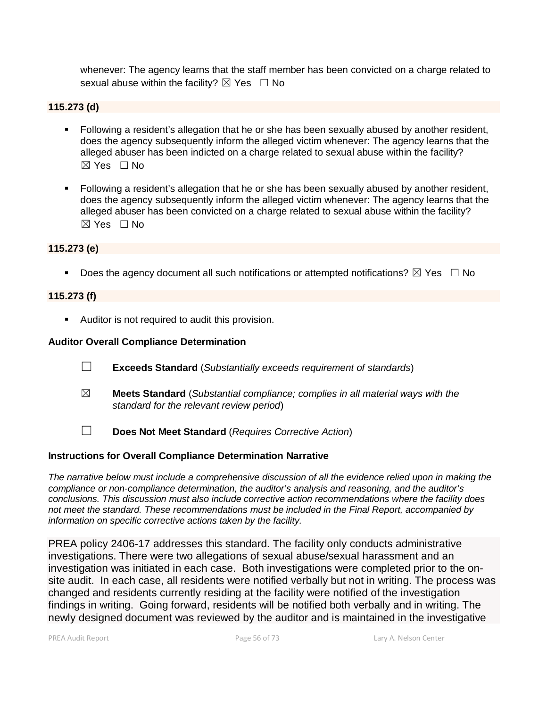whenever: The agency learns that the staff member has been convicted on a charge related to sexual abuse within the facility?  $\boxtimes$  Yes  $\Box$  No

#### **115.273 (d)**

- Following a resident's allegation that he or she has been sexually abused by another resident, does the agency subsequently inform the alleged victim whenever: The agency learns that the alleged abuser has been indicted on a charge related to sexual abuse within the facility?  $\boxtimes$  Yes  $\Box$  No
- Following a resident's allegation that he or she has been sexually abused by another resident, does the agency subsequently inform the alleged victim whenever: The agency learns that the alleged abuser has been convicted on a charge related to sexual abuse within the facility?  $\boxtimes$  Yes  $\Box$  No

#### **115.273 (e)**

Does the agency document all such notifications or attempted notifications?  $\boxtimes$  Yes  $\Box$  No

#### **115.273 (f)**

Auditor is not required to audit this provision.

#### **Auditor Overall Compliance Determination**

- ☐ **Exceeds Standard** (*Substantially exceeds requirement of standards*)
- ☒ **Meets Standard** (*Substantial compliance; complies in all material ways with the standard for the relevant review period*)
- ☐ **Does Not Meet Standard** (*Requires Corrective Action*)

#### **Instructions for Overall Compliance Determination Narrative**

*The narrative below must include a comprehensive discussion of all the evidence relied upon in making the compliance or non-compliance determination, the auditor's analysis and reasoning, and the auditor's conclusions. This discussion must also include corrective action recommendations where the facility does not meet the standard. These recommendations must be included in the Final Report, accompanied by information on specific corrective actions taken by the facility.*

PREA policy 2406-17 addresses this standard. The facility only conducts administrative investigations. There were two allegations of sexual abuse/sexual harassment and an investigation was initiated in each case. Both investigations were completed prior to the onsite audit. In each case, all residents were notified verbally but not in writing. The process was changed and residents currently residing at the facility were notified of the investigation findings in writing. Going forward, residents will be notified both verbally and in writing. The newly designed document was reviewed by the auditor and is maintained in the investigative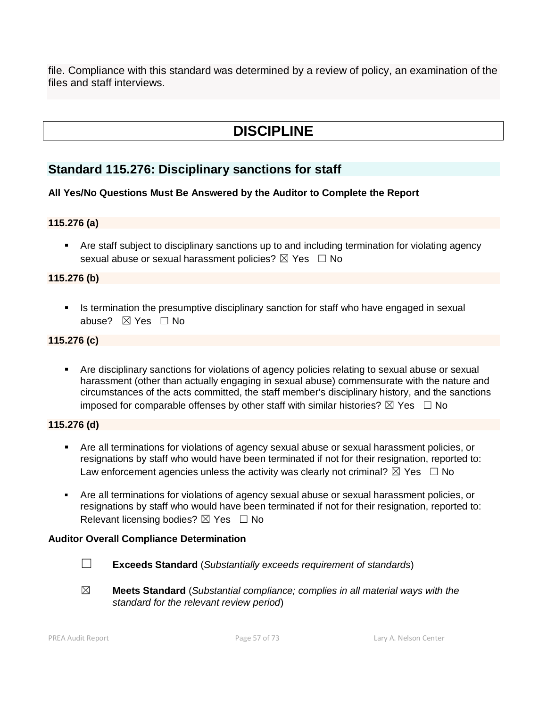file. Compliance with this standard was determined by a review of policy, an examination of the files and staff interviews.

# **DISCIPLINE**

# **Standard 115.276: Disciplinary sanctions for staff**

### **All Yes/No Questions Must Be Answered by the Auditor to Complete the Report**

## **115.276 (a)**

 Are staff subject to disciplinary sanctions up to and including termination for violating agency sexual abuse or sexual harassment policies?  $\boxtimes$  Yes  $\Box$  No

### **115.276 (b)**

Is termination the presumptive disciplinary sanction for staff who have engaged in sexual abuse? ☒ Yes ☐ No

### **115.276 (c)**

 Are disciplinary sanctions for violations of agency policies relating to sexual abuse or sexual harassment (other than actually engaging in sexual abuse) commensurate with the nature and circumstances of the acts committed, the staff member's disciplinary history, and the sanctions imposed for comparable offenses by other staff with similar histories?  $\boxtimes$  Yes  $\Box$  No

### **115.276 (d)**

- Are all terminations for violations of agency sexual abuse or sexual harassment policies, or resignations by staff who would have been terminated if not for their resignation, reported to: Law enforcement agencies unless the activity was clearly not criminal?  $\boxtimes$  Yes  $\Box$  No
- Are all terminations for violations of agency sexual abuse or sexual harassment policies, or resignations by staff who would have been terminated if not for their resignation, reported to: Relevant licensing bodies?  $\boxtimes$  Yes  $\Box$  No

#### **Auditor Overall Compliance Determination**

- ☐ **Exceeds Standard** (*Substantially exceeds requirement of standards*)
- ☒ **Meets Standard** (*Substantial compliance; complies in all material ways with the standard for the relevant review period*)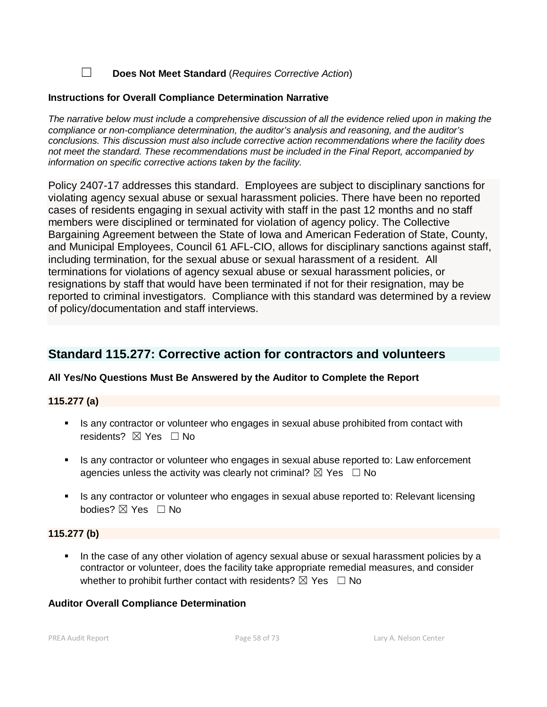☐ **Does Not Meet Standard** (*Requires Corrective Action*)

#### **Instructions for Overall Compliance Determination Narrative**

*The narrative below must include a comprehensive discussion of all the evidence relied upon in making the compliance or non-compliance determination, the auditor's analysis and reasoning, and the auditor's conclusions. This discussion must also include corrective action recommendations where the facility does not meet the standard. These recommendations must be included in the Final Report, accompanied by information on specific corrective actions taken by the facility.*

Policy 2407-17 addresses this standard. Employees are subject to disciplinary sanctions for violating agency sexual abuse or sexual harassment policies. There have been no reported cases of residents engaging in sexual activity with staff in the past 12 months and no staff members were disciplined or terminated for violation of agency policy. The Collective Bargaining Agreement between the State of Iowa and American Federation of State, County, and Municipal Employees, Council 61 AFL-CIO, allows for disciplinary sanctions against staff, including termination, for the sexual abuse or sexual harassment of a resident. All terminations for violations of agency sexual abuse or sexual harassment policies, or resignations by staff that would have been terminated if not for their resignation, may be reported to criminal investigators. Compliance with this standard was determined by a review of policy/documentation and staff interviews.

# **Standard 115.277: Corrective action for contractors and volunteers**

### **All Yes/No Questions Must Be Answered by the Auditor to Complete the Report**

#### **115.277 (a)**

- Is any contractor or volunteer who engages in sexual abuse prohibited from contact with residents? **⊠** Yes □ No
- If any contractor or volunteer who engages in sexual abuse reported to: Law enforcement agencies unless the activity was clearly not criminal?  $\boxtimes$  Yes  $\Box$  No
- Is any contractor or volunteer who engages in sexual abuse reported to: Relevant licensing bodies? ☒ Yes ☐ No

#### **115.277 (b)**

 In the case of any other violation of agency sexual abuse or sexual harassment policies by a contractor or volunteer, does the facility take appropriate remedial measures, and consider whether to prohibit further contact with residents?  $\boxtimes$  Yes  $\Box$  No

#### **Auditor Overall Compliance Determination**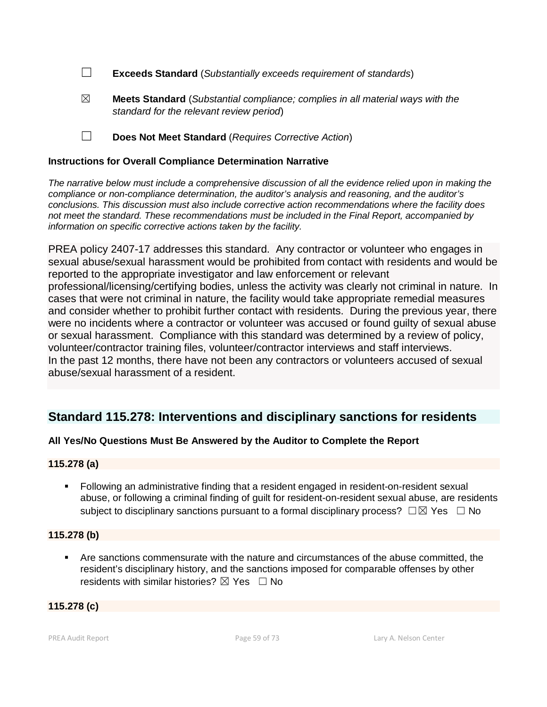- ☐ **Exceeds Standard** (*Substantially exceeds requirement of standards*)
- ☒ **Meets Standard** (*Substantial compliance; complies in all material ways with the standard for the relevant review period*)
- ☐ **Does Not Meet Standard** (*Requires Corrective Action*)

#### **Instructions for Overall Compliance Determination Narrative**

*The narrative below must include a comprehensive discussion of all the evidence relied upon in making the compliance or non-compliance determination, the auditor's analysis and reasoning, and the auditor's conclusions. This discussion must also include corrective action recommendations where the facility does not meet the standard. These recommendations must be included in the Final Report, accompanied by information on specific corrective actions taken by the facility.*

PREA policy 2407-17 addresses this standard. Any contractor or volunteer who engages in sexual abuse/sexual harassment would be prohibited from contact with residents and would be reported to the appropriate investigator and law enforcement or relevant professional/licensing/certifying bodies, unless the activity was clearly not criminal in nature. In cases that were not criminal in nature, the facility would take appropriate remedial measures and consider whether to prohibit further contact with residents. During the previous year, there were no incidents where a contractor or volunteer was accused or found guilty of sexual abuse or sexual harassment. Compliance with this standard was determined by a review of policy, volunteer/contractor training files, volunteer/contractor interviews and staff interviews. In the past 12 months, there have not been any contractors or volunteers accused of sexual abuse/sexual harassment of a resident.

# **Standard 115.278: Interventions and disciplinary sanctions for residents**

### **All Yes/No Questions Must Be Answered by the Auditor to Complete the Report**

### **115.278 (a)**

 Following an administrative finding that a resident engaged in resident-on-resident sexual abuse, or following a criminal finding of guilt for resident-on-resident sexual abuse, are residents subject to disciplinary sanctions pursuant to a formal disciplinary process?  $\square \boxtimes$  Yes  $\square$  No

### **115.278 (b)**

 Are sanctions commensurate with the nature and circumstances of the abuse committed, the resident's disciplinary history, and the sanctions imposed for comparable offenses by other residents with similar histories?  $\boxtimes$  Yes  $\Box$  No

#### **115.278 (c)**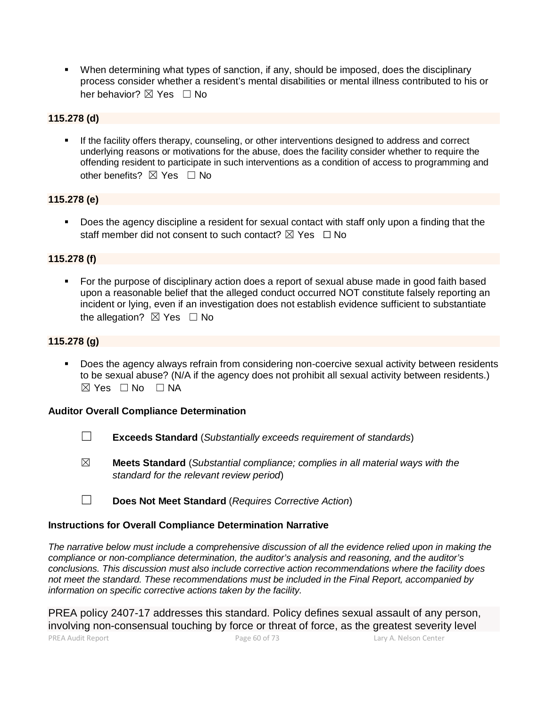When determining what types of sanction, if any, should be imposed, does the disciplinary process consider whether a resident's mental disabilities or mental illness contributed to his or her behavior? ⊠ Yes □ No

## **115.278 (d)**

 If the facility offers therapy, counseling, or other interventions designed to address and correct underlying reasons or motivations for the abuse, does the facility consider whether to require the offending resident to participate in such interventions as a condition of access to programming and other benefits?  $\boxtimes$  Yes  $\Box$  No

### **115.278 (e)**

 Does the agency discipline a resident for sexual contact with staff only upon a finding that the staff member did not consent to such contact?  $\boxtimes$  Yes  $\Box$  No

#### **115.278 (f)**

 For the purpose of disciplinary action does a report of sexual abuse made in good faith based upon a reasonable belief that the alleged conduct occurred NOT constitute falsely reporting an incident or lying, even if an investigation does not establish evidence sufficient to substantiate the allegation?  $\boxtimes$  Yes  $\Box$  No

#### **115.278 (g)**

 Does the agency always refrain from considering non-coercive sexual activity between residents to be sexual abuse? (N/A if the agency does not prohibit all sexual activity between residents.)  $\boxtimes$  Yes  $\square$  No  $\square$  NA

#### **Auditor Overall Compliance Determination**

- ☐ **Exceeds Standard** (*Substantially exceeds requirement of standards*)
- ☒ **Meets Standard** (*Substantial compliance; complies in all material ways with the standard for the relevant review period*)
- ☐ **Does Not Meet Standard** (*Requires Corrective Action*)

### **Instructions for Overall Compliance Determination Narrative**

*The narrative below must include a comprehensive discussion of all the evidence relied upon in making the compliance or non-compliance determination, the auditor's analysis and reasoning, and the auditor's conclusions. This discussion must also include corrective action recommendations where the facility does not meet the standard. These recommendations must be included in the Final Report, accompanied by information on specific corrective actions taken by the facility.*

PREA policy 2407-17 addresses this standard. Policy defines sexual assault of any person, involving non-consensual touching by force or threat of force, as the greatest severity level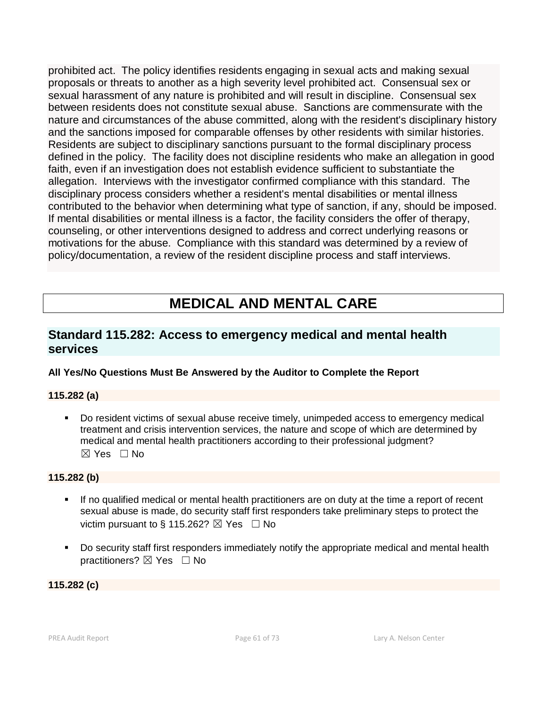prohibited act. The policy identifies residents engaging in sexual acts and making sexual proposals or threats to another as a high severity level prohibited act. Consensual sex or sexual harassment of any nature is prohibited and will result in discipline. Consensual sex between residents does not constitute sexual abuse. Sanctions are commensurate with the nature and circumstances of the abuse committed, along with the resident's disciplinary history and the sanctions imposed for comparable offenses by other residents with similar histories. Residents are subject to disciplinary sanctions pursuant to the formal disciplinary process defined in the policy. The facility does not discipline residents who make an allegation in good faith, even if an investigation does not establish evidence sufficient to substantiate the allegation. Interviews with the investigator confirmed compliance with this standard. The disciplinary process considers whether a resident's mental disabilities or mental illness contributed to the behavior when determining what type of sanction, if any, should be imposed. If mental disabilities or mental illness is a factor, the facility considers the offer of therapy, counseling, or other interventions designed to address and correct underlying reasons or motivations for the abuse. Compliance with this standard was determined by a review of policy/documentation, a review of the resident discipline process and staff interviews.

# **MEDICAL AND MENTAL CARE**

# **Standard 115.282: Access to emergency medical and mental health services**

# **All Yes/No Questions Must Be Answered by the Auditor to Complete the Report**

### **115.282 (a)**

 Do resident victims of sexual abuse receive timely, unimpeded access to emergency medical treatment and crisis intervention services, the nature and scope of which are determined by medical and mental health practitioners according to their professional judgment?  $\boxtimes$  Yes  $\Box$  No

### **115.282 (b)**

- If no qualified medical or mental health practitioners are on duty at the time a report of recent sexual abuse is made, do security staff first responders take preliminary steps to protect the victim pursuant to § 115.262?  $\boxtimes$  Yes  $\Box$  No
- Do security staff first responders immediately notify the appropriate medical and mental health practitioners? ⊠ Yes □ No

**115.282 (c)**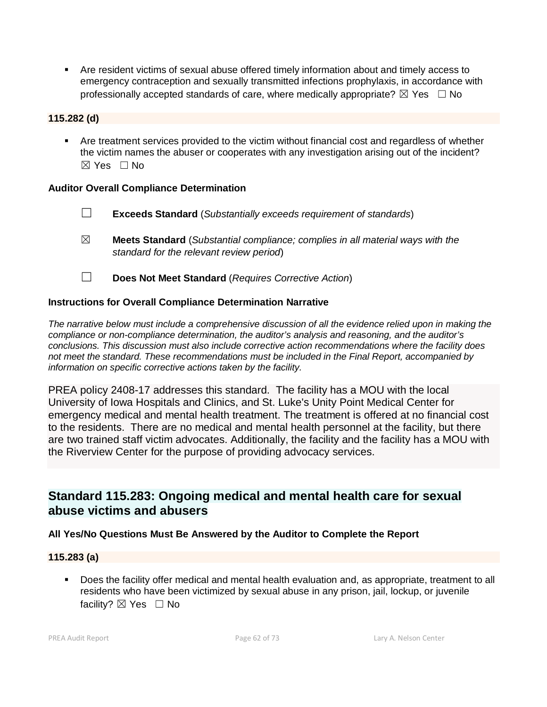Are resident victims of sexual abuse offered timely information about and timely access to emergency contraception and sexually transmitted infections prophylaxis, in accordance with professionally accepted standards of care, where medically appropriate?  $\boxtimes$  Yes  $\Box$  No

# **115.282 (d)**

 Are treatment services provided to the victim without financial cost and regardless of whether the victim names the abuser or cooperates with any investigation arising out of the incident?  $\boxtimes$  Yes  $\Box$  No

### **Auditor Overall Compliance Determination**

- ☐ **Exceeds Standard** (*Substantially exceeds requirement of standards*)
- ☒ **Meets Standard** (*Substantial compliance; complies in all material ways with the standard for the relevant review period*)
- ☐ **Does Not Meet Standard** (*Requires Corrective Action*)

### **Instructions for Overall Compliance Determination Narrative**

*The narrative below must include a comprehensive discussion of all the evidence relied upon in making the compliance or non-compliance determination, the auditor's analysis and reasoning, and the auditor's conclusions. This discussion must also include corrective action recommendations where the facility does not meet the standard. These recommendations must be included in the Final Report, accompanied by information on specific corrective actions taken by the facility.*

PREA policy 2408-17 addresses this standard. The facility has a MOU with the local University of Iowa Hospitals and Clinics, and St. Luke's Unity Point Medical Center for emergency medical and mental health treatment. The treatment is offered at no financial cost to the residents. There are no medical and mental health personnel at the facility, but there are two trained staff victim advocates. Additionally, the facility and the facility has a MOU with the Riverview Center for the purpose of providing advocacy services.

# **Standard 115.283: Ongoing medical and mental health care for sexual abuse victims and abusers**

### **All Yes/No Questions Must Be Answered by the Auditor to Complete the Report**

### **115.283 (a)**

 Does the facility offer medical and mental health evaluation and, as appropriate, treatment to all residents who have been victimized by sexual abuse in any prison, jail, lockup, or juvenile facility? ⊠ Yes □ No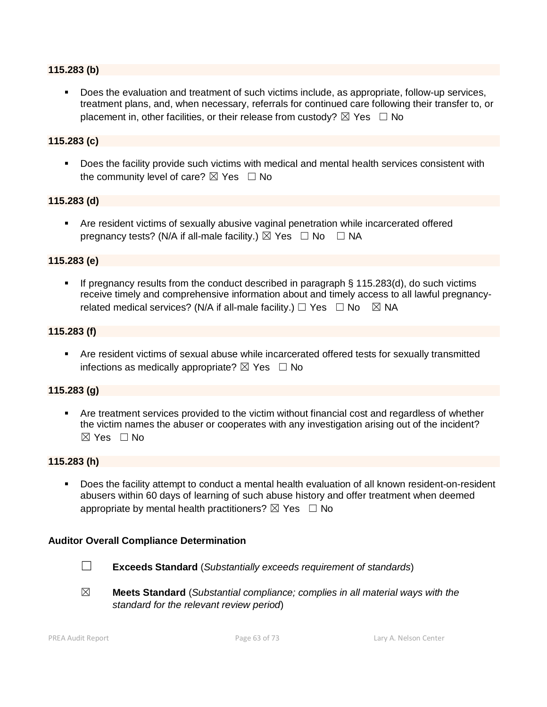#### **115.283 (b)**

 Does the evaluation and treatment of such victims include, as appropriate, follow-up services, treatment plans, and, when necessary, referrals for continued care following their transfer to, or placement in, other facilities, or their release from custody?  $\boxtimes$  Yes  $\Box$  No

#### **115.283 (c)**

Does the facility provide such victims with medical and mental health services consistent with the community level of care?  $\boxtimes$  Yes  $\Box$  No

#### **115.283 (d)**

 Are resident victims of sexually abusive vaginal penetration while incarcerated offered pregnancy tests? (N/A if all-male facility.)  $\boxtimes$  Yes  $\Box$  No  $\Box$  NA

#### **115.283 (e)**

If pregnancy results from the conduct described in paragraph  $\S$  115.283(d), do such victims receive timely and comprehensive information about and timely access to all lawful pregnancyrelated medical services? (N/A if all-male facility.)  $\Box$  Yes  $\Box$  No  $\boxtimes$  NA

#### **115.283 (f)**

 Are resident victims of sexual abuse while incarcerated offered tests for sexually transmitted infections as medically appropriate?  $\boxtimes$  Yes  $\Box$  No

#### **115.283 (g)**

 Are treatment services provided to the victim without financial cost and regardless of whether the victim names the abuser or cooperates with any investigation arising out of the incident? ☒ Yes ☐ No

#### **115.283 (h)**

 Does the facility attempt to conduct a mental health evaluation of all known resident-on-resident abusers within 60 days of learning of such abuse history and offer treatment when deemed appropriate by mental health practitioners?  $\boxtimes$  Yes  $\Box$  No

#### **Auditor Overall Compliance Determination**

- 
- ☐ **Exceeds Standard** (*Substantially exceeds requirement of standards*)
- ☒ **Meets Standard** (*Substantial compliance; complies in all material ways with the standard for the relevant review period*)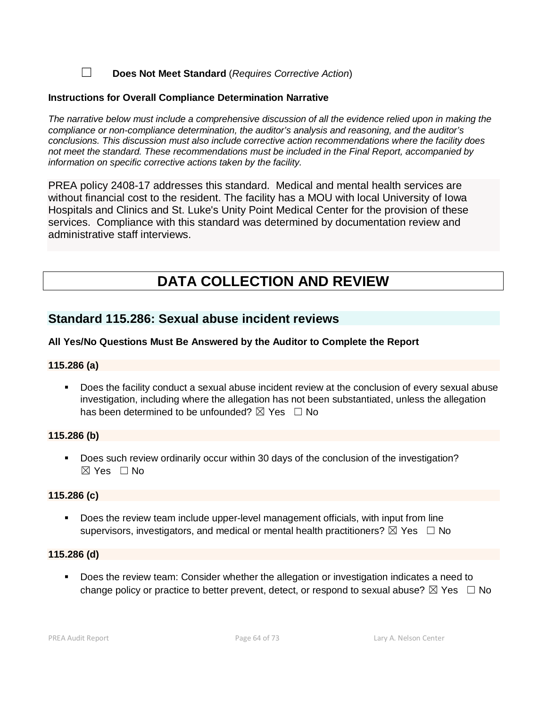☐ **Does Not Meet Standard** (*Requires Corrective Action*)

#### **Instructions for Overall Compliance Determination Narrative**

*The narrative below must include a comprehensive discussion of all the evidence relied upon in making the compliance or non-compliance determination, the auditor's analysis and reasoning, and the auditor's conclusions. This discussion must also include corrective action recommendations where the facility does not meet the standard. These recommendations must be included in the Final Report, accompanied by information on specific corrective actions taken by the facility.*

PREA policy 2408-17 addresses this standard. Medical and mental health services are without financial cost to the resident. The facility has a MOU with local University of Iowa Hospitals and Clinics and St. Luke's Unity Point Medical Center for the provision of these services. Compliance with this standard was determined by documentation review and administrative staff interviews.

# **DATA COLLECTION AND REVIEW**

# **Standard 115.286: Sexual abuse incident reviews**

#### **All Yes/No Questions Must Be Answered by the Auditor to Complete the Report**

#### **115.286 (a)**

 Does the facility conduct a sexual abuse incident review at the conclusion of every sexual abuse investigation, including where the allegation has not been substantiated, unless the allegation has been determined to be unfounded?  $\boxtimes$  Yes  $\Box$  No

#### **115.286 (b)**

Does such review ordinarily occur within 30 days of the conclusion of the investigation? ☒ Yes ☐ No

#### **115.286 (c)**

 Does the review team include upper-level management officials, with input from line supervisors, investigators, and medical or mental health practitioners?  $\boxtimes$  Yes  $\Box$  No

#### **115.286 (d)**

 Does the review team: Consider whether the allegation or investigation indicates a need to change policy or practice to better prevent, detect, or respond to sexual abuse?  $\boxtimes$  Yes  $\Box$  No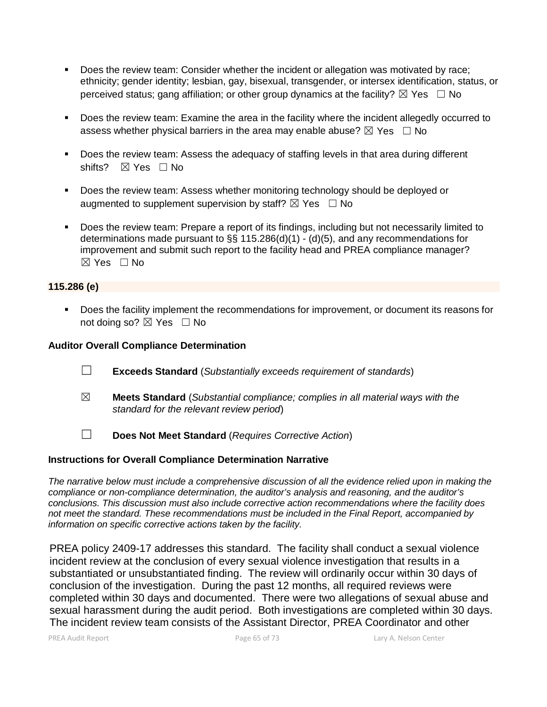- Does the review team: Consider whether the incident or allegation was motivated by race; ethnicity; gender identity; lesbian, gay, bisexual, transgender, or intersex identification, status, or perceived status; gang affiliation; or other group dynamics at the facility?  $\boxtimes$  Yes  $\Box$  No
- **Does the review team: Examine the area in the facility where the incident allegedly occurred to** assess whether physical barriers in the area may enable abuse?  $\boxtimes$  Yes  $\Box$  No
- Does the review team: Assess the adequacy of staffing levels in that area during different shifts? ⊠ Yes □ No
- **Does the review team: Assess whether monitoring technology should be deployed or** augmented to supplement supervision by staff?  $\boxtimes$  Yes  $\Box$  No
- Does the review team: Prepare a report of its findings, including but not necessarily limited to determinations made pursuant to §§ 115.286(d)(1) - (d)(5), and any recommendations for improvement and submit such report to the facility head and PREA compliance manager?  $\boxtimes$  Yes  $\Box$  No

### **115.286 (e)**

Does the facility implement the recommendations for improvement, or document its reasons for not doing so?  $\boxtimes$  Yes  $\Box$  No

#### **Auditor Overall Compliance Determination**

- ☐ **Exceeds Standard** (*Substantially exceeds requirement of standards*)
- ☒ **Meets Standard** (*Substantial compliance; complies in all material ways with the standard for the relevant review period*)
- ☐ **Does Not Meet Standard** (*Requires Corrective Action*)

#### **Instructions for Overall Compliance Determination Narrative**

*The narrative below must include a comprehensive discussion of all the evidence relied upon in making the compliance or non-compliance determination, the auditor's analysis and reasoning, and the auditor's conclusions. This discussion must also include corrective action recommendations where the facility does not meet the standard. These recommendations must be included in the Final Report, accompanied by information on specific corrective actions taken by the facility.*

PREA policy 2409-17 addresses this standard. The facility shall conduct a sexual violence incident review at the conclusion of every sexual violence investigation that results in a substantiated or unsubstantiated finding. The review will ordinarily occur within 30 days of conclusion of the investigation. During the past 12 months, all required reviews were completed within 30 days and documented. There were two allegations of sexual abuse and sexual harassment during the audit period. Both investigations are completed within 30 days. The incident review team consists of the Assistant Director, PREA Coordinator and other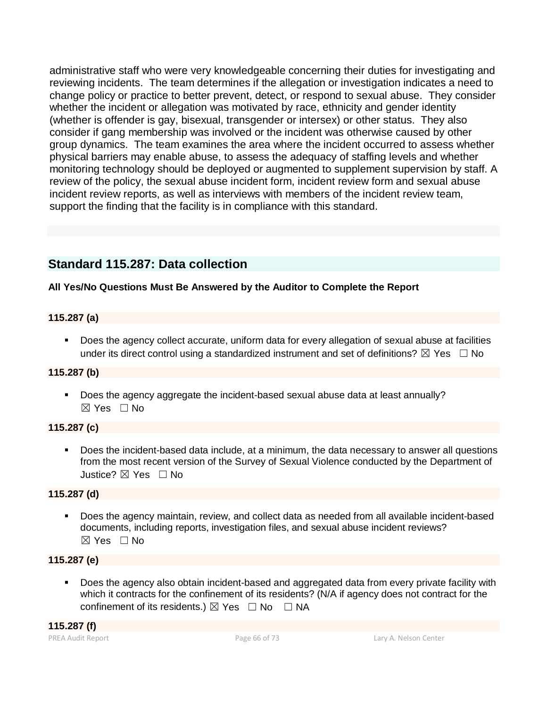administrative staff who were very knowledgeable concerning their duties for investigating and reviewing incidents. The team determines if the allegation or investigation indicates a need to change policy or practice to better prevent, detect, or respond to sexual abuse. They consider whether the incident or allegation was motivated by race, ethnicity and gender identity (whether is offender is gay, bisexual, transgender or intersex) or other status. They also consider if gang membership was involved or the incident was otherwise caused by other group dynamics. The team examines the area where the incident occurred to assess whether physical barriers may enable abuse, to assess the adequacy of staffing levels and whether monitoring technology should be deployed or augmented to supplement supervision by staff. A review of the policy, the sexual abuse incident form, incident review form and sexual abuse incident review reports, as well as interviews with members of the incident review team, support the finding that the facility is in compliance with this standard.

# **Standard 115.287: Data collection**

# **All Yes/No Questions Must Be Answered by the Auditor to Complete the Report**

# **115.287 (a)**

 Does the agency collect accurate, uniform data for every allegation of sexual abuse at facilities under its direct control using a standardized instrument and set of definitions?  $\boxtimes$  Yes  $\Box$  No

# **115.287 (b)**

Does the agency aggregate the incident-based sexual abuse data at least annually?  $\boxtimes$  Yes  $\Box$  No

# **115.287 (c)**

 Does the incident-based data include, at a minimum, the data necessary to answer all questions from the most recent version of the Survey of Sexual Violence conducted by the Department of Justice? ☒ Yes ☐ No

# **115.287 (d)**

 Does the agency maintain, review, and collect data as needed from all available incident-based documents, including reports, investigation files, and sexual abuse incident reviews?  $\boxtimes$  Yes  $\Box$  No

# **115.287 (e)**

 Does the agency also obtain incident-based and aggregated data from every private facility with which it contracts for the confinement of its residents? (N/A if agency does not contract for the confinement of its residents.)  $\boxtimes$  Yes  $\Box$  No  $\Box$  NA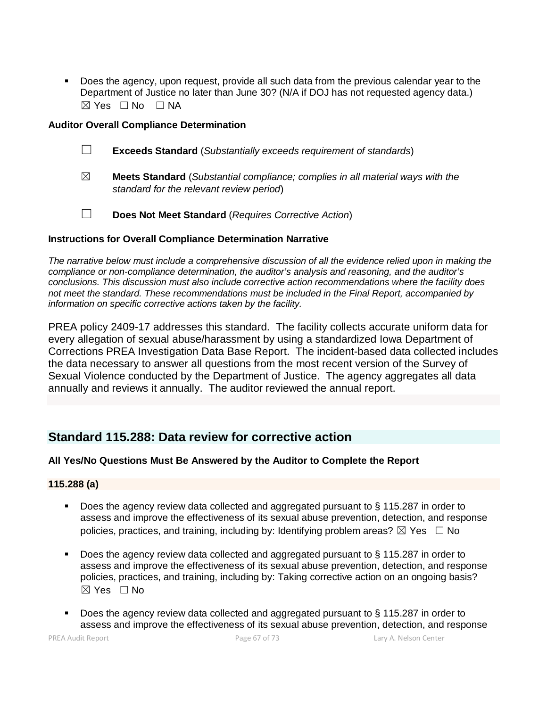Does the agency, upon request, provide all such data from the previous calendar year to the Department of Justice no later than June 30? (N/A if DOJ has not requested agency data.)  $⊠ Yes ⊡ No ⊡ NA$ 

### **Auditor Overall Compliance Determination**

- ☐ **Exceeds Standard** (*Substantially exceeds requirement of standards*)
- ☒ **Meets Standard** (*Substantial compliance; complies in all material ways with the standard for the relevant review period*)
- ☐ **Does Not Meet Standard** (*Requires Corrective Action*)

#### **Instructions for Overall Compliance Determination Narrative**

*The narrative below must include a comprehensive discussion of all the evidence relied upon in making the compliance or non-compliance determination, the auditor's analysis and reasoning, and the auditor's conclusions. This discussion must also include corrective action recommendations where the facility does not meet the standard. These recommendations must be included in the Final Report, accompanied by information on specific corrective actions taken by the facility.*

PREA policy 2409-17 addresses this standard. The facility collects accurate uniform data for every allegation of sexual abuse/harassment by using a standardized Iowa Department of Corrections PREA Investigation Data Base Report. The incident-based data collected includes the data necessary to answer all questions from the most recent version of the Survey of Sexual Violence conducted by the Department of Justice. The agency aggregates all data annually and reviews it annually. The auditor reviewed the annual report.

# **Standard 115.288: Data review for corrective action**

### **All Yes/No Questions Must Be Answered by the Auditor to Complete the Report**

#### **115.288 (a)**

- Does the agency review data collected and aggregated pursuant to § 115.287 in order to assess and improve the effectiveness of its sexual abuse prevention, detection, and response policies, practices, and training, including by: Identifying problem areas?  $\boxtimes$  Yes  $\Box$  No
- Does the agency review data collected and aggregated pursuant to § 115.287 in order to assess and improve the effectiveness of its sexual abuse prevention, detection, and response policies, practices, and training, including by: Taking corrective action on an ongoing basis?  $\boxtimes$  Yes  $\Box$  No
- Does the agency review data collected and aggregated pursuant to § 115.287 in order to assess and improve the effectiveness of its sexual abuse prevention, detection, and response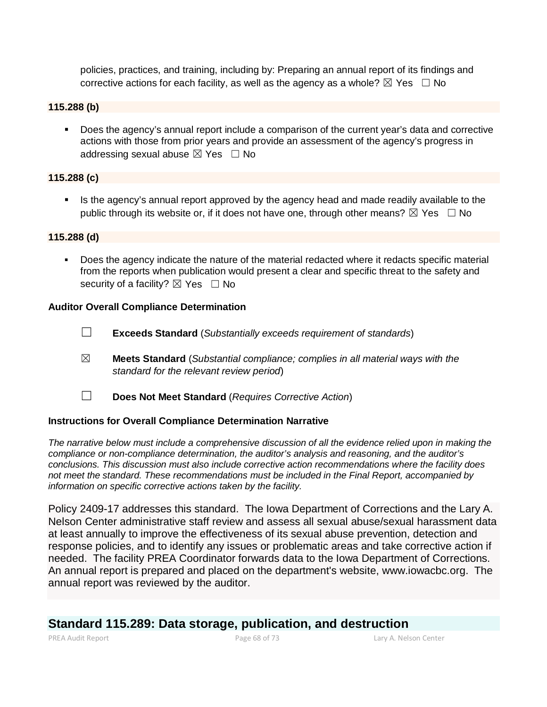policies, practices, and training, including by: Preparing an annual report of its findings and corrective actions for each facility, as well as the agency as a whole?  $\boxtimes$  Yes  $\Box$  No

#### **115.288 (b)**

 Does the agency's annual report include a comparison of the current year's data and corrective actions with those from prior years and provide an assessment of the agency's progress in addressing sexual abuse  $\boxtimes$  Yes  $\Box$  No

## **115.288 (c)**

If Is the agency's annual report approved by the agency head and made readily available to the public through its website or, if it does not have one, through other means?  $\boxtimes$  Yes  $\Box$  No

#### **115.288 (d)**

Does the agency indicate the nature of the material redacted where it redacts specific material from the reports when publication would present a clear and specific threat to the safety and security of a facility?  $\boxtimes$  Yes  $\Box$  No

#### **Auditor Overall Compliance Determination**

- ☐ **Exceeds Standard** (*Substantially exceeds requirement of standards*)
- ☒ **Meets Standard** (*Substantial compliance; complies in all material ways with the standard for the relevant review period*)
- ☐ **Does Not Meet Standard** (*Requires Corrective Action*)

#### **Instructions for Overall Compliance Determination Narrative**

*The narrative below must include a comprehensive discussion of all the evidence relied upon in making the compliance or non-compliance determination, the auditor's analysis and reasoning, and the auditor's conclusions. This discussion must also include corrective action recommendations where the facility does not meet the standard. These recommendations must be included in the Final Report, accompanied by information on specific corrective actions taken by the facility.*

Policy 2409-17 addresses this standard. The Iowa Department of Corrections and the Lary A. Nelson Center administrative staff review and assess all sexual abuse/sexual harassment data at least annually to improve the effectiveness of its sexual abuse prevention, detection and response policies, and to identify any issues or problematic areas and take corrective action if needed. The facility PREA Coordinator forwards data to the Iowa Department of Corrections. An annual report is prepared and placed on the department's website, www.iowacbc.org. The annual report was reviewed by the auditor.

# **Standard 115.289: Data storage, publication, and destruction**

PREA Audit Report Page 68 of 73 Lary A. Nelson Center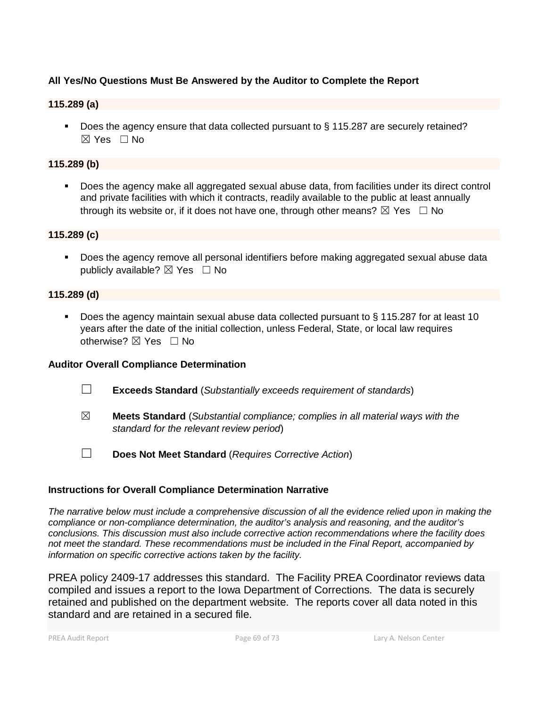# **All Yes/No Questions Must Be Answered by the Auditor to Complete the Report**

## **115.289 (a)**

Does the agency ensure that data collected pursuant to § 115.287 are securely retained?  $\boxtimes$  Yes  $\Box$  No

## **115.289 (b)**

 Does the agency make all aggregated sexual abuse data, from facilities under its direct control and private facilities with which it contracts, readily available to the public at least annually through its website or, if it does not have one, through other means?  $\boxtimes$  Yes  $\Box$  No

### **115.289 (c)**

**Does the agency remove all personal identifiers before making aggregated sexual abuse data** publicly available?  $\boxtimes$  Yes  $\Box$  No

### **115.289 (d)**

■ Does the agency maintain sexual abuse data collected pursuant to § 115.287 for at least 10 years after the date of the initial collection, unless Federal, State, or local law requires otherwise?  $\boxtimes$  Yes  $\Box$  No

### **Auditor Overall Compliance Determination**

- ☐ **Exceeds Standard** (*Substantially exceeds requirement of standards*)
- ☒ **Meets Standard** (*Substantial compliance; complies in all material ways with the standard for the relevant review period*)
- ☐ **Does Not Meet Standard** (*Requires Corrective Action*)

### **Instructions for Overall Compliance Determination Narrative**

*The narrative below must include a comprehensive discussion of all the evidence relied upon in making the compliance or non-compliance determination, the auditor's analysis and reasoning, and the auditor's conclusions. This discussion must also include corrective action recommendations where the facility does not meet the standard. These recommendations must be included in the Final Report, accompanied by information on specific corrective actions taken by the facility.*

PREA policy 2409-17 addresses this standard. The Facility PREA Coordinator reviews data compiled and issues a report to the Iowa Department of Corrections. The data is securely retained and published on the department website. The reports cover all data noted in this standard and are retained in a secured file.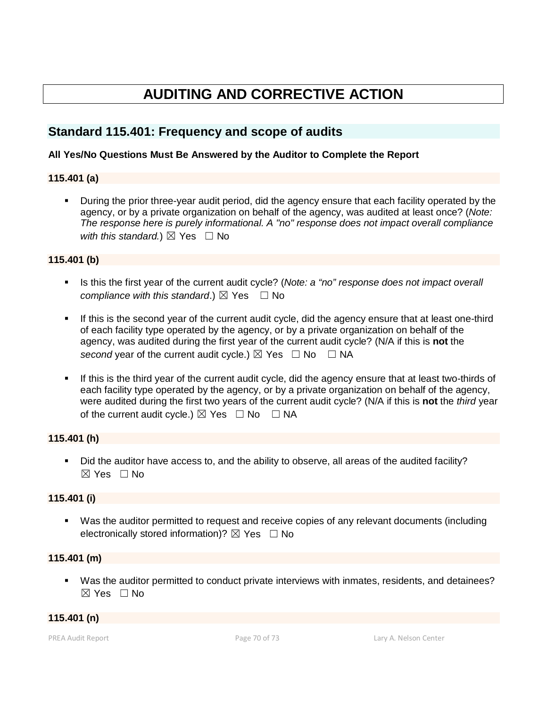# **AUDITING AND CORRECTIVE ACTION**

# **Standard 115.401: Frequency and scope of audits**

## **All Yes/No Questions Must Be Answered by the Auditor to Complete the Report**

### **115.401 (a)**

 During the prior three-year audit period, did the agency ensure that each facility operated by the agency, or by a private organization on behalf of the agency, was audited at least once? (*Note: The response here is purely informational. A "no" response does not impact overall compliance with this standard.*)  $\boxtimes$  Yes  $\Box$  No

### **115.401 (b)**

- Is this the first year of the current audit cycle? (*Note: a "no" response does not impact overall compliance with this standard.*)  $\boxtimes$  Yes  $\Box$  No
- If this is the second year of the current audit cycle, did the agency ensure that at least one-third of each facility type operated by the agency, or by a private organization on behalf of the agency, was audited during the first year of the current audit cycle? (N/A if this is **not** the *second* year of the current audit cycle.)  $\boxtimes$  Yes  $\Box$  No  $\Box$  NA
- If this is the third year of the current audit cycle, did the agency ensure that at least two-thirds of each facility type operated by the agency, or by a private organization on behalf of the agency, were audited during the first two years of the current audit cycle? (N/A if this is **not** the *third* year of the current audit cycle.)  $\boxtimes$  Yes  $\Box$  No  $\Box$  NA

### **115.401 (h)**

 Did the auditor have access to, and the ability to observe, all areas of the audited facility?  $\boxtimes$  Yes  $\Box$  No

### **115.401 (i)**

 Was the auditor permitted to request and receive copies of any relevant documents (including electronically stored information)?  $\boxtimes$  Yes  $\Box$  No

### **115.401 (m)**

 Was the auditor permitted to conduct private interviews with inmates, residents, and detainees? ☒ Yes ☐ No

#### **115.401 (n)**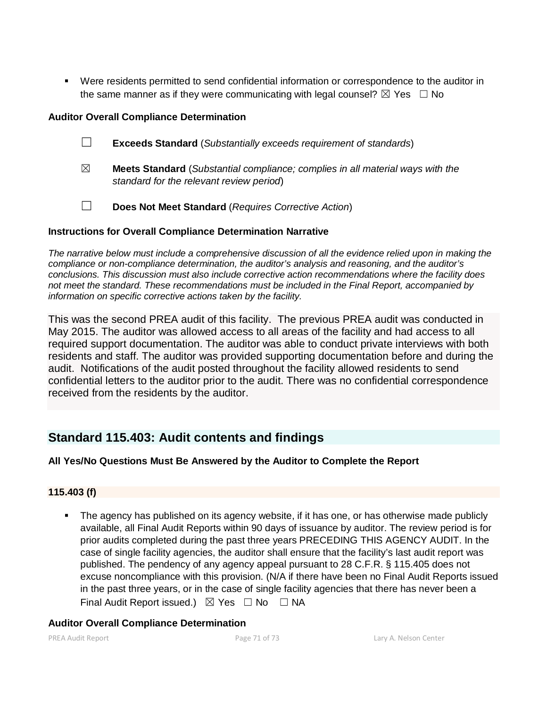Were residents permitted to send confidential information or correspondence to the auditor in the same manner as if they were communicating with legal counsel?  $\boxtimes$  Yes  $\Box$  No

# **Auditor Overall Compliance Determination**

- ☐ **Exceeds Standard** (*Substantially exceeds requirement of standards*)
- ☒ **Meets Standard** (*Substantial compliance; complies in all material ways with the standard for the relevant review period*)
- ☐ **Does Not Meet Standard** (*Requires Corrective Action*)

## **Instructions for Overall Compliance Determination Narrative**

*The narrative below must include a comprehensive discussion of all the evidence relied upon in making the compliance or non-compliance determination, the auditor's analysis and reasoning, and the auditor's conclusions. This discussion must also include corrective action recommendations where the facility does not meet the standard. These recommendations must be included in the Final Report, accompanied by information on specific corrective actions taken by the facility.*

This was the second PREA audit of this facility. The previous PREA audit was conducted in May 2015. The auditor was allowed access to all areas of the facility and had access to all required support documentation. The auditor was able to conduct private interviews with both residents and staff. The auditor was provided supporting documentation before and during the audit. Notifications of the audit posted throughout the facility allowed residents to send confidential letters to the auditor prior to the audit. There was no confidential correspondence received from the residents by the auditor.

# **Standard 115.403: Audit contents and findings**

# **All Yes/No Questions Must Be Answered by the Auditor to Complete the Report**

# **115.403 (f)**

 The agency has published on its agency website, if it has one, or has otherwise made publicly available, all Final Audit Reports within 90 days of issuance by auditor. The review period is for prior audits completed during the past three years PRECEDING THIS AGENCY AUDIT. In the case of single facility agencies, the auditor shall ensure that the facility's last audit report was published. The pendency of any agency appeal pursuant to 28 C.F.R. § 115.405 does not excuse noncompliance with this provision. (N/A if there have been no Final Audit Reports issued in the past three years, or in the case of single facility agencies that there has never been a Final Audit Report issued.)  $\boxtimes$  Yes  $\Box$  No  $\Box$  NA

### **Auditor Overall Compliance Determination**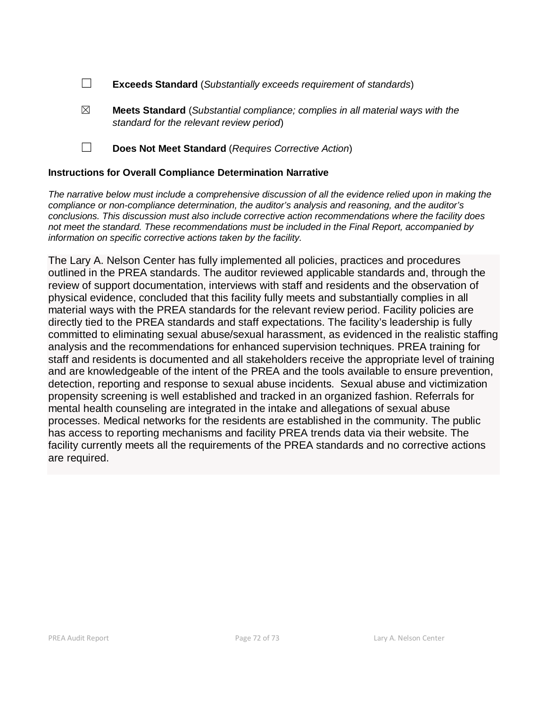- ☐ **Exceeds Standard** (*Substantially exceeds requirement of standards*)
- ☒ **Meets Standard** (*Substantial compliance; complies in all material ways with the standard for the relevant review period*)
- ☐ **Does Not Meet Standard** (*Requires Corrective Action*)

#### **Instructions for Overall Compliance Determination Narrative**

*The narrative below must include a comprehensive discussion of all the evidence relied upon in making the compliance or non-compliance determination, the auditor's analysis and reasoning, and the auditor's conclusions. This discussion must also include corrective action recommendations where the facility does not meet the standard. These recommendations must be included in the Final Report, accompanied by information on specific corrective actions taken by the facility.*

The Lary A. Nelson Center has fully implemented all policies, practices and procedures outlined in the PREA standards. The auditor reviewed applicable standards and, through the review of support documentation, interviews with staff and residents and the observation of physical evidence, concluded that this facility fully meets and substantially complies in all material ways with the PREA standards for the relevant review period. Facility policies are directly tied to the PREA standards and staff expectations. The facility's leadership is fully committed to eliminating sexual abuse/sexual harassment, as evidenced in the realistic staffing analysis and the recommendations for enhanced supervision techniques. PREA training for staff and residents is documented and all stakeholders receive the appropriate level of training and are knowledgeable of the intent of the PREA and the tools available to ensure prevention, detection, reporting and response to sexual abuse incidents. Sexual abuse and victimization propensity screening is well established and tracked in an organized fashion. Referrals for mental health counseling are integrated in the intake and allegations of sexual abuse processes. Medical networks for the residents are established in the community. The public has access to reporting mechanisms and facility PREA trends data via their website. The facility currently meets all the requirements of the PREA standards and no corrective actions are required.